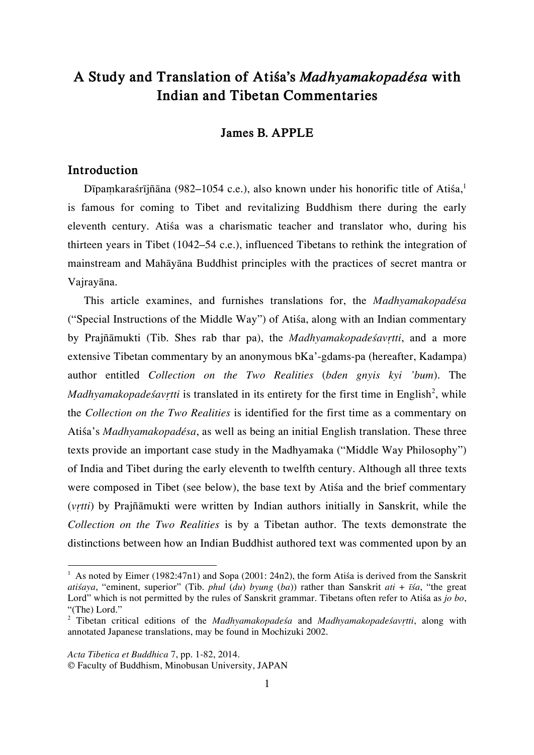# **A Study and Translation of Atiśa's** *Madhyamakopadésa* **with Indian and Tibetan Commentaries**

### **James B. APPLE**

### **Introduction**

Dīpamkaraśrījñāna (982–1054 c.e.), also known under his honorific title of Atiśa,<sup>1</sup> is famous for coming to Tibet and revitalizing Buddhism there during the early eleventh century. Atiśa was a charismatic teacher and translator who, during his thirteen years in Tibet (1042–54 c.e.), influenced Tibetans to rethink the integration of mainstream and Mahāyāna Buddhist principles with the practices of secret mantra or Vajrayāna.

This article examines, and furnishes translations for, the *Madhyamakopadésa* ("Special Instructions of the Middle Way") of Atiśa, along with an Indian commentary by Prajñāmukti (Tib. Shes rab thar pa), the *Madhyamakopadeśavṛtti*, and a more extensive Tibetan commentary by an anonymous bKa'-gdams-pa (hereafter, Kadampa) author entitled *Collection on the Two Realities* (*bden gnyis kyi 'bum*). The *Madhyamakopadeśavrtti* is translated in its entirety for the first time in English<sup>2</sup>, while the *Collection on the Two Realities* is identified for the first time as a commentary on Atiśa's *Madhyamakopadésa*, as well as being an initial English translation. These three texts provide an important case study in the Madhyamaka ("Middle Way Philosophy") of India and Tibet during the early eleventh to twelfth century. Although all three texts were composed in Tibet (see below), the base text by Atiśa and the brief commentary (*vṛtti*) by Prajñāmukti were written by Indian authors initially in Sanskrit, while the *Collection on the Two Realities* is by a Tibetan author. The texts demonstrate the distinctions between how an Indian Buddhist authored text was commented upon by an

*Acta Tibetica et Buddhica* 7, pp. 1-82, 2014.

<sup>&</sup>lt;sup>1</sup> As noted by Eimer (1982:47n1) and Sopa (2001: 24n2), the form Atisa is derived from the Sanskrit *atiśaya*, "eminent, superior" (Tib. *phul* (*du*) *byung* (*ba*)) rather than Sanskrit *ati* + *īśa*, "the great Lord" which is not permitted by the rules of Sanskrit grammar. Tibetans often refer to Atiśa as *jo bo*, "(The) Lord."

<sup>2</sup> Tibetan critical editions of the *Madhyamakopadeśa* and *Madhyamakopadeśavṛtti*, along with annotated Japanese translations, may be found in Mochizuki 2002.

<sup>©</sup> Faculty of Buddhism, Minobusan University, JAPAN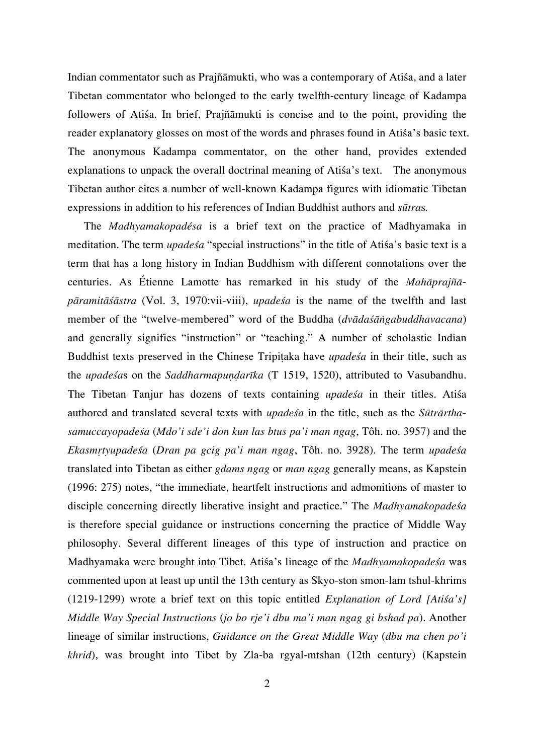Indian commentator such as Prajñāmukti, who was a contemporary of Atiśa, and a later Tibetan commentator who belonged to the early twelfth-century lineage of Kadampa followers of Atiśa. In brief, Prajñāmukti is concise and to the point, providing the reader explanatory glosses on most of the words and phrases found in Atiśa's basic text. The anonymous Kadampa commentator, on the other hand, provides extended explanations to unpack the overall doctrinal meaning of Atiśa's text. The anonymous Tibetan author cites a number of well-known Kadampa figures with idiomatic Tibetan expressions in addition to his references of Indian Buddhist authors and *sūtra*s*.*

The *Madhyamakopadésa* is a brief text on the practice of Madhyamaka in meditation. The term *upadeśa* "special instructions" in the title of Atiśa's basic text is a term that has a long history in Indian Buddhism with different connotations over the centuries. As Étienne Lamotte has remarked in his study of the *Mahāprajñāpāramitāśāstra* (Vol. 3, 1970:vii-viii), *upadeśa* is the name of the twelfth and last member of the "twelve-membered" word of the Buddha (*dvādaśāṅgabuddhavacana*) and generally signifies "instruction" or "teaching." A number of scholastic Indian Buddhist texts preserved in the Chinese Tripitaka have *upadesa* in their title, such as the *upadeśa*s on the *Saddharmapuṇḍarīka* (T 1519, 1520), attributed to Vasubandhu. The Tibetan Tanjur has dozens of texts containing *upadeśa* in their titles. Atiśa authored and translated several texts with *upadeśa* in the title, such as the *Sūtrārthasamuccayopadeśa* (*Mdo'i sde'i don kun las btus pa'i man ngag*, Tôh. no. 3957) and the *Ekasmṛtyupadeśa* (*Dran pa gcig pa'i man ngag*, Tôh. no. 3928). The term *upadeśa* translated into Tibetan as either *gdams ngag* or *man ngag* generally means, as Kapstein (1996: 275) notes, "the immediate, heartfelt instructions and admonitions of master to disciple concerning directly liberative insight and practice." The *Madhyamakopadeśa* is therefore special guidance or instructions concerning the practice of Middle Way philosophy. Several different lineages of this type of instruction and practice on Madhyamaka were brought into Tibet. Atiśa's lineage of the *Madhyamakopadeśa* was commented upon at least up until the 13th century as Skyo-ston smon-lam tshul-khrims (1219-1299) wrote a brief text on this topic entitled *Explanation of Lord [Atiśa's] Middle Way Special Instructions* (*jo bo rje'i dbu ma'i man ngag gi bshad pa*). Another lineage of similar instructions, *Guidance on the Great Middle Way* (*dbu ma chen po'i khrid*), was brought into Tibet by Zla-ba rgyal-mtshan (12th century) (Kapstein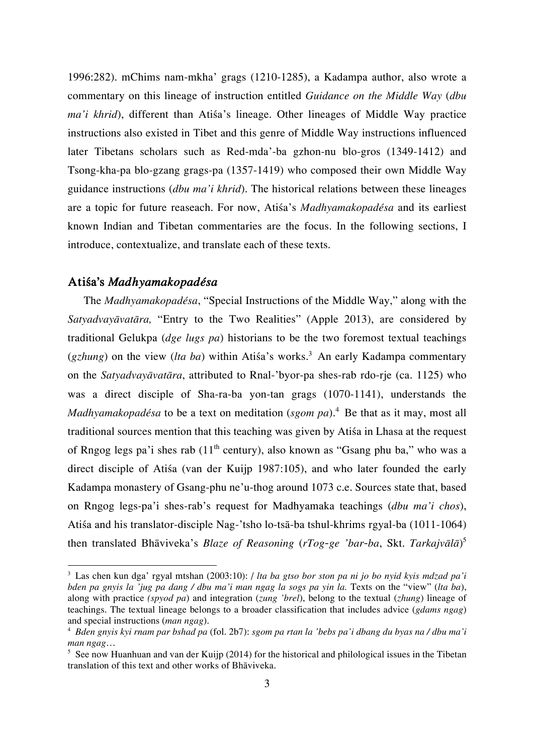1996:282). mChims nam-mkha' grags (1210-1285), a Kadampa author, also wrote a commentary on this lineage of instruction entitled *Guidance on the Middle Way* (*dbu ma'i khrid*), different than Atiśa's lineage. Other lineages of Middle Way practice instructions also existed in Tibet and this genre of Middle Way instructions influenced later Tibetans scholars such as Red-mda'-ba gzhon-nu blo-gros (1349-1412) and Tsong-kha-pa blo-gzang grags-pa (1357-1419) who composed their own Middle Way guidance instructions (*dbu ma'i khrid*). The historical relations between these lineages are a topic for future reaseach. For now, Atiśa's *Madhyamakopadésa* and its earliest known Indian and Tibetan commentaries are the focus. In the following sections, I introduce, contextualize, and translate each of these texts.

#### **Atiśa's** *Madhyamakopadésa*

 $\overline{a}$ 

The *Madhyamakopadésa*, "Special Instructions of the Middle Way," along with the *Satyadvayāvatāra,* "Entry to the Two Realities" (Apple 2013), are considered by traditional Gelukpa (*dge lugs pa*) historians to be the two foremost textual teachings (*gzhung*) on the view (*lta ba*) within Atiśa's works.3 An early Kadampa commentary on the *Satyadvayāvatāra*, attributed to Rnal-'byor-pa shes-rab rdo-rje (ca. 1125) who was a direct disciple of Sha-ra-ba yon-tan grags (1070-1141), understands the *Madhyamakopadésa* to be a text on meditation (*sgom pa*).<sup>4</sup> Be that as it may, most all traditional sources mention that this teaching was given by Atiśa in Lhasa at the request of Rngog legs pa'i shes rab  $(11<sup>th</sup>$  century), also known as "Gsang phu ba," who was a direct disciple of Atiśa (van der Kuijp 1987:105), and who later founded the early Kadampa monastery of Gsang-phu ne'u-thog around 1073 c.e. Sources state that, based on Rngog legs-pa'i shes-rab's request for Madhyamaka teachings (*dbu ma'i chos*), Atiśa and his translator-disciple Nag-'tsho lo-tsā-ba tshul-khrims rgyal-ba (1011-1064) then translated Bhāviveka's *Blaze of Reasoning* (*rTog-ge 'bar-ba*, Skt. *Tarkajvālā*) 5

<sup>3</sup> Las chen kun dga' rgyal mtshan (2003:10): / *lta ba gtso bor ston pa ni jo bo nyid kyis mdzad pa'i bden pa gnyis la 'jug pa dang / dbu ma'i man ngag la sogs pa yin la.* Texts on the "view" (*lta ba*), along with practice *(spyod pa*) and integration (*zung 'brel*), belong to the textual (*zhung*) lineage of teachings. The textual lineage belongs to a broader classification that includes advice (*gdams ngag*) and special instructions (*man ngag*).

<sup>4</sup> *Bden gnyis kyi rnam par bshad pa* (fol. 2b7): *sgom pa rtan la 'bebs pa'i dbang du byas na / dbu ma'i man ngag…*

 $<sup>5</sup>$  See now Huanhuan and van der Kuijp (2014) for the historical and philological issues in the Tibetan</sup> translation of this text and other works of Bhāviveka.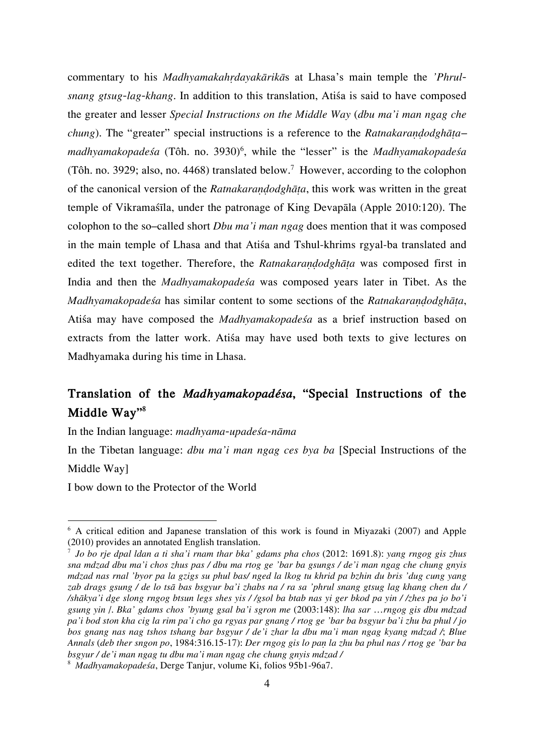commentary to his *Madhyamakahṛdayakārikā*s at Lhasa's main temple the *'Phrulsnang gtsug-lag-khang*. In addition to this translation, Atiśa is said to have composed the greater and lesser *Special Instructions on the Middle Way* (*dbu ma'i man ngag che chung*). The "greater" special instructions is a reference to the *Ratnakaraṇḍodghāṭa–* madhyamakopadeśa (Tôh. no. 3930)<sup>6</sup>, while the "lesser" is the *Madhyamakopadeśa* (Tôh. no. 3929; also, no. 4468) translated below.<sup>7</sup> However, according to the colophon of the canonical version of the *Ratnakaraṇḍodghāṭa*, this work was written in the great temple of Vikramaśīla, under the patronage of King Devapāla (Apple 2010:120). The colophon to the so–called short *Dbu ma'i man ngag* does mention that it was composed in the main temple of Lhasa and that Atiśa and Tshul-khrims rgyal-ba translated and edited the text together. Therefore, the *Ratnakarandodghata* was composed first in India and then the *Madhyamakopadeśa* was composed years later in Tibet. As the *Madhyamakopadeśa* has similar content to some sections of the *Ratnakaraṇḍodghāṭa*, Atiśa may have composed the *Madhyamakopadeśa* as a brief instruction based on extracts from the latter work. Atiśa may have used both texts to give lectures on Madhyamaka during his time in Lhasa.

# **Translation of the** *Madhyamakopadésa***, "Special Instructions of the Middle Way"<sup>8</sup>**

In the Indian language: *madhyama-upadeśa-nāma* 

In the Tibetan language: *dbu ma'i man ngag ces bya ba* [Special Instructions of the Middle Way]

I bow down to the Protector of the World

<sup>6</sup> A critical edition and Japanese translation of this work is found in Miyazaki (2007) and Apple (2010) provides an annotated English translation.

<sup>7</sup> *Jo bo rje dpal ldan a ti sha'i rnam thar bka' gdams pha chos* (2012: 1691.8): *yang rngog gis zhus sna mdzad dbu ma'i chos zhus pas / dbu ma rtog ge 'bar ba gsungs / de'i man ngag che chung gnyis mdzad nas rnal 'byor pa la gzigs su phul bas/ nged la lkog tu khrid pa bzhin du bris 'dug cung yang zab drags gsung / de lo tsā bas bsgyur ba'i zhabs na / ra sa 'phrul snang gtsug lag khang chen du / /shākya'i dge slong rngog btsun legs shes yis / /gsol ba btab nas yi ger bkod pa yin / /zhes pa jo bo'i gsung yin* /. *Bka' gdams chos 'byung gsal ba'i sgron me* (2003:148): *lha sar …rngog gis dbu mdzad pa'i bod ston kha cig la rim pa'i cho ga rgyas par gnang / rtog ge 'bar ba bsgyur ba'i zhu ba phul / jo bos gnang nas nag tshos tshang bar bsgyur / de'i zhar la dbu ma'i man ngag kyang mdzad /*; *Blue Annals* (*deb ther sngon po*, 1984:316.15-17): *Der rngog gis lo paṇ la zhu ba phul nas / rtog ge 'bar ba bsgyur / de'i man ngag tu dbu ma'i man ngag che chung gnyis mdzad /*

<sup>8</sup> *Madhyamakopadeśa*, Derge Tanjur, volume Ki, folios 95b1-96a7.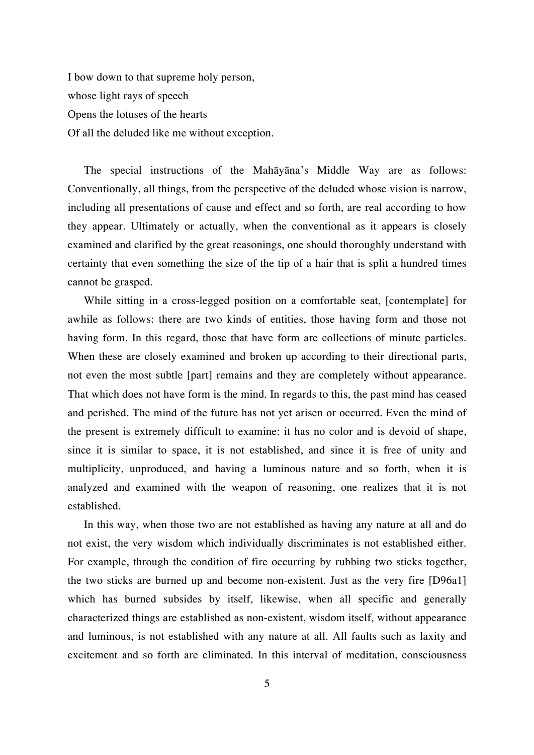I bow down to that supreme holy person, whose light rays of speech Opens the lotuses of the hearts Of all the deluded like me without exception.

 The special instructions of the Mahāyāna's Middle Way are as follows: Conventionally, all things, from the perspective of the deluded whose vision is narrow, including all presentations of cause and effect and so forth, are real according to how they appear. Ultimately or actually, when the conventional as it appears is closely examined and clarified by the great reasonings, one should thoroughly understand with certainty that even something the size of the tip of a hair that is split a hundred times cannot be grasped.

 While sitting in a cross-legged position on a comfortable seat, [contemplate] for awhile as follows: there are two kinds of entities, those having form and those not having form. In this regard, those that have form are collections of minute particles. When these are closely examined and broken up according to their directional parts, not even the most subtle [part] remains and they are completely without appearance. That which does not have form is the mind. In regards to this, the past mind has ceased and perished. The mind of the future has not yet arisen or occurred. Even the mind of the present is extremely difficult to examine: it has no color and is devoid of shape, since it is similar to space, it is not established, and since it is free of unity and multiplicity, unproduced, and having a luminous nature and so forth, when it is analyzed and examined with the weapon of reasoning, one realizes that it is not established.

 In this way, when those two are not established as having any nature at all and do not exist, the very wisdom which individually discriminates is not established either. For example, through the condition of fire occurring by rubbing two sticks together, the two sticks are burned up and become non-existent. Just as the very fire [D96a1] which has burned subsides by itself, likewise, when all specific and generally characterized things are established as non-existent, wisdom itself, without appearance and luminous, is not established with any nature at all. All faults such as laxity and excitement and so forth are eliminated. In this interval of meditation, consciousness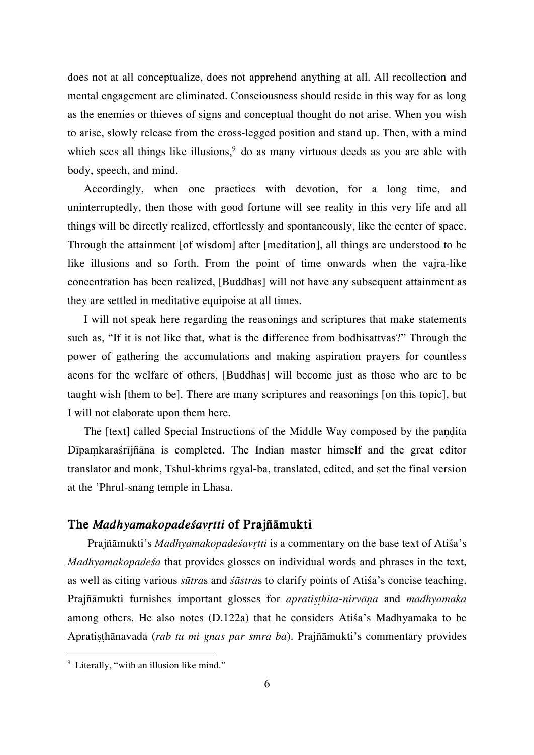does not at all conceptualize, does not apprehend anything at all. All recollection and mental engagement are eliminated. Consciousness should reside in this way for as long as the enemies or thieves of signs and conceptual thought do not arise. When you wish to arise, slowly release from the cross-legged position and stand up. Then, with a mind which sees all things like illusions, $9$  do as many virtuous deeds as you are able with body, speech, and mind.

 Accordingly, when one practices with devotion, for a long time, and uninterruptedly, then those with good fortune will see reality in this very life and all things will be directly realized, effortlessly and spontaneously, like the center of space. Through the attainment [of wisdom] after [meditation], all things are understood to be like illusions and so forth. From the point of time onwards when the vajra-like concentration has been realized, [Buddhas] will not have any subsequent attainment as they are settled in meditative equipoise at all times.

 I will not speak here regarding the reasonings and scriptures that make statements such as, "If it is not like that, what is the difference from bodhisattvas?" Through the power of gathering the accumulations and making aspiration prayers for countless aeons for the welfare of others, [Buddhas] will become just as those who are to be taught wish [them to be]. There are many scriptures and reasonings [on this topic], but I will not elaborate upon them here.

 The [text] called Special Instructions of the Middle Way composed by the paṇḍita Dīpaṃkaraśrījñāna is completed. The Indian master himself and the great editor translator and monk, Tshul-khrims rgyal-ba, translated, edited, and set the final version at the 'Phrul-snang temple in Lhasa.

# **The** *Madhyamakopadeśavṛtti* **of Prajñāmukti**

Prajñāmukti's *Madhyamakopadeśavṛtti* is a commentary on the base text of Atiśa's *Madhyamakopadeśa* that provides glosses on individual words and phrases in the text, as well as citing various *sūtra*s and *śāstra*s to clarify points of Atiśa's concise teaching. Prajñāmukti furnishes important glosses for *apratiṣṭhita-nirvāṇa* and *madhyamaka*  among others. He also notes (D.122a) that he considers Atiśa's Madhyamaka to be Apratiṣṭhānavada (*rab tu mi gnas par smra ba*). Prajñāmukti's commentary provides

<sup>&</sup>lt;sup>9</sup> Literally, "with an illusion like mind."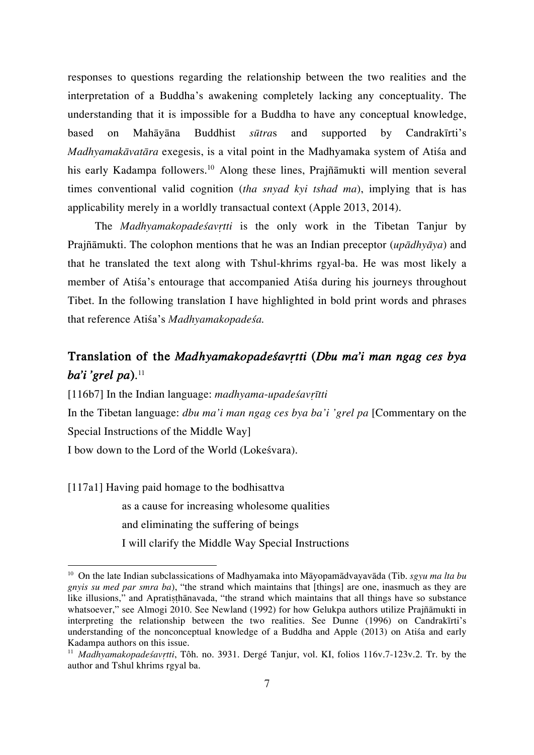responses to questions regarding the relationship between the two realities and the interpretation of a Buddha's awakening completely lacking any conceptuality. The understanding that it is impossible for a Buddha to have any conceptual knowledge, based on Mahāyāna Buddhist *sūtra*s and supported by Candrakīrti's *Madhyamakāvatāra* exegesis, is a vital point in the Madhyamaka system of Atiśa and his early Kadampa followers.<sup>10</sup> Along these lines, Prajñāmukti will mention several times conventional valid cognition (*tha snyad kyi tshad ma*), implying that is has applicability merely in a worldly transactual context (Apple 2013, 2014).

 The *Madhyamakopadeśavṛtti* is the only work in the Tibetan Tanjur by Prajñāmukti. The colophon mentions that he was an Indian preceptor (*upādhyāya*) and that he translated the text along with Tshul-khrims rgyal-ba. He was most likely a member of Atiśa's entourage that accompanied Atiśa during his journeys throughout Tibet. In the following translation I have highlighted in bold print words and phrases that reference Atiśa's *Madhyamakopadeśa.*

# **Translation of the** *Madhyamakopadeśavṛtti* **(***Dbu ma'i man ngag ces bya ba'i 'grel pa***)**. 11

[116b7] In the Indian language: *madhyama*-*upadeśavṛītti* In the Tibetan language: *dbu ma'i man ngag ces bya ba'i 'grel pa* [Commentary on the Special Instructions of the Middle Way] I bow down to the Lord of the World (Lokeśvara).

[117a1] Having paid homage to the bodhisattva

 $\overline{a}$ 

 as a cause for increasing wholesome qualities and eliminating the suffering of beings I will clarify the Middle Way Special Instructions

<sup>10</sup> On the late Indian subclassications of Madhyamaka into Māyopamādvayavāda (Tib. *sgyu ma lta bu gnyis su med par smra ba*), "the strand which maintains that [things] are one, inasmuch as they are like illusions," and Apratisthānavada, "the strand which maintains that all things have so substance whatsoever," see Almogi 2010. See Newland (1992) for how Gelukpa authors utilize Prajñāmukti in interpreting the relationship between the two realities. See Dunne (1996) on Candrakīrti's understanding of the nonconceptual knowledge of a Buddha and Apple (2013) on Atiśa and early Kadampa authors on this issue.

<sup>11</sup> *Madhyamakopadeśavṛtti*, Tôh. no. 3931. Dergé Tanjur, vol. KI, folios 116v.7-123v.2. Tr. by the author and Tshul khrims rgyal ba.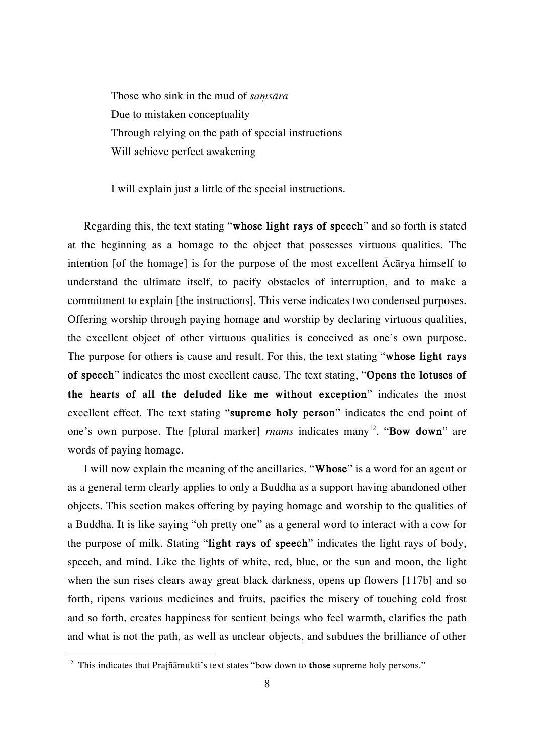Those who sink in the mud of *saṃsāra* Due to mistaken conceptuality Through relying on the path of special instructions Will achieve perfect awakening

I will explain just a little of the special instructions.

 Regarding this, the text stating "**whose light rays of speech**" and so forth is stated at the beginning as a homage to the object that possesses virtuous qualities. The intention [of the homage] is for the purpose of the most excellent Ācārya himself to understand the ultimate itself, to pacify obstacles of interruption, and to make a commitment to explain [the instructions]. This verse indicates two condensed purposes. Offering worship through paying homage and worship by declaring virtuous qualities, the excellent object of other virtuous qualities is conceived as one's own purpose. The purpose for others is cause and result. For this, the text stating "**whose light rays of speech**" indicates the most excellent cause. The text stating, "**Opens the lotuses of the hearts of all the deluded like me without exception**" indicates the most excellent effect. The text stating "**supreme holy person**" indicates the end point of one's own purpose. The [plural marker] *rnams* indicates many12. "**Bow down**" are words of paying homage.

 I will now explain the meaning of the ancillaries. "**Whose**" is a word for an agent or as a general term clearly applies to only a Buddha as a support having abandoned other objects. This section makes offering by paying homage and worship to the qualities of a Buddha. It is like saying "oh pretty one" as a general word to interact with a cow for the purpose of milk. Stating "**light rays of speech**" indicates the light rays of body, speech, and mind. Like the lights of white, red, blue, or the sun and moon, the light when the sun rises clears away great black darkness, opens up flowers [117b] and so forth, ripens various medicines and fruits, pacifies the misery of touching cold frost and so forth, creates happiness for sentient beings who feel warmth, clarifies the path and what is not the path, as well as unclear objects, and subdues the brilliance of other

<sup>12</sup> This indicates that Prajñāmukti's text states "bow down to **those** supreme holy persons."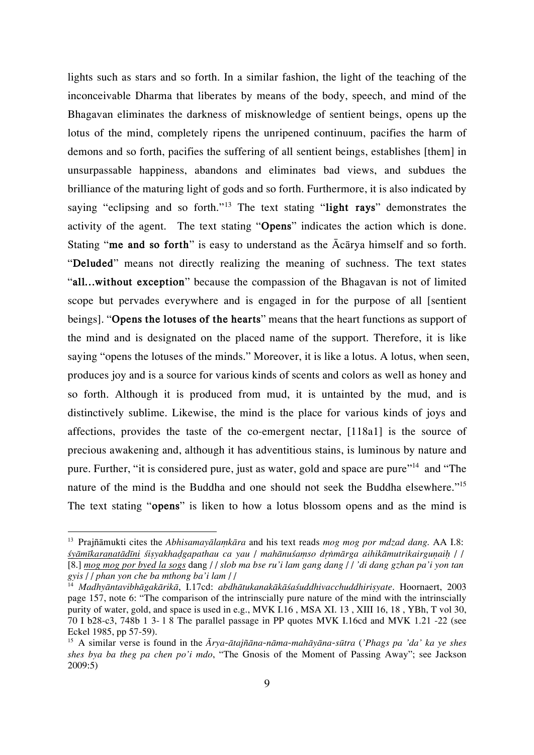lights such as stars and so forth. In a similar fashion, the light of the teaching of the inconceivable Dharma that liberates by means of the body, speech, and mind of the Bhagavan eliminates the darkness of misknowledge of sentient beings, opens up the lotus of the mind, completely ripens the unripened continuum, pacifies the harm of demons and so forth, pacifies the suffering of all sentient beings, establishes [them] in unsurpassable happiness, abandons and eliminates bad views, and subdues the brilliance of the maturing light of gods and so forth. Furthermore, it is also indicated by saying "eclipsing and so forth."<sup>13</sup> The text stating "**light rays**" demonstrates the activity of the agent. The text stating "**Opens**" indicates the action which is done. Stating "**me and so forth**" is easy to understand as the Ācārya himself and so forth. "**Deluded**" means not directly realizing the meaning of suchness. The text states "**all…without exception**" because the compassion of the Bhagavan is not of limited scope but pervades everywhere and is engaged in for the purpose of all [sentient beings]. "**Opens the lotuses of the hearts**" means that the heart functions as support of the mind and is designated on the placed name of the support. Therefore, it is like saying "opens the lotuses of the minds." Moreover, it is like a lotus. A lotus, when seen, produces joy and is a source for various kinds of scents and colors as well as honey and so forth. Although it is produced from mud, it is untainted by the mud, and is distinctively sublime. Likewise, the mind is the place for various kinds of joys and affections, provides the taste of the co-emergent nectar, [118a1] is the source of precious awakening and, although it has adventitious stains, is luminous by nature and pure. Further, "it is considered pure, just as water, gold and space are pure"<sup>14</sup> and "The nature of the mind is the Buddha and one should not seek the Buddha elsewhere."<sup>15</sup> The text stating "**opens**" is liken to how a lotus blossom opens and as the mind is

<sup>13</sup> Prajñāmukti cites the *Abhisamayālaṃkāra* and his text reads *mog mog por mdzad dang.* AA I.8: śyāmīkaranatādīni śisyakhadgapathau ca yau / mahānuśamso drṅmārga aihikāmutrikairgunaih / / [8.] *mog mog por byed la sogs* dang / / *slob ma bse ru'i lam gang dang* / / *'di dang gzhan pa'i yon tan gyis* / / *phan yon che ba mthong ba'i lam* / /

<sup>&</sup>lt;sup>14</sup> Madhyāntavibhāgakārikā, I.17cd: abdhātukanakākāśaśuddhivacchuddhirisyate. Hoornaert, 2003 page 157, note 6: "The comparison of the intrinscially pure nature of the mind with the intrinscially purity of water, gold, and space is used in e.g., MVK I.16 , MSA XI. 13 , XIII 16, 18 , YBh, T vol 30, 70 I b28-c3, 748b 1 3- l 8 The parallel passage in PP quotes MVK I.16cd and MVK 1.21 -22 (see Eckel 1985, pp 57-59).

<sup>15</sup> A similar verse is found in the *Ārya-ātajñāna-nāma-mahāyāna-sūtra* (*'Phags pa 'da' ka ye shes shes bya ba theg pa chen po'i mdo*, "The Gnosis of the Moment of Passing Away"; see Jackson 2009:5)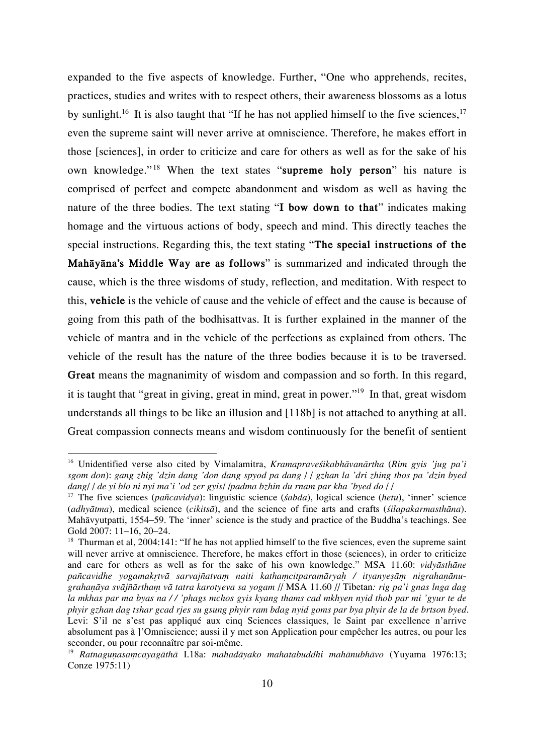expanded to the five aspects of knowledge. Further, "One who apprehends, recites, practices, studies and writes with to respect others, their awareness blossoms as a lotus by sunlight.<sup>16</sup> It is also taught that "If he has not applied himself to the five sciences,<sup>17</sup> even the supreme saint will never arrive at omniscience. Therefore, he makes effort in those [sciences], in order to criticize and care for others as well as for the sake of his own knowledge." <sup>18</sup> When the text states "**supreme holy person**" his nature is comprised of perfect and compete abandonment and wisdom as well as having the nature of the three bodies. The text stating "**I bow down to that**" indicates making homage and the virtuous actions of body, speech and mind. This directly teaches the special instructions. Regarding this, the text stating "**The special instructions of the Mahāyāna's Middle Way are as follows**" is summarized and indicated through the cause, which is the three wisdoms of study, reflection, and meditation. With respect to this, **vehicle** is the vehicle of cause and the vehicle of effect and the cause is because of going from this path of the bodhisattvas. It is further explained in the manner of the vehicle of mantra and in the vehicle of the perfections as explained from others. The vehicle of the result has the nature of the three bodies because it is to be traversed. **Great** means the magnanimity of wisdom and compassion and so forth. In this regard, it is taught that "great in giving, great in mind, great in power."<sup>19</sup> In that, great wisdom understands all things to be like an illusion and [118b] is not attached to anything at all. Great compassion connects means and wisdom continuously for the benefit of sentient

<sup>16</sup> Unidentified verse also cited by Vimalamitra, *Kramapraveśikabhāvanārtha* (*Rim gyis 'jug pa'i sgom don*): *gang zhig 'dzin dang 'don dang spyod pa dang* / / *gzhan la 'dri zhing thos pa 'dzin byed dang*/ / *de yi blo ni nyi ma'i 'od zer gyis*/ /*padma bzhin du rnam par kha 'byed do* / /

<sup>17</sup> The five sciences (*pañcavidyā*): linguistic science (*śabda*), logical science (*hetu*), 'inner' science (*adhyātma*), medical science (*cikitsā*), and the science of fine arts and crafts (*śilapakarmasthāna*). Mahāvyutpatti, 1554–59. The 'inner' science is the study and practice of the Buddha's teachings. See Gold 2007: 11–16, 20–24.

 $18$  Thurman et al,  $2004:141$ : "If he has not applied himself to the five sciences, even the supreme saint will never arrive at omniscience. Therefore, he makes effort in those (sciences), in order to criticize and care for others as well as for the sake of his own knowledge." MSA 11.60: *vidyāsthāne pañcavidhe yogamakṛtvā sarvajñatvaṃ naiti kathaṃcitparamāryaḥ / ityanyeṣāṃ nigrahaṇānugrahaṇāya svājñārthaṃ vā tatra karotyeva sa yogam* // MSA 11.60 // Tibetan*: rig pa'i gnas lnga dag la mkhas par ma byas na / / 'phags mchos gyis kyang thams cad mkhyen nyid thob par mi 'gyur te de phyir gzhan dag tshar gcad rjes su gsung phyir ram bdag nyid goms par bya phyir de la de brtson byed*. Levi: S'il ne s'est pas appliqué aux cinq Sciences classiques, le Saint par excellence n'arrive absolument pas à ]'Omniscience; aussi il y met son Application pour empêcher les autres, ou pour les seconder, ou pour reconnaître par soi-même.

<sup>19</sup> *Ratnaguṇasaṃcayagāthā* I.18a: *mahadāyako mahatabuddhi mahānubhāvo* (Yuyama 1976:13; Conze 1975:11)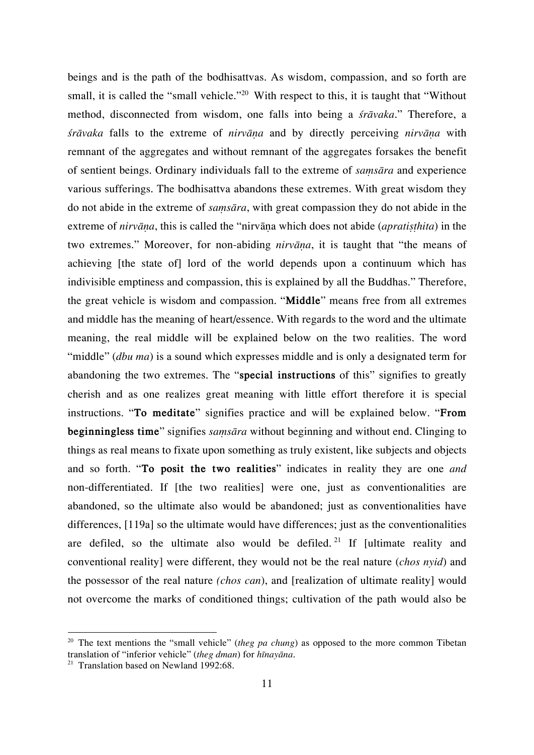beings and is the path of the bodhisattvas. As wisdom, compassion, and so forth are small, it is called the "small vehicle."<sup>20</sup> With respect to this, it is taught that "Without" method, disconnected from wisdom, one falls into being a *śrāvaka*." Therefore, a *śrāvaka* falls to the extreme of *nirvāṇa* and by directly perceiving *nirvāṇa* with remnant of the aggregates and without remnant of the aggregates forsakes the benefit of sentient beings. Ordinary individuals fall to the extreme of *saṃsāra* and experience various sufferings. The bodhisattva abandons these extremes. With great wisdom they do not abide in the extreme of *saṃsāra*, with great compassion they do not abide in the extreme of *nirvāṇa*, this is called the "nirvāṇa which does not abide (*apratiṣṭhita*) in the two extremes." Moreover, for non-abiding *nirvāṇa*, it is taught that "the means of achieving [the state of] lord of the world depends upon a continuum which has indivisible emptiness and compassion, this is explained by all the Buddhas." Therefore, the great vehicle is wisdom and compassion. "**Middle**" means free from all extremes and middle has the meaning of heart/essence. With regards to the word and the ultimate meaning, the real middle will be explained below on the two realities. The word "middle" (*dbu ma*) is a sound which expresses middle and is only a designated term for abandoning the two extremes. The "**special instructions** of this" signifies to greatly cherish and as one realizes great meaning with little effort therefore it is special instructions. "**To meditate**" signifies practice and will be explained below. "**From beginningless time**" signifies *saṃsāra* without beginning and without end. Clinging to things as real means to fixate upon something as truly existent, like subjects and objects and so forth. "**To posit the two realities**" indicates in reality they are one *and* non-differentiated. If [the two realities] were one, just as conventionalities are abandoned, so the ultimate also would be abandoned; just as conventionalities have differences, [119a] so the ultimate would have differences; just as the conventionalities are defiled, so the ultimate also would be defiled.<sup>21</sup> If [ultimate reality and conventional reality] were different, they would not be the real nature (*chos nyid*) and the possessor of the real nature *(chos can*), and [realization of ultimate reality] would not overcome the marks of conditioned things; cultivation of the path would also be

<sup>&</sup>lt;sup>20</sup> The text mentions the "small vehicle" (*theg pa chung*) as opposed to the more common Tibetan translation of "inferior vehicle" (*theg dman*) for *hīnayāna*.

<sup>&</sup>lt;sup>21</sup> Translation based on Newland 1992:68.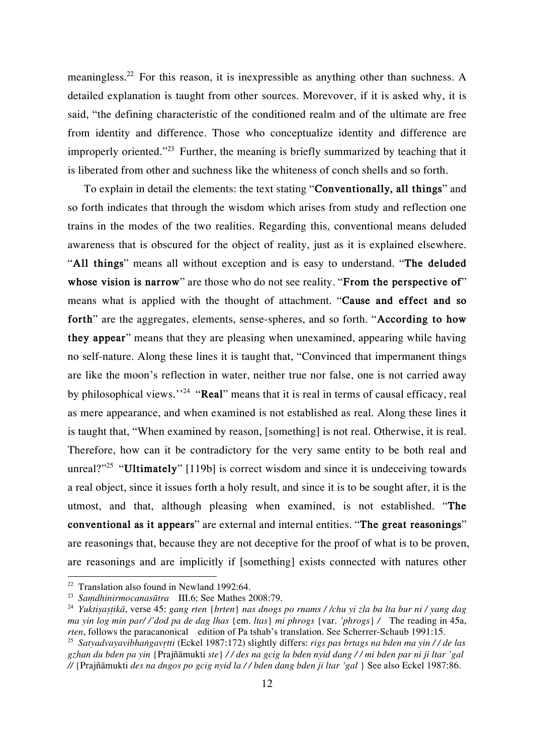meaningless.22 For this reason, it is inexpressible as anything other than suchness. A detailed explanation is taught from other sources. Morevover, if it is asked why, it is said, "the defining characteristic of the conditioned realm and of the ultimate are free from identity and difference. Those who conceptualize identity and difference are improperly oriented."<sup>23</sup> Further, the meaning is briefly summarized by teaching that it is liberated from other and suchness like the whiteness of conch shells and so forth.

 To explain in detail the elements: the text stating "**Conventionally, all things**" and so forth indicates that through the wisdom which arises from study and reflection one trains in the modes of the two realities. Regarding this, conventional means deluded awareness that is obscured for the object of reality, just as it is explained elsewhere. "**All things**" means all without exception and is easy to understand. "**The deluded whose vision is narrow**" are those who do not see reality. "**From the perspective of**" means what is applied with the thought of attachment. "**Cause and effect and so forth**" are the aggregates, elements, sense-spheres, and so forth. "**According to how they appear**" means that they are pleasing when unexamined, appearing while having no self-nature. Along these lines it is taught that, "Convinced that impermanent things are like the moon's reflection in water, neither true nor false, one is not carried away by philosophical views.''24 "**Real**" means that it is real in terms of causal efficacy, real as mere appearance, and when examined is not established as real. Along these lines it is taught that, "When examined by reason, [something] is not real. Otherwise, it is real. Therefore, how can it be contradictory for the very same entity to be both real and unreal?"<sup>25</sup> "**Ultimately**" [119b] is correct wisdom and since it is undeceiving towards a real object, since it issues forth a holy result, and since it is to be sought after, it is the utmost, and that, although pleasing when examined, is not established. "**The conventional as it appears**" are external and internal entities. "**The great reasonings**" are reasonings that, because they are not deceptive for the proof of what is to be proven, are reasonings and are implicitly if [something] exists connected with natures other

<sup>&</sup>lt;sup>22</sup> Translation also found in Newland 1992:64.

<sup>23</sup> *Saṃdhinirmocanasūtra* III.6; See Mathes 2008:79.

<sup>24</sup> *Yuktiṣaṣṭikā*, verse 45: *gang rten* {*brten*} *nas dnogs po rnams / /chu yi zla ba lta bur ni / yang dag ma yin log min par/ /'dod pa de dag lhas* {em. *ltas*} *mi phrogs* {var. *'phrogs*} */* The reading in 45a, *rten*, follows the paracanonical edition of Pa tshab's translation. See Scherrer-Schaub 1991:15.

<sup>25</sup> *Satyadvayavibhaṅgavṛtti* (Eckel 1987:172) slightly differs: *rigs pas brtags na bden ma yin / / de las gzhan du bden pa yin* {Prajñāmukti *ste*} */ / des na gcig la bden nyid dang / / mi bden par ni ji ltar 'gal //* {Prajñāmukti *des na dngos po gcig nyid la / / bden dang bden ji ltar 'gal* } See also Eckel 1987:86.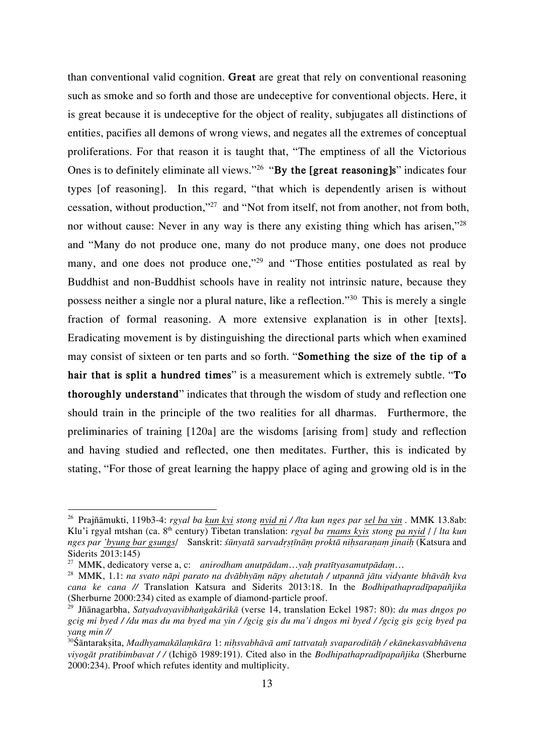than conventional valid cognition. **Great** are great that rely on conventional reasoning such as smoke and so forth and those are undeceptive for conventional objects. Here, it is great because it is undeceptive for the object of reality, subjugates all distinctions of entities, pacifies all demons of wrong views, and negates all the extremes of conceptual proliferations. For that reason it is taught that, "The emptiness of all the Victorious Ones is to definitely eliminate all views."<sup>26</sup> "**By the [great reasoning]s**" indicates four types [of reasoning]. In this regard, "that which is dependently arisen is without cessation, without production,"<sup>27</sup> and "Not from itself, not from another, not from both, nor without cause: Never in any way is there any existing thing which has arisen,"<sup>28</sup> and "Many do not produce one, many do not produce many, one does not produce many, and one does not produce one,"<sup>29</sup> and "Those entities postulated as real by Buddhist and non-Buddhist schools have in reality not intrinsic nature, because they possess neither a single nor a plural nature, like a reflection."<sup>30</sup> This is merely a single fraction of formal reasoning. A more extensive explanation is in other [texts]. Eradicating movement is by distinguishing the directional parts which when examined may consist of sixteen or ten parts and so forth. "**Something the size of the tip of a hair that is split a hundred times**" is a measurement which is extremely subtle. "**To thoroughly understand**" indicates that through the wisdom of study and reflection one should train in the principle of the two realities for all dharmas. Furthermore, the preliminaries of training [120a] are the wisdoms [arising from] study and reflection and having studied and reflected, one then meditates. Further, this is indicated by stating, "For those of great learning the happy place of aging and growing old is in the

<sup>26</sup> Prajñāmukti, 119b3-4: *rgyal ba kun kyi stong nyid ni / /lta kun nges par sel ba yin .* MMK 13.8ab: Klu'i rgyal mtshan (ca. 8<sup>th</sup> century) Tibetan translation: *rgyal ba rnams kyis stong pa nyid* / / *lta kun nges par 'byung bar gsungs*/ Sanskrit: *śūnyatā sarvadṛṣṭīnāṃ proktā niḥsaraṇaṃ jinaiḥ* (Katsura and Siderits 2013:145)

<sup>27</sup> MMK, dedicatory verse a, c: *anirodham anutpādam…yaḥ pratītyasamutpādaṃ…*

<sup>&</sup>lt;sup>28</sup> MMK, 1.1: na svato nāpi parato na dvābhyām nāpy ahetutah / utpannā jātu vidyante bhāvāh kva *cana ke cana //* Translation Katsura and Siderits 2013:18. In the *Bodhipathapradīpapañjika*  (Sherburne 2000:234) cited as example of diamond-particle proof.

<sup>29</sup> Jñānagarbha, *Satyadvayavibhaṅgakārikā* (verse 14, translation Eckel 1987: 80): *du mas dngos po gcig mi byed / /du mas du ma byed ma yin / /gcig gis du ma'i dngos mi byed / /gcig gis gcig byed pa yang min //* 

<sup>&</sup>lt;sup>30</sup>Šāntaraksita, Madhyamakālamkāra 1: nihsvabhāvā amī tattvatah svaparoditāh / ekānekasvabhāvena *viyogāt pratibimbavat / /* (Ichigō 1989:191). Cited also in the *Bodhipathapradīpapañjika* (Sherburne 2000:234). Proof which refutes identity and multiplicity.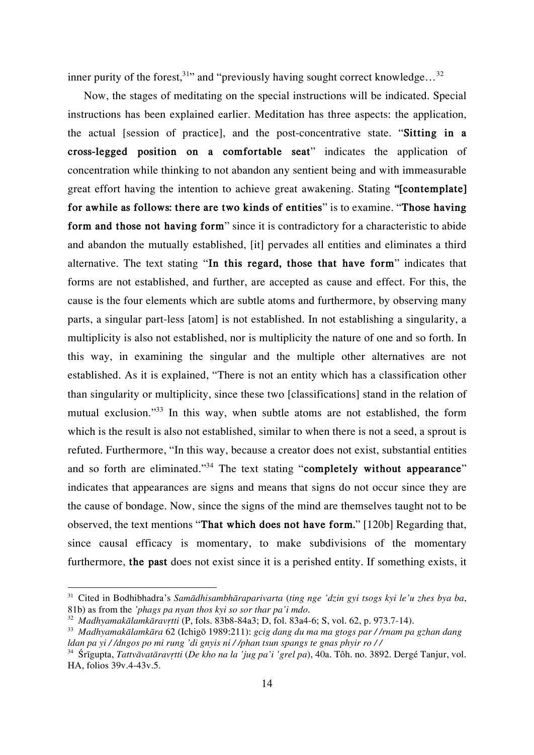inner purity of the forest,  $31$ <sup>31</sup> and "previously having sought correct knowledge...<sup>32</sup>

 Now, the stages of meditating on the special instructions will be indicated. Special instructions has been explained earlier. Meditation has three aspects: the application, the actual [session of practice], and the post-concentrative state. "**Sitting in a cross-legged position on a comfortable seat**" indicates the application of concentration while thinking to not abandon any sentient being and with immeasurable great effort having the intention to achieve great awakening. Stating **"[contemplate] for awhile as follows: there are two kinds of entities**" is to examine. "**Those having form and those not having form**" since it is contradictory for a characteristic to abide and abandon the mutually established, [it] pervades all entities and eliminates a third alternative. The text stating "**In this regard, those that have form**" indicates that forms are not established, and further, are accepted as cause and effect. For this, the cause is the four elements which are subtle atoms and furthermore, by observing many parts, a singular part-less [atom] is not established. In not establishing a singularity, a multiplicity is also not established, nor is multiplicity the nature of one and so forth. In this way, in examining the singular and the multiple other alternatives are not established. As it is explained, "There is not an entity which has a classification other than singularity or multiplicity, since these two [classifications] stand in the relation of mutual exclusion."<sup>33</sup> In this way, when subtle atoms are not established, the form which is the result is also not established, similar to when there is not a seed, a sprout is refuted. Furthermore, "In this way, because a creator does not exist, substantial entities and so forth are eliminated."<sup>34</sup> The text stating "**completely without appearance**" indicates that appearances are signs and means that signs do not occur since they are the cause of bondage. Now, since the signs of the mind are themselves taught not to be observed, the text mentions "**That which does not have form.**" [120b] Regarding that, since causal efficacy is momentary, to make subdivisions of the momentary furthermore, **the past** does not exist since it is a perished entity. If something exists, it

<sup>31</sup> Cited in Bodhibhadra's *Samādhisambhāraparivarta* (*ting nge 'dzin gyi tsogs kyi le'u zhes bya ba*, 81b) as from the *'phags pa nyan thos kyi so sor thar pa'i mdo*.

<sup>32</sup> *Madhyamakālamkāravṛtti* (P, fols. 83b8-84a3; D, fol. 83a4-6; S, vol. 62, p. 973.7-14).

<sup>33</sup> *Madhyamakālamkāra* 62 (Ichigō 1989:211): *gcig dang du ma ma gtogs par / /rnam pa gzhan dang ldan pa yi / /dngos po mi rung 'di gnyis ni / /phan tsun spangs te gnas phyir ro / /*

<sup>34</sup> Śrīgupta, *Tattvāvatāravṛtti* (*De kho na la 'jug pa'i 'grel pa*), 40a. Tôh. no. 3892. Dergé Tanjur, vol. HA, folios 39v.4-43v.5.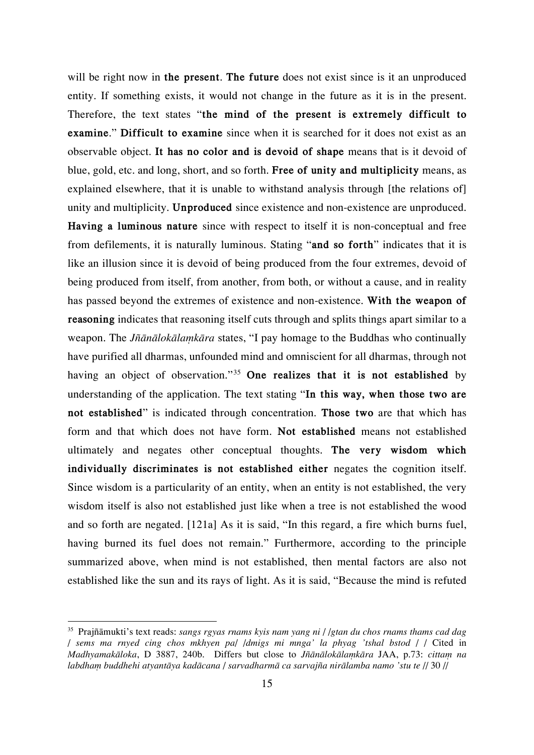will be right now in **the present**. **The future** does not exist since is it an unproduced entity. If something exists, it would not change in the future as it is in the present. Therefore, the text states "**the mind of the present is extremely difficult to examine**." **Difficult to examine** since when it is searched for it does not exist as an observable object. **It has no color and is devoid of shape** means that is it devoid of blue, gold, etc. and long, short, and so forth. **Free of unity and multiplicity** means, as explained elsewhere, that it is unable to withstand analysis through [the relations of] unity and multiplicity. **Unproduced** since existence and non-existence are unproduced. **Having a luminous nature** since with respect to itself it is non-conceptual and free from defilements, it is naturally luminous. Stating "**and so forth**" indicates that it is like an illusion since it is devoid of being produced from the four extremes, devoid of being produced from itself, from another, from both, or without a cause, and in reality has passed beyond the extremes of existence and non-existence. **With the weapon of reasoning** indicates that reasoning itself cuts through and splits things apart similar to a weapon. The *Jñānālokālaṃkāra* states, "I pay homage to the Buddhas who continually have purified all dharmas, unfounded mind and omniscient for all dharmas, through not having an object of observation."<sup>35</sup> **One realizes that it is not established** by understanding of the application. The text stating "**In this way, when those two are not established**" is indicated through concentration. **Those two** are that which has form and that which does not have form. **Not established** means not established ultimately and negates other conceptual thoughts. **The very wisdom which individually discriminates is not established either** negates the cognition itself. Since wisdom is a particularity of an entity, when an entity is not established, the very wisdom itself is also not established just like when a tree is not established the wood and so forth are negated. [121a] As it is said, "In this regard, a fire which burns fuel, having burned its fuel does not remain." Furthermore, according to the principle summarized above, when mind is not established, then mental factors are also not established like the sun and its rays of light. As it is said, "Because the mind is refuted

<sup>35</sup> Prajñāmukti's text reads: *sangs rgyas rnams kyis nam yang ni* / /*gtan du chos rnams thams cad dag* / *sems ma rnyed cing chos mkhyen pa*/ /*dmigs mi mnga' la phyag 'tshal bstod* / / Cited in *Madhyamakāloka*, D 3887, 240b. Differs but close to *Jñānālokālaṃkāra* JAA, p.73: *cittaṃ na labdhaṃ buddhehi atyantāya kadācana* / *sarvadharmā ca sarvajña nirālamba namo 'stu te* // 30 //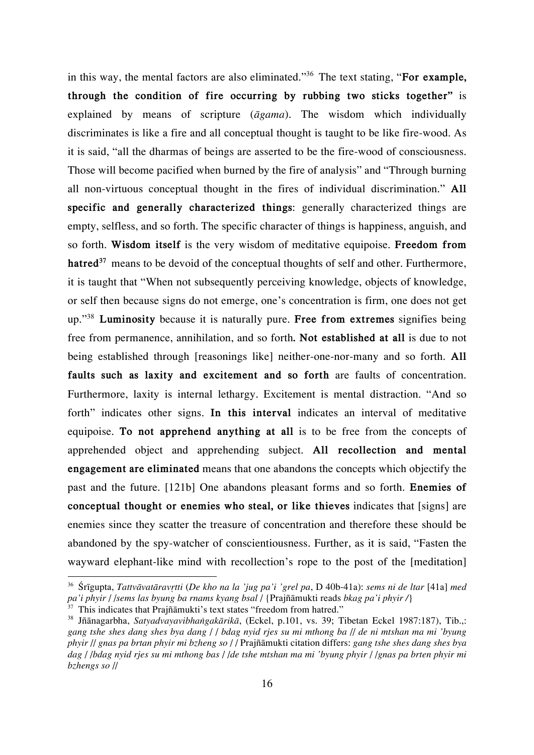in this way, the mental factors are also eliminated."<sup>36</sup> The text stating, "**For example, through the condition of fire occurring by rubbing two sticks together"** is explained by means of scripture (*āgama*). The wisdom which individually discriminates is like a fire and all conceptual thought is taught to be like fire-wood. As it is said, "all the dharmas of beings are asserted to be the fire-wood of consciousness. Those will become pacified when burned by the fire of analysis" and "Through burning all non-virtuous conceptual thought in the fires of individual discrimination." **All specific and generally characterized things**: generally characterized things are empty, selfless, and so forth. The specific character of things is happiness, anguish, and so forth. **Wisdom itself** is the very wisdom of meditative equipoise. **Freedom from hatred<sup>37</sup>** means to be devoid of the conceptual thoughts of self and other. Furthermore, it is taught that "When not subsequently perceiving knowledge, objects of knowledge, or self then because signs do not emerge, one's concentration is firm, one does not get up."<sup>38</sup> **Luminosity** because it is naturally pure. **Free from extremes** signifies being free from permanence, annihilation, and so forth**. Not established at all** is due to not being established through [reasonings like] neither-one-nor-many and so forth. **All faults such as laxity and excitement and so forth** are faults of concentration. Furthermore, laxity is internal lethargy. Excitement is mental distraction. "And so forth" indicates other signs. **In this interval** indicates an interval of meditative equipoise. **To not apprehend anything at all** is to be free from the concepts of apprehended object and apprehending subject. **All recollection and mental engagement are eliminated** means that one abandons the concepts which objectify the past and the future. [121b] One abandons pleasant forms and so forth. **Enemies of conceptual thought or enemies who steal, or like thieves** indicates that [signs] are enemies since they scatter the treasure of concentration and therefore these should be abandoned by the spy-watcher of conscientiousness. Further, as it is said, "Fasten the wayward elephant-like mind with recollection's rope to the post of the [meditation]

<sup>36</sup> Śrīgupta, *Tattvāvatāravṛtti* (*De kho na la 'jug pa'i 'grel pa*, D 40b-41a): *sems ni de ltar* [41a] *med pa'i phyir* / /*sems las byung ba rnams kyang bsal* / {Prajñāmukti reads *bkag pa'i phyir /*}

<sup>&</sup>lt;sup>37</sup> This indicates that Prajñāmukti's text states "freedom from hatred."

<sup>38</sup> Jñānagarbha, *Satyadvayavibhaṅgakārikā*, (Eckel, p.101, vs. 39; Tibetan Eckel 1987:187), Tib.,: *gang tshe shes dang shes bya dang* / / *bdag nyid rjes su mi mthong ba* // *de ni mtshan ma mi 'byung phyir* // *gnas pa brtan phyir mi bzheng so* / / Prajñāmukti citation differs: *gang tshe shes dang shes bya dag* / /*bdag nyid rjes su mi mthong bas* / /*de tshe mtshan ma mi 'byung phyir* / /*gnas pa brten phyir mi bzhengs so* //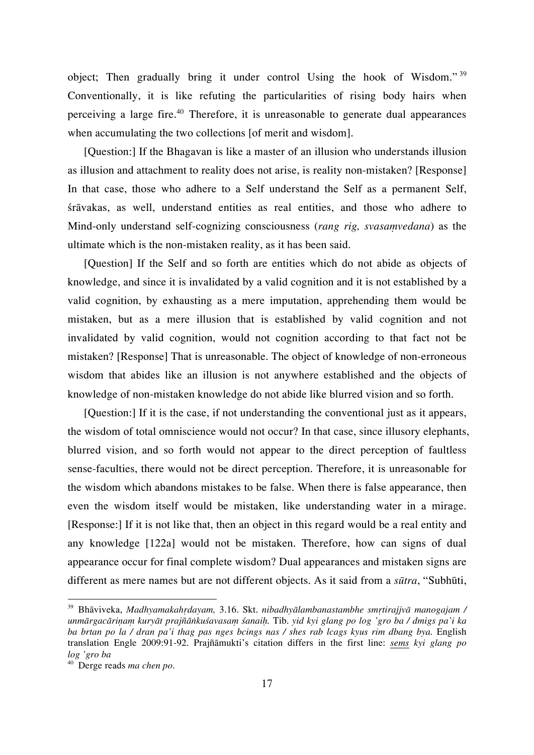object; Then gradually bring it under control Using the hook of Wisdom."<sup>39</sup> Conventionally, it is like refuting the particularities of rising body hairs when perceiving a large fire.<sup>40</sup> Therefore, it is unreasonable to generate dual appearances when accumulating the two collections [of merit and wisdom].

 [Question:] If the Bhagavan is like a master of an illusion who understands illusion as illusion and attachment to reality does not arise, is reality non-mistaken? [Response] In that case, those who adhere to a Self understand the Self as a permanent Self, śrāvakas, as well, understand entities as real entities, and those who adhere to Mind-only understand self-cognizing consciousness (*rang rig, svasaṃvedana*) as the ultimate which is the non-mistaken reality, as it has been said.

 [Question] If the Self and so forth are entities which do not abide as objects of knowledge, and since it is invalidated by a valid cognition and it is not established by a valid cognition, by exhausting as a mere imputation, apprehending them would be mistaken, but as a mere illusion that is established by valid cognition and not invalidated by valid cognition, would not cognition according to that fact not be mistaken? [Response] That is unreasonable. The object of knowledge of non-erroneous wisdom that abides like an illusion is not anywhere established and the objects of knowledge of non-mistaken knowledge do not abide like blurred vision and so forth.

 [Question:] If it is the case, if not understanding the conventional just as it appears, the wisdom of total omniscience would not occur? In that case, since illusory elephants, blurred vision, and so forth would not appear to the direct perception of faultless sense-faculties, there would not be direct perception. Therefore, it is unreasonable for the wisdom which abandons mistakes to be false. When there is false appearance, then even the wisdom itself would be mistaken, like understanding water in a mirage. [Response:] If it is not like that, then an object in this regard would be a real entity and any knowledge [122a] would not be mistaken. Therefore, how can signs of dual appearance occur for final complete wisdom? Dual appearances and mistaken signs are different as mere names but are not different objects. As it said from a *sūtra*, "Subhūti,

<sup>39</sup> Bhāviveka, *Madhyamakahṛdayam,* 3.16. Skt. *nibadhyālambanastambhe smṛtirajjvā manogajam /*  unmārgacāriņam kuryāt prajñānkuśavasam śanaih. Tib. yid kyi glang po log 'gro ba / dmigs pa'i ka *ba brtan po la / dran pa'i thag pas nges bcings nas / shes rab lcags kyus rim dbang bya.* English translation Engle 2009:91-92. Prajñāmukti's citation differs in the first line: *sems kyi glang po log 'gro ba* 

<sup>40</sup> Derge reads *ma chen po*.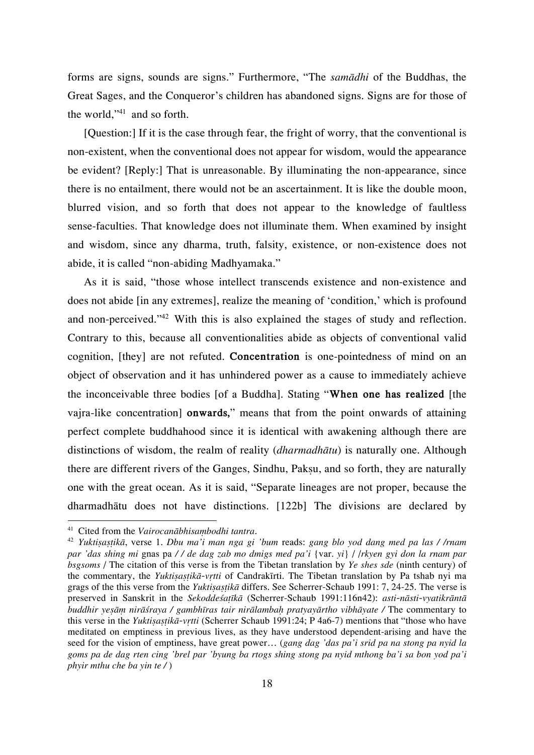forms are signs, sounds are signs." Furthermore, "The *samādhi* of the Buddhas, the Great Sages, and the Conqueror's children has abandoned signs. Signs are for those of the world,"<sup>41</sup> and so forth.

 [Question:] If it is the case through fear, the fright of worry, that the conventional is non-existent, when the conventional does not appear for wisdom, would the appearance be evident? [Reply:] That is unreasonable. By illuminating the non-appearance, since there is no entailment, there would not be an ascertainment. It is like the double moon, blurred vision, and so forth that does not appear to the knowledge of faultless sense-faculties. That knowledge does not illuminate them. When examined by insight and wisdom, since any dharma, truth, falsity, existence, or non-existence does not abide, it is called "non-abiding Madhyamaka."

 As it is said, "those whose intellect transcends existence and non-existence and does not abide [in any extremes], realize the meaning of 'condition,' which is profound and non-perceived."<sup>42</sup> With this is also explained the stages of study and reflection. Contrary to this, because all conventionalities abide as objects of conventional valid cognition, [they] are not refuted. **Concentration** is one-pointedness of mind on an object of observation and it has unhindered power as a cause to immediately achieve the inconceivable three bodies [of a Buddha]. Stating "**When one has realized** [the vajra-like concentration] **onwards,**" means that from the point onwards of attaining perfect complete buddhahood since it is identical with awakening although there are distinctions of wisdom, the realm of reality (*dharmadhātu*) is naturally one. Although there are different rivers of the Ganges, Sindhu, Paksu, and so forth, they are naturally one with the great ocean. As it is said, "Separate lineages are not proper, because the dharmadhātu does not have distinctions. [122b] The divisions are declared by

<sup>41</sup> Cited from the *Vairocanābhisaṃbodhi tantra*.

<sup>42</sup> *Yuktiṣaṣṭikā*, verse 1. *Dbu ma'i man nga gi 'bum* reads: *gang blo yod dang med pa las / /rnam par 'das shing mi* gnas pa */ / de dag zab mo dmigs med pa'i* {var. *yi*} / /*rkyen gyi don la rnam par bsgsoms* / The citation of this verse is from the Tibetan translation by *Ye shes sde* (ninth century) of the commentary, the *Yuktiṣaṣṭikā-vṛtti* of Candrakīrti. The Tibetan translation by Pa tshab nyi ma grags of the this verse from the *Yuktiṣaṣṭikā* differs. See Scherrer-Schaub 1991: 7, 24-25. The verse is preserved in Sanskrit in the *Sekoddeśaṭīkā* (Scherrer-Schaub 1991:116n42): *asti-nāsti-vyatikrāntā buddhir yeṣāṃ nirāśraya / gambhīras tair nirālambaḥ pratyayārtho vibhāyate /* The commentary to this verse in the *Yuktiṣaṣṭikā-vṛtti* (Scherrer Schaub 1991:24; P 4a6-7) mentions that "those who have meditated on emptiness in previous lives, as they have understood dependent-arising and have the seed for the vision of emptiness, have great power… (*gang dag 'das pa'i srid pa na stong pa nyid la goms pa de dag rten cing 'brel par 'byung ba rtogs shing stong pa nyid mthong ba'i sa bon yod pa'i phyir mthu che ba yin te /* )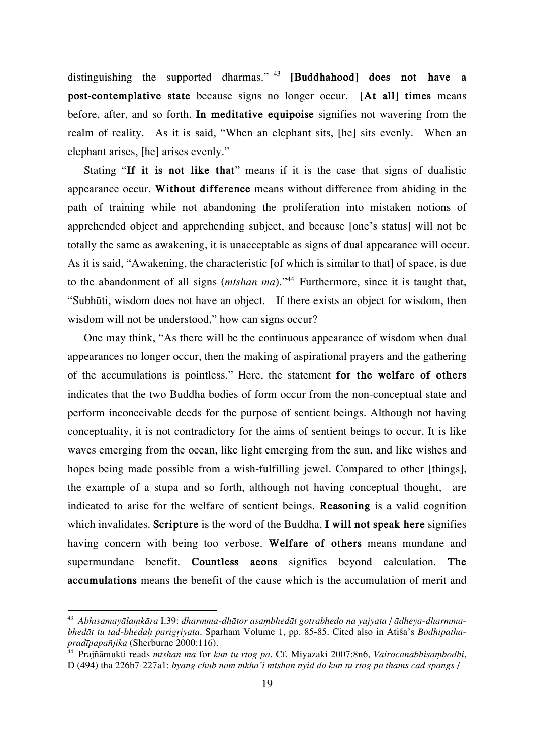distinguishing the supported dharmas." <sup>43</sup> **[Buddhahood] does not have a post-contemplative state** because signs no longer occur. [**At all**] **times** means before, after, and so forth. **In meditative equipoise** signifies not wavering from the realm of reality. As it is said, "When an elephant sits, [he] sits evenly. When an elephant arises, [he] arises evenly."

 Stating "**If it is not like that**" means if it is the case that signs of dualistic appearance occur. **Without difference** means without difference from abiding in the path of training while not abandoning the proliferation into mistaken notions of apprehended object and apprehending subject, and because [one's status] will not be totally the same as awakening, it is unacceptable as signs of dual appearance will occur. As it is said, "Awakening, the characteristic [of which is similar to that] of space, is due to the abandonment of all signs *(mtshan ma)*."<sup>44</sup> Furthermore, since it is taught that, "Subhūti, wisdom does not have an object. If there exists an object for wisdom, then wisdom will not be understood," how can signs occur?

 One may think, "As there will be the continuous appearance of wisdom when dual appearances no longer occur, then the making of aspirational prayers and the gathering of the accumulations is pointless." Here, the statement **for the welfare of others** indicates that the two Buddha bodies of form occur from the non-conceptual state and perform inconceivable deeds for the purpose of sentient beings. Although not having conceptuality, it is not contradictory for the aims of sentient beings to occur. It is like waves emerging from the ocean, like light emerging from the sun, and like wishes and hopes being made possible from a wish-fulfilling jewel. Compared to other [things], the example of a stupa and so forth, although not having conceptual thought, are indicated to arise for the welfare of sentient beings. **Reasoning** is a valid cognition which invalidates. **Scripture** is the word of the Buddha. **I will not speak here** signifies having concern with being too verbose. **Welfare of others** means mundane and supermundane benefit. **Countless aeons** signifies beyond calculation. **The accumulations** means the benefit of the cause which is the accumulation of merit and

<sup>43</sup> *Abhisamayālaṃkāra* I.39: *dharmma-dhātor asaṃbhedāt gotrabhedo na yujyata* / *ādheya-dharmmabhedāt tu tad-bhedaḥ parigṛiyata*. Sparham Volume 1, pp. 85-85. Cited also in Atiśa's *Bodhipathapradīpapañjika* (Sherburne 2000:116).

<sup>44</sup> Prajñāmukti reads *mtshan ma* for *kun tu rtog pa*. Cf. Miyazaki 2007:8n6, *Vairocanābhisaṃbodhi*, D (494) tha 226b7-227a1: *byang chub nam mkha'i mtshan nyid do kun tu rtog pa thams cad spangs* /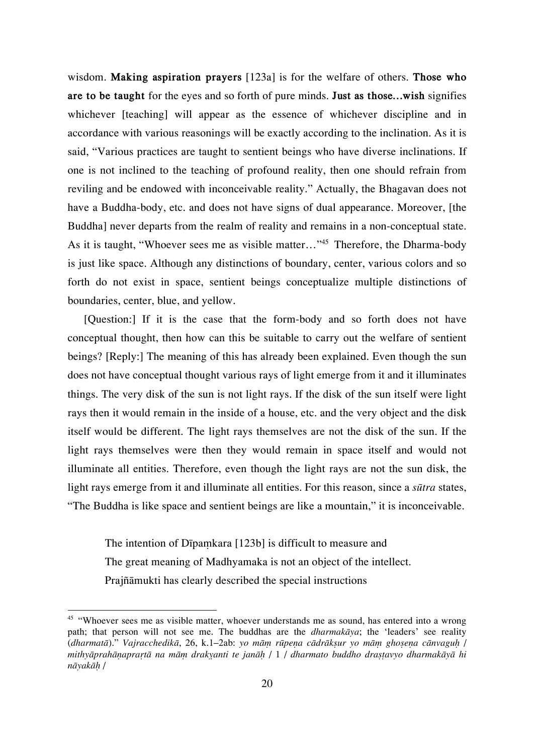wisdom. **Making aspiration prayers** [123a] is for the welfare of others. **Those who are to be taught** for the eyes and so forth of pure minds. **Just as those…wish** signifies whichever [teaching] will appear as the essence of whichever discipline and in accordance with various reasonings will be exactly according to the inclination. As it is said, "Various practices are taught to sentient beings who have diverse inclinations. If one is not inclined to the teaching of profound reality, then one should refrain from reviling and be endowed with inconceivable reality." Actually, the Bhagavan does not have a Buddha-body, etc. and does not have signs of dual appearance. Moreover, [the Buddha] never departs from the realm of reality and remains in a non-conceptual state. As it is taught, "Whoever sees me as visible matter..."<sup>45</sup> Therefore, the Dharma-body is just like space. Although any distinctions of boundary, center, various colors and so forth do not exist in space, sentient beings conceptualize multiple distinctions of boundaries, center, blue, and yellow.

 [Question:] If it is the case that the form-body and so forth does not have conceptual thought, then how can this be suitable to carry out the welfare of sentient beings? [Reply:] The meaning of this has already been explained. Even though the sun does not have conceptual thought various rays of light emerge from it and it illuminates things. The very disk of the sun is not light rays. If the disk of the sun itself were light rays then it would remain in the inside of a house, etc. and the very object and the disk itself would be different. The light rays themselves are not the disk of the sun. If the light rays themselves were then they would remain in space itself and would not illuminate all entities. Therefore, even though the light rays are not the sun disk, the light rays emerge from it and illuminate all entities. For this reason, since a *sūtra* states, "The Buddha is like space and sentient beings are like a mountain," it is inconceivable.

The intention of Dīpaṃkara [123b] is difficult to measure and The great meaning of Madhyamaka is not an object of the intellect. Prajñāmukti has clearly described the special instructions

<sup>&</sup>lt;sup>45</sup> "Whoever sees me as visible matter, whoever understands me as sound, has entered into a wrong path; that person will not see me. The buddhas are the *dharmakāya*; the 'leaders' see reality (dharmatā)." Vajracchedikā, 26, k.1-2ab: yo mām rūpeņa cādrākşur yo mām ghoșeņa cānvaguh / mithyāprahānaprartā na mām drakyanti te janāh / 1 / dharmato buddho drastavyo dharmakāyā hi *nāyakāḥ* /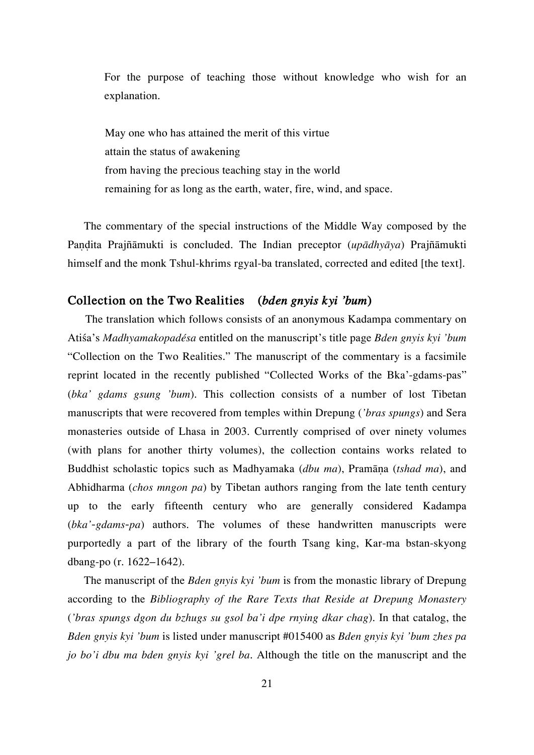For the purpose of teaching those without knowledge who wish for an explanation.

May one who has attained the merit of this virtue attain the status of awakening from having the precious teaching stay in the world remaining for as long as the earth, water, fire, wind, and space.

 The commentary of the special instructions of the Middle Way composed by the Paṇḍita Prajñāmukti is concluded. The Indian preceptor (*upādhyāya*) Prajñāmukti himself and the monk Tshul-khrims rgyal-ba translated, corrected and edited [the text].

#### **Collection on the Two Realities (***bden gnyis kyi 'bum***)**

The translation which follows consists of an anonymous Kadampa commentary on Atiśa's *Madhyamakopadésa* entitled on the manuscript's title page *Bden gnyis kyi 'bum* "Collection on the Two Realities." The manuscript of the commentary is a facsimile reprint located in the recently published "Collected Works of the Bka'-gdams-pas" (*bka' gdams gsung 'bum*). This collection consists of a number of lost Tibetan manuscripts that were recovered from temples within Drepung (*'bras spungs*) and Sera monasteries outside of Lhasa in 2003. Currently comprised of over ninety volumes (with plans for another thirty volumes), the collection contains works related to Buddhist scholastic topics such as Madhyamaka (*dbu ma*), Pramāṇa (*tshad ma*), and Abhidharma (*chos mngon pa*) by Tibetan authors ranging from the late tenth century up to the early fifteenth century who are generally considered Kadampa (*bka'-gdams-pa*) authors. The volumes of these handwritten manuscripts were purportedly a part of the library of the fourth Tsang king, Kar-ma bstan-skyong dbang-po (r. 1622–1642).

 The manuscript of the *Bden gnyis kyi 'bum* is from the monastic library of Drepung according to the *Bibliography of the Rare Texts that Reside at Drepung Monastery* (*'bras spungs dgon du bzhugs su gsol ba'i dpe rnying dkar chag*). In that catalog, the *Bden gnyis kyi 'bum* is listed under manuscript #015400 as *Bden gnyis kyi 'bum zhes pa jo bo'i dbu ma bden gnyis kyi 'grel ba*. Although the title on the manuscript and the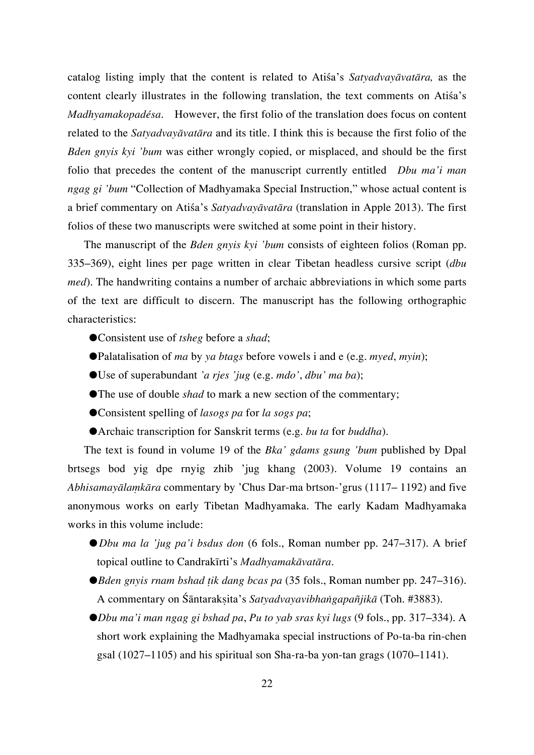catalog listing imply that the content is related to Atiśa's *Satyadvayāvatāra,* as the content clearly illustrates in the following translation, the text comments on Atiśa's *Madhyamakopadésa*. However, the first folio of the translation does focus on content related to the *Satyadvayāvatāra* and its title. I think this is because the first folio of the *Bden gnyis kyi 'bum* was either wrongly copied, or misplaced, and should be the first folio that precedes the content of the manuscript currently entitled *Dbu ma'i man ngag gi 'bum* "Collection of Madhyamaka Special Instruction," whose actual content is a brief commentary on Atiśa's *Satyadvayāvatāra* (translation in Apple 2013). The first folios of these two manuscripts were switched at some point in their history.

 The manuscript of the *Bden gnyis kyi 'bum* consists of eighteen folios (Roman pp. 335–369), eight lines per page written in clear Tibetan headless cursive script (*dbu med*). The handwriting contains a number of archaic abbreviations in which some parts of the text are difficult to discern. The manuscript has the following orthographic characteristics:

- Consistent use of *tsheg* before a *shad*;
- Palatalisation of *ma* by *ya btags* before vowels i and e (e.g. *myed*, *myin*);
- Use of superabundant *'a rjes 'jug* (e.g. *mdo'*, *dbu' ma ba*);
- The use of double *shad* to mark a new section of the commentary;
- Consistent spelling of *lasogs pa* for *la sogs pa*;
- Archaic transcription for Sanskrit terms (e.g. *bu ta* for *buddha*).

 The text is found in volume 19 of the *Bka' gdams gsung 'bum* published by Dpal brtsegs bod yig dpe rnyig zhib 'jug khang (2003). Volume 19 contains an *Abhisamayālaṃkāra* commentary by 'Chus Dar-ma brtson-'grus (1117– 1192) and five anonymous works on early Tibetan Madhyamaka. The early Kadam Madhyamaka works in this volume include:

- *Dbu ma la 'jug pa'i bsdus don* (6 fols., Roman number pp. 247–317). A brief topical outline to Candrakīrti's *Madhyamakāvatāra*.
- *Bden gnyis rnam bshad ṭik dang bcas pa* (35 fols., Roman number pp. 247–316). A commentary on Śāntarakṣita's *Satyadvayavibhaṅgapañjikā* (Toh. #3883).
- *Dbu ma'i man ngag gi bshad pa*, *Pu to yab sras kyi lugs* (9 fols., pp. 317–334). A short work explaining the Madhyamaka special instructions of Po-ta-ba rin-chen gsal (1027–1105) and his spiritual son Sha-ra-ba yon-tan grags (1070–1141).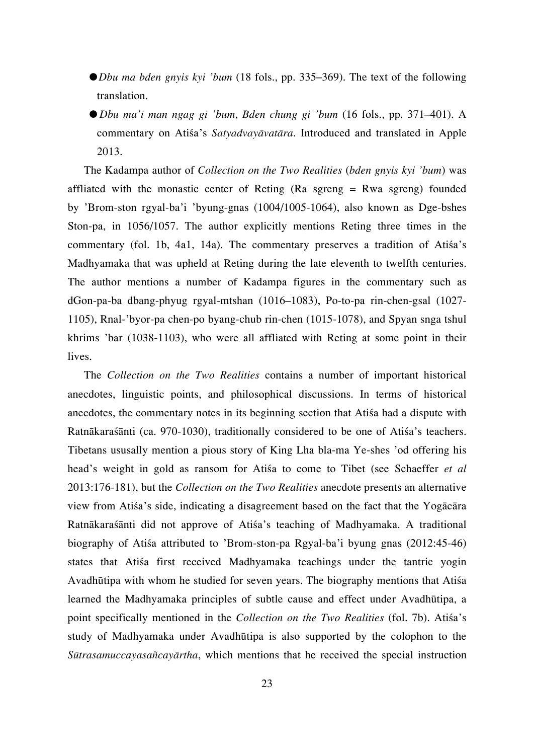- *Dbu ma bden gnyis kyi 'bum* (18 fols., pp. 335–369). The text of the following translation.
- *Dbu ma'i man ngag gi 'bum*, *Bden chung gi 'bum* (16 fols., pp. 371–401). A commentary on Atiśa's *Satyadvayāvatāra*. Introduced and translated in Apple 2013.

 The Kadampa author of *Collection on the Two Realities* (*bden gnyis kyi 'bum*) was affliated with the monastic center of Reting  $(Ra \text{ sgreng} = Rwa \text{ sgreng})$  founded by 'Brom-ston rgyal-ba'i 'byung-gnas (1004/1005-1064), also known as Dge-bshes Ston-pa, in 1056/1057. The author explicitly mentions Reting three times in the commentary (fol. 1b, 4a1, 14a). The commentary preserves a tradition of Atiśa's Madhyamaka that was upheld at Reting during the late eleventh to twelfth centuries. The author mentions a number of Kadampa figures in the commentary such as dGon-pa-ba dbang-phyug rgyal-mtshan (1016–1083), Po-to-pa rin-chen-gsal (1027- 1105), Rnal-'byor-pa chen-po byang-chub rin-chen (1015-1078), and Spyan snga tshul khrims 'bar (1038-1103), who were all affliated with Reting at some point in their lives.

 The *Collection on the Two Realities* contains a number of important historical anecdotes, linguistic points, and philosophical discussions. In terms of historical anecdotes, the commentary notes in its beginning section that Atiśa had a dispute with Ratnākaraśānti (ca. 970-1030), traditionally considered to be one of Atiśa's teachers. Tibetans ususally mention a pious story of King Lha bla-ma Ye-shes 'od offering his head's weight in gold as ransom for Atiśa to come to Tibet (see Schaeffer *et al*  2013:176-181), but the *Collection on the Two Realities* anecdote presents an alternative view from Atiśa's side, indicating a disagreement based on the fact that the Yogācāra Ratnākaraśānti did not approve of Atiśa's teaching of Madhyamaka. A traditional biography of Atiśa attributed to 'Brom-ston-pa Rgyal-ba'i byung gnas (2012:45-46) states that Atiśa first received Madhyamaka teachings under the tantric yogin Avadhūtipa with whom he studied for seven years. The biography mentions that Atiśa learned the Madhyamaka principles of subtle cause and effect under Avadhūtipa, a point specifically mentioned in the *Collection on the Two Realities* (fol. 7b). Atiśa's study of Madhyamaka under Avadhūtipa is also supported by the colophon to the *Sūtrasamuccayasañcayārtha*, which mentions that he received the special instruction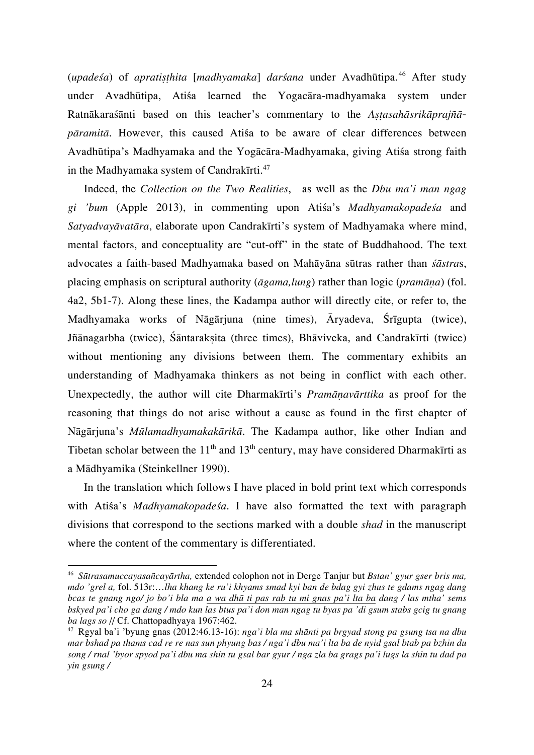(*upadesa*) of *apratisthita* [*madhyamaka*] *darsana* under Avadhūtipa.<sup>46</sup> After study under Avadhūtipa, Atiśa learned the Yogacāra-madhyamaka system under Ratnākaraśānti based on this teacher's commentary to the *Aṣṭasahāsrikāprajñāpāramitā*. However, this caused Atiśa to be aware of clear differences between Avadhūtipa's Madhyamaka and the Yogācāra-Madhyamaka, giving Atiśa strong faith in the Madhyamaka system of Candrakīrti.<sup>47</sup>

 Indeed, the *Collection on the Two Realities*, as well as the *Dbu ma'i man ngag gi 'bum* (Apple 2013), in commenting upon Atiśa's *Madhyamakopadeśa* and *Satyadvayāvatāra*, elaborate upon Candrakīrti's system of Madhyamaka where mind, mental factors, and conceptuality are "cut-off" in the state of Buddhahood. The text advocates a faith-based Madhyamaka based on Mahāyāna sūtras rather than *śāstra*s, placing emphasis on scriptural authority (*āgama,lung*) rather than logic (*pramāṇa*) (fol. 4a2, 5b1-7). Along these lines, the Kadampa author will directly cite, or refer to, the Madhyamaka works of Nāgārjuna (nine times), Āryadeva, Śrīgupta (twice), Jñānagarbha (twice), Śāntarakṣita (three times), Bhāviveka, and Candrakīrti (twice) without mentioning any divisions between them. The commentary exhibits an understanding of Madhyamaka thinkers as not being in conflict with each other. Unexpectedly, the author will cite Dharmakīrti's *Pramāṇavārttika* as proof for the reasoning that things do not arise without a cause as found in the first chapter of Nāgārjuna's *Mūlamadhyamakakārikā*. The Kadampa author, like other Indian and Tibetan scholar between the  $11<sup>th</sup>$  and  $13<sup>th</sup>$  century, may have considered Dharmakīrti as a Mādhyamika (Steinkellner 1990).

 In the translation which follows I have placed in bold print text which corresponds with Atiśa's *Madhyamakopadeśa*. I have also formatted the text with paragraph divisions that correspond to the sections marked with a double *shad* in the manuscript where the content of the commentary is differentiated.

<sup>46</sup> *Sūtrasamuccayasañcayārtha,* extended colophon not in Derge Tanjur but *Bstan' gyur gser bris ma, mdo 'grel a,* fol. 513r:…*lha khang ke ru'i khyams smad kyi ban de bdag gyi zhus te gdams ngag dang bcas te gnang ngo/ jo bo'i bla ma a wa dhū ti pas rab tu mi gnas pa'i lta ba dang / las mtha' sems bskyed pa'i cho ga dang / mdo kun las btus pa'i don man ngag tu byas pa 'di gsum stabs gcig tu gnang ba lags so* // Cf. Chattopadhyaya 1967:462.

<sup>47</sup> Rgyal ba'i 'byung gnas (2012:46.13-16): *nga'i bla ma shānti pa brgyad stong pa gsung tsa na dbu mar bshad pa thams cad re re nas sun phyung bas / nga'i dbu ma'i lta ba de nyid gsal btab pa bzhin du song / rnal 'byor spyod pa'i dbu ma shin tu gsal bar gyur / nga zla ba grags pa'i lugs la shin tu dad pa yin gsung /*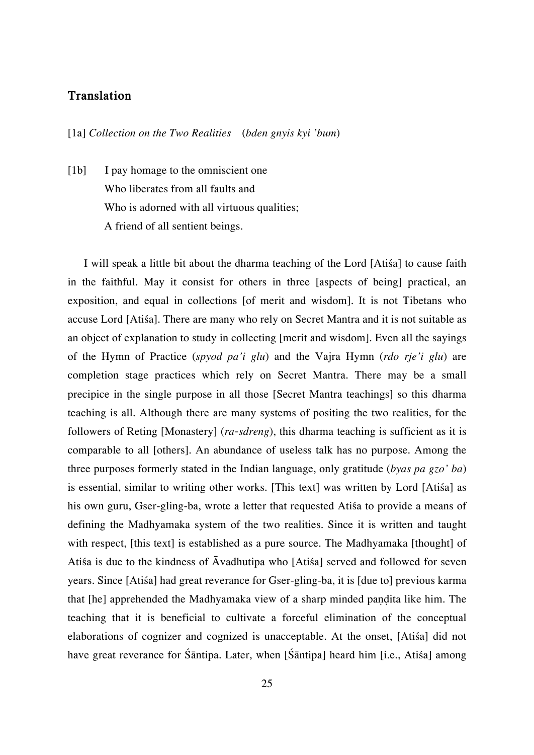# **Translation**

[1a] *Collection on the Two Realities* (*bden gnyis kyi 'bum*)

[1b] I pay homage to the omniscient one Who liberates from all faults and Who is adorned with all virtuous qualities; A friend of all sentient beings.

 I will speak a little bit about the dharma teaching of the Lord [Atiśa] to cause faith in the faithful. May it consist for others in three [aspects of being] practical, an exposition, and equal in collections [of merit and wisdom]. It is not Tibetans who accuse Lord [Atiśa]. There are many who rely on Secret Mantra and it is not suitable as an object of explanation to study in collecting [merit and wisdom]. Even all the sayings of the Hymn of Practice (*spyod pa'i glu*) and the Vajra Hymn (*rdo rje'i glu*) are completion stage practices which rely on Secret Mantra. There may be a small precipice in the single purpose in all those [Secret Mantra teachings] so this dharma teaching is all. Although there are many systems of positing the two realities, for the followers of Reting [Monastery] (*ra-sdreng*), this dharma teaching is sufficient as it is comparable to all [others]. An abundance of useless talk has no purpose. Among the three purposes formerly stated in the Indian language, only gratitude (*byas pa gzo' ba*) is essential, similar to writing other works. [This text] was written by Lord [Atiśa] as his own guru, Gser-gling-ba, wrote a letter that requested Atiśa to provide a means of defining the Madhyamaka system of the two realities. Since it is written and taught with respect, [this text] is established as a pure source. The Madhyamaka [thought] of Atiśa is due to the kindness of Āvadhutipa who [Atiśa] served and followed for seven years. Since [Atiśa] had great reverance for Gser-gling-ba, it is [due to] previous karma that [he] apprehended the Madhyamaka view of a sharp minded pandita like him. The teaching that it is beneficial to cultivate a forceful elimination of the conceptual elaborations of cognizer and cognized is unacceptable. At the onset, [Atiśa] did not have great reverance for Śāntipa. Later, when [Śāntipa] heard him [i.e., Atiśa] among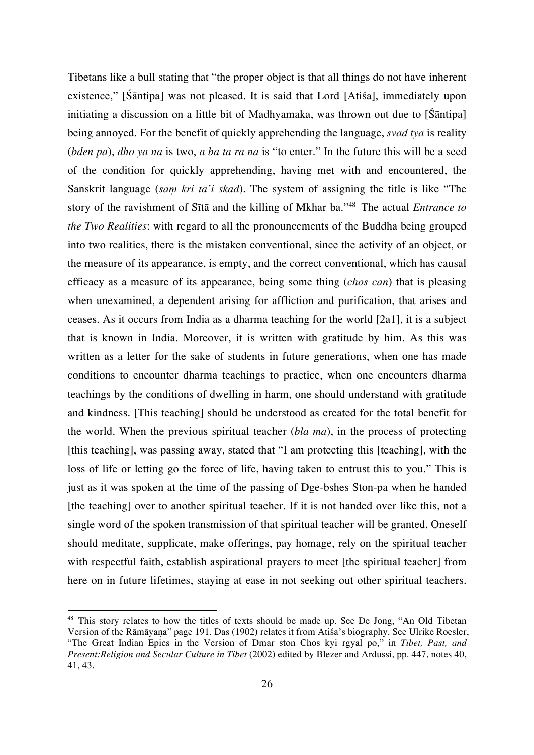Tibetans like a bull stating that "the proper object is that all things do not have inherent existence," [Śāntipa] was not pleased. It is said that Lord [Atiśa], immediately upon initiating a discussion on a little bit of Madhyamaka, was thrown out due to [Śāntipa] being annoyed. For the benefit of quickly apprehending the language, *svad tya* is reality (*bden pa*), *dho ya na* is two, *a ba ta ra na* is "to enter." In the future this will be a seed of the condition for quickly apprehending, having met with and encountered, the Sanskrit language (*saṃ kri ta'i skad*). The system of assigning the title is like "The story of the ravishment of Sītā and the killing of Mkhar ba."<sup>48</sup> The actual *Entrance to the Two Realities*: with regard to all the pronouncements of the Buddha being grouped into two realities, there is the mistaken conventional, since the activity of an object, or the measure of its appearance, is empty, and the correct conventional, which has causal efficacy as a measure of its appearance, being some thing (*chos can*) that is pleasing when unexamined, a dependent arising for affliction and purification, that arises and ceases. As it occurs from India as a dharma teaching for the world [2a1], it is a subject that is known in India. Moreover, it is written with gratitude by him. As this was written as a letter for the sake of students in future generations, when one has made conditions to encounter dharma teachings to practice, when one encounters dharma teachings by the conditions of dwelling in harm, one should understand with gratitude and kindness. [This teaching] should be understood as created for the total benefit for the world. When the previous spiritual teacher (*bla ma*), in the process of protecting [this teaching], was passing away, stated that "I am protecting this [teaching], with the loss of life or letting go the force of life, having taken to entrust this to you." This is just as it was spoken at the time of the passing of Dge-bshes Ston-pa when he handed [the teaching] over to another spiritual teacher. If it is not handed over like this, not a single word of the spoken transmission of that spiritual teacher will be granted. Oneself should meditate, supplicate, make offerings, pay homage, rely on the spiritual teacher with respectful faith, establish aspirational prayers to meet [the spiritual teacher] from here on in future lifetimes, staying at ease in not seeking out other spiritual teachers.

<sup>&</sup>lt;sup>48</sup> This story relates to how the titles of texts should be made up. See De Jong, "An Old Tibetan Version of the Rāmāyaṇa" page 191. Das (1902) relates it from Atiśa's biography. See Ulrike Roesler, "The Great Indian Epics in the Version of Dmar ston Chos kyi rgyal po," in *Tibet, Past, and Present:Religion and Secular Culture in Tibet* (2002) edited by Blezer and Ardussi, pp. 447, notes 40, 41, 43.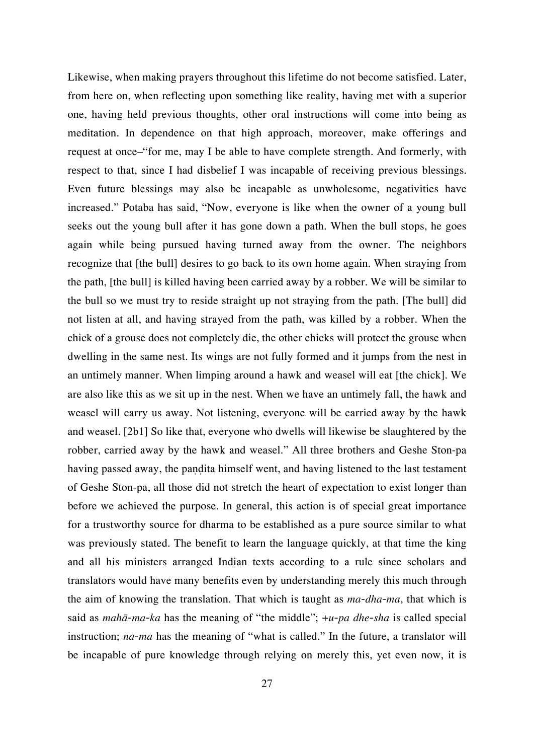Likewise, when making prayers throughout this lifetime do not become satisfied. Later, from here on, when reflecting upon something like reality, having met with a superior one, having held previous thoughts, other oral instructions will come into being as meditation. In dependence on that high approach, moreover, make offerings and request at once–"for me, may I be able to have complete strength. And formerly, with respect to that, since I had disbelief I was incapable of receiving previous blessings. Even future blessings may also be incapable as unwholesome, negativities have increased." Potaba has said, "Now, everyone is like when the owner of a young bull seeks out the young bull after it has gone down a path. When the bull stops, he goes again while being pursued having turned away from the owner. The neighbors recognize that [the bull] desires to go back to its own home again. When straying from the path, [the bull] is killed having been carried away by a robber. We will be similar to the bull so we must try to reside straight up not straying from the path. [The bull] did not listen at all, and having strayed from the path, was killed by a robber. When the chick of a grouse does not completely die, the other chicks will protect the grouse when dwelling in the same nest. Its wings are not fully formed and it jumps from the nest in an untimely manner. When limping around a hawk and weasel will eat [the chick]. We are also like this as we sit up in the nest. When we have an untimely fall, the hawk and weasel will carry us away. Not listening, everyone will be carried away by the hawk and weasel. [2b1] So like that, everyone who dwells will likewise be slaughtered by the robber, carried away by the hawk and weasel." All three brothers and Geshe Ston-pa having passed away, the pandita himself went, and having listened to the last testament of Geshe Ston-pa, all those did not stretch the heart of expectation to exist longer than before we achieved the purpose. In general, this action is of special great importance for a trustworthy source for dharma to be established as a pure source similar to what was previously stated. The benefit to learn the language quickly, at that time the king and all his ministers arranged Indian texts according to a rule since scholars and translators would have many benefits even by understanding merely this much through the aim of knowing the translation. That which is taught as *ma-dha-ma*, that which is said as *mahā-ma-ka* has the meaning of "the middle"; +*u-pa dhe-sha* is called special instruction; *na-ma* has the meaning of "what is called." In the future, a translator will be incapable of pure knowledge through relying on merely this, yet even now, it is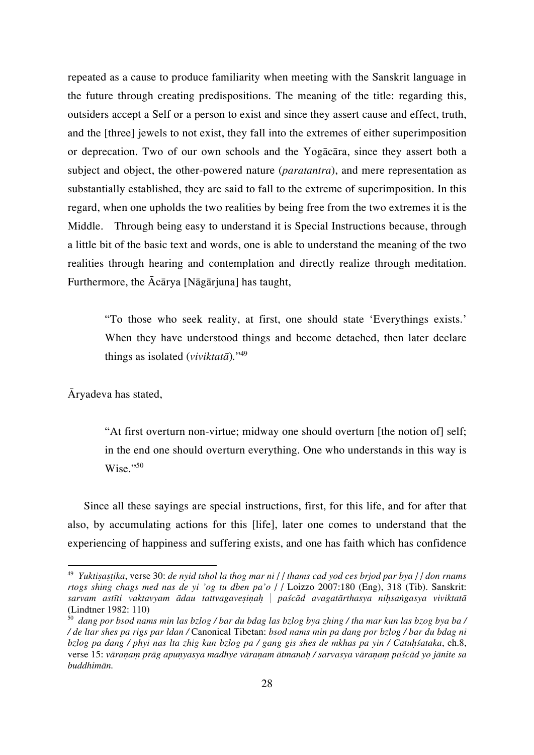repeated as a cause to produce familiarity when meeting with the Sanskrit language in the future through creating predispositions. The meaning of the title: regarding this, outsiders accept a Self or a person to exist and since they assert cause and effect, truth, and the [three] jewels to not exist, they fall into the extremes of either superimposition or deprecation. Two of our own schools and the Yogācāra, since they assert both a subject and object, the other-powered nature (*paratantra*), and mere representation as substantially established, they are said to fall to the extreme of superimposition. In this regard, when one upholds the two realities by being free from the two extremes it is the Middle. Through being easy to understand it is Special Instructions because, through a little bit of the basic text and words, one is able to understand the meaning of the two realities through hearing and contemplation and directly realize through meditation. Furthermore, the Ācārya [Nāgārjuna] has taught,

"To those who seek reality, at first, one should state 'Everythings exists.' When they have understood things and become detached, then later declare things as isolated (*viviktatā*)*.*"49

Āryadeva has stated,

 $\overline{a}$ 

"At first overturn non-virtue; midway one should overturn [the notion of] self; in the end one should overturn everything. One who understands in this way is Wise." $50$ 

 Since all these sayings are special instructions, first, for this life, and for after that also, by accumulating actions for this [life], later one comes to understand that the experiencing of happiness and suffering exists, and one has faith which has confidence

<sup>49</sup> *Yuktiṣaṣṭika*, verse 30: *de nyid tshol la thog mar ni* / / *thams cad yod ces brjod par bya* / / *don rnams rtogs shing chags med nas de yi 'og tu dben pa'o* / / Loizzo 2007:180 (Eng), 318 (Tib). Sanskrit: sarvam astīti vaktavyam ādau tattvagavesinah | paścād avagatārthasya nihsangasya viviktatā (Lindtner 1982: 110)

<sup>50</sup> *dang por bsod nams min las bzlog / bar du bdag las bzlog bya zhing / tha mar kun las bzog bya ba / / de ltar shes pa rigs par ldan /* Canonical Tibetan: *bsod nams min pa dang por bzlog / bar du bdag ni bzlog pa dang / phyi nas lta zhig kun bzlog pa / gang gis shes de mkhas pa yin / Catuḥśataka*, ch.8, verse 15: vāranam prāg apunyasya madhye vāranam ātmanah / sarvasya vāranam paścād yo jānite sa *buddhimān.*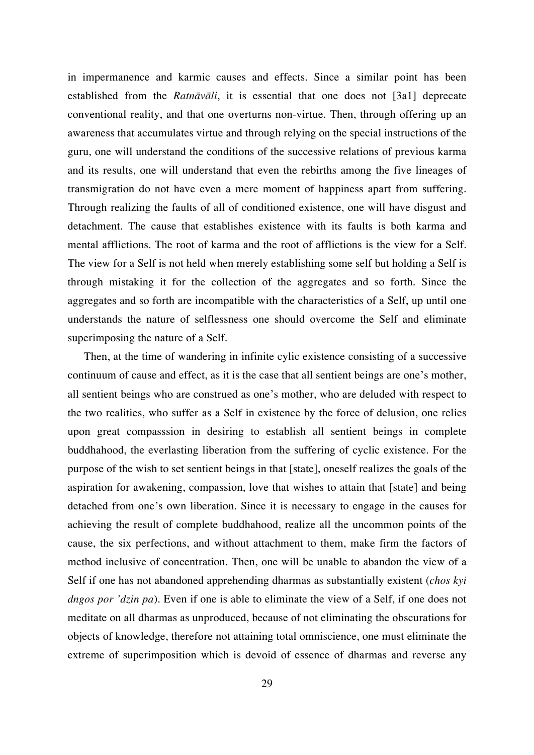in impermanence and karmic causes and effects. Since a similar point has been established from the *Ratnāvāli*, it is essential that one does not [3a1] deprecate conventional reality, and that one overturns non-virtue. Then, through offering up an awareness that accumulates virtue and through relying on the special instructions of the guru, one will understand the conditions of the successive relations of previous karma and its results, one will understand that even the rebirths among the five lineages of transmigration do not have even a mere moment of happiness apart from suffering. Through realizing the faults of all of conditioned existence, one will have disgust and detachment. The cause that establishes existence with its faults is both karma and mental afflictions. The root of karma and the root of afflictions is the view for a Self. The view for a Self is not held when merely establishing some self but holding a Self is through mistaking it for the collection of the aggregates and so forth. Since the aggregates and so forth are incompatible with the characteristics of a Self, up until one understands the nature of selflessness one should overcome the Self and eliminate superimposing the nature of a Self.

 Then, at the time of wandering in infinite cylic existence consisting of a successive continuum of cause and effect, as it is the case that all sentient beings are one's mother, all sentient beings who are construed as one's mother, who are deluded with respect to the two realities, who suffer as a Self in existence by the force of delusion, one relies upon great compasssion in desiring to establish all sentient beings in complete buddhahood, the everlasting liberation from the suffering of cyclic existence. For the purpose of the wish to set sentient beings in that [state], oneself realizes the goals of the aspiration for awakening, compassion, love that wishes to attain that [state] and being detached from one's own liberation. Since it is necessary to engage in the causes for achieving the result of complete buddhahood, realize all the uncommon points of the cause, the six perfections, and without attachment to them, make firm the factors of method inclusive of concentration. Then, one will be unable to abandon the view of a Self if one has not abandoned apprehending dharmas as substantially existent (*chos kyi dngos por 'dzin pa*). Even if one is able to eliminate the view of a Self, if one does not meditate on all dharmas as unproduced, because of not eliminating the obscurations for objects of knowledge, therefore not attaining total omniscience, one must eliminate the extreme of superimposition which is devoid of essence of dharmas and reverse any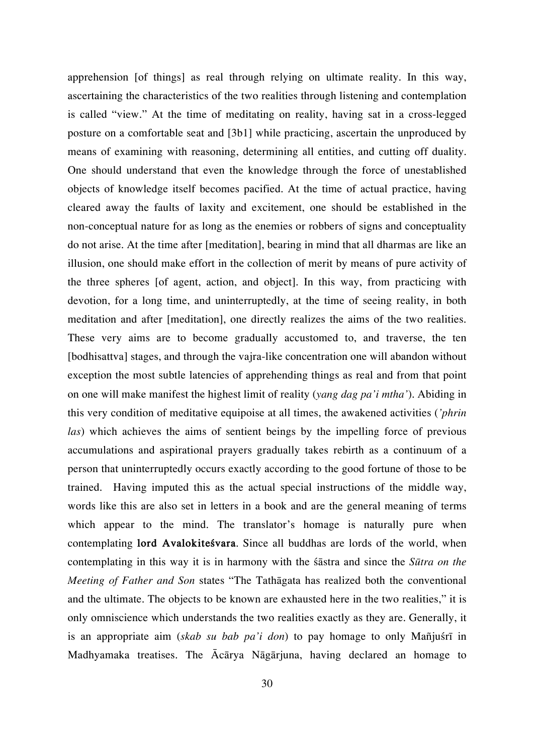apprehension [of things] as real through relying on ultimate reality. In this way, ascertaining the characteristics of the two realities through listening and contemplation is called "view." At the time of meditating on reality, having sat in a cross-legged posture on a comfortable seat and [3b1] while practicing, ascertain the unproduced by means of examining with reasoning, determining all entities, and cutting off duality. One should understand that even the knowledge through the force of unestablished objects of knowledge itself becomes pacified. At the time of actual practice, having cleared away the faults of laxity and excitement, one should be established in the non-conceptual nature for as long as the enemies or robbers of signs and conceptuality do not arise. At the time after [meditation], bearing in mind that all dharmas are like an illusion, one should make effort in the collection of merit by means of pure activity of the three spheres [of agent, action, and object]. In this way, from practicing with devotion, for a long time, and uninterruptedly, at the time of seeing reality, in both meditation and after [meditation], one directly realizes the aims of the two realities. These very aims are to become gradually accustomed to, and traverse, the ten [bodhisattva] stages, and through the vajra-like concentration one will abandon without exception the most subtle latencies of apprehending things as real and from that point on one will make manifest the highest limit of reality (*yang dag pa'i mtha'*). Abiding in this very condition of meditative equipoise at all times, the awakened activities (*'phrin las*) which achieves the aims of sentient beings by the impelling force of previous accumulations and aspirational prayers gradually takes rebirth as a continuum of a person that uninterruptedly occurs exactly according to the good fortune of those to be trained. Having imputed this as the actual special instructions of the middle way, words like this are also set in letters in a book and are the general meaning of terms which appear to the mind. The translator's homage is naturally pure when contemplating **lord Avalokiteśvara**. Since all buddhas are lords of the world, when contemplating in this way it is in harmony with the śāstra and since the *Sūtra on the Meeting of Father and Son* states "The Tathāgata has realized both the conventional and the ultimate. The objects to be known are exhausted here in the two realities," it is only omniscience which understands the two realities exactly as they are. Generally, it is an appropriate aim (*skab su bab pa'i don*) to pay homage to only Mañjuśrī in Madhyamaka treatises. The Ācārya Nāgārjuna, having declared an homage to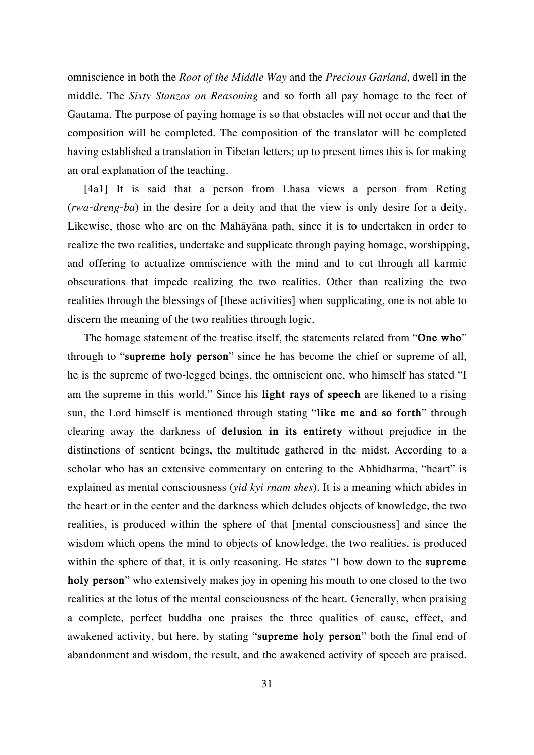omniscience in both the *Root of the Middle Way* and the *Precious Garland*, dwell in the middle. The *Sixty Stanzas on Reasoning* and so forth all pay homage to the feet of Gautama. The purpose of paying homage is so that obstacles will not occur and that the composition will be completed. The composition of the translator will be completed having established a translation in Tibetan letters; up to present times this is for making an oral explanation of the teaching.

 [4a1] It is said that a person from Lhasa views a person from Reting (*rwa-dreng-ba*) in the desire for a deity and that the view is only desire for a deity. Likewise, those who are on the Mahāyāna path, since it is to undertaken in order to realize the two realities, undertake and supplicate through paying homage, worshipping, and offering to actualize omniscience with the mind and to cut through all karmic obscurations that impede realizing the two realities. Other than realizing the two realities through the blessings of [these activities] when supplicating, one is not able to discern the meaning of the two realities through logic.

 The homage statement of the treatise itself, the statements related from "**One who**" through to "**supreme holy person**" since he has become the chief or supreme of all, he is the supreme of two-legged beings, the omniscient one, who himself has stated "I am the supreme in this world." Since his **light rays of speech** are likened to a rising sun, the Lord himself is mentioned through stating "**like me and so forth**" through clearing away the darkness of **delusion in its entirety** without prejudice in the distinctions of sentient beings, the multitude gathered in the midst. According to a scholar who has an extensive commentary on entering to the Abhidharma, "heart" is explained as mental consciousness (*yid kyi rnam shes*). It is a meaning which abides in the heart or in the center and the darkness which deludes objects of knowledge, the two realities, is produced within the sphere of that [mental consciousness] and since the wisdom which opens the mind to objects of knowledge, the two realities, is produced within the sphere of that, it is only reasoning. He states "I bow down to the **supreme holy person**" who extensively makes joy in opening his mouth to one closed to the two realities at the lotus of the mental consciousness of the heart. Generally, when praising a complete, perfect buddha one praises the three qualities of cause, effect, and awakened activity, but here, by stating "**supreme holy person**" both the final end of abandonment and wisdom, the result, and the awakened activity of speech are praised.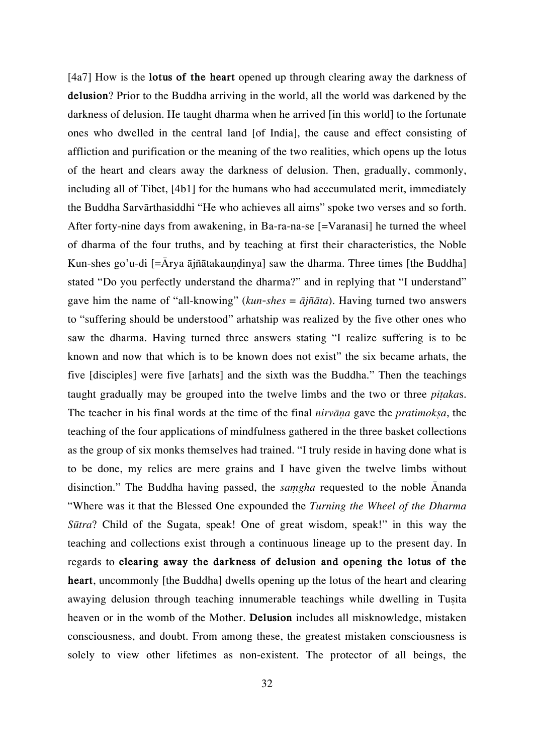[4a7] How is the **lotus of the heart** opened up through clearing away the darkness of **delusion**? Prior to the Buddha arriving in the world, all the world was darkened by the darkness of delusion. He taught dharma when he arrived [in this world] to the fortunate ones who dwelled in the central land [of India], the cause and effect consisting of affliction and purification or the meaning of the two realities, which opens up the lotus of the heart and clears away the darkness of delusion. Then, gradually, commonly, including all of Tibet, [4b1] for the humans who had acccumulated merit, immediately the Buddha Sarvārthasiddhi "He who achieves all aims" spoke two verses and so forth. After forty-nine days from awakening, in Ba-ra-na-se [=Varanasi] he turned the wheel of dharma of the four truths, and by teaching at first their characteristics, the Noble Kun-shes go'u-di  $\left[-\frac{\overline{A}}{\overline{A}}\right]$  ajñātakaundinya] saw the dharma. Three times [the Buddha] stated "Do you perfectly understand the dharma?" and in replying that "I understand" gave him the name of "all-knowing" (*kun-shes* = *ājñāta*). Having turned two answers to "suffering should be understood" arhatship was realized by the five other ones who saw the dharma. Having turned three answers stating "I realize suffering is to be known and now that which is to be known does not exist" the six became arhats, the five [disciples] were five [arhats] and the sixth was the Buddha." Then the teachings taught gradually may be grouped into the twelve limbs and the two or three *piṭaka*s. The teacher in his final words at the time of the final *nirvāṇa* gave the *pratimokṣa*, the teaching of the four applications of mindfulness gathered in the three basket collections as the group of six monks themselves had trained. "I truly reside in having done what is to be done, my relics are mere grains and I have given the twelve limbs without disinction." The Buddha having passed, the *saṃgha* requested to the noble Ānanda "Where was it that the Blessed One expounded the *Turning the Wheel of the Dharma Sūtra*? Child of the Sugata, speak! One of great wisdom, speak!" in this way the teaching and collections exist through a continuous lineage up to the present day. In regards to **clearing away the darkness of delusion and opening the lotus of the heart**, uncommonly [the Buddha] dwells opening up the lotus of the heart and clearing awaying delusion through teaching innumerable teachings while dwelling in Tuṣita heaven or in the womb of the Mother. **Delusion** includes all misknowledge, mistaken consciousness, and doubt. From among these, the greatest mistaken consciousness is solely to view other lifetimes as non-existent. The protector of all beings, the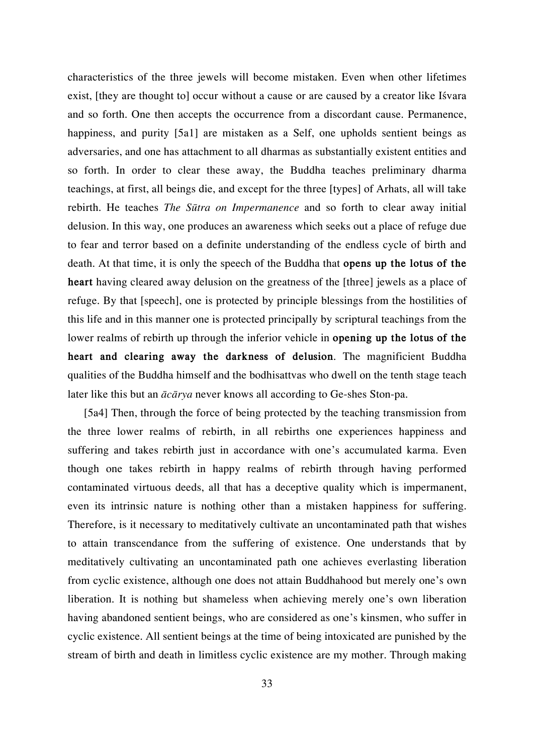characteristics of the three jewels will become mistaken. Even when other lifetimes exist, [they are thought to] occur without a cause or are caused by a creator like Iśvara and so forth. One then accepts the occurrence from a discordant cause. Permanence, happiness, and purity [5a1] are mistaken as a Self, one upholds sentient beings as adversaries, and one has attachment to all dharmas as substantially existent entities and so forth. In order to clear these away, the Buddha teaches preliminary dharma teachings, at first, all beings die, and except for the three [types] of Arhats, all will take rebirth. He teaches *The Sūtra on Impermanence* and so forth to clear away initial delusion. In this way, one produces an awareness which seeks out a place of refuge due to fear and terror based on a definite understanding of the endless cycle of birth and death. At that time, it is only the speech of the Buddha that **opens up the lotus of the heart** having cleared away delusion on the greatness of the [three] jewels as a place of refuge. By that [speech], one is protected by principle blessings from the hostilities of this life and in this manner one is protected principally by scriptural teachings from the lower realms of rebirth up through the inferior vehicle in **opening up the lotus of the heart and clearing away the darkness of delusion**. The magnificient Buddha qualities of the Buddha himself and the bodhisattvas who dwell on the tenth stage teach later like this but an *ācārya* never knows all according to Ge-shes Ston-pa.

 [5a4] Then, through the force of being protected by the teaching transmission from the three lower realms of rebirth, in all rebirths one experiences happiness and suffering and takes rebirth just in accordance with one's accumulated karma. Even though one takes rebirth in happy realms of rebirth through having performed contaminated virtuous deeds, all that has a deceptive quality which is impermanent, even its intrinsic nature is nothing other than a mistaken happiness for suffering. Therefore, is it necessary to meditatively cultivate an uncontaminated path that wishes to attain transcendance from the suffering of existence. One understands that by meditatively cultivating an uncontaminated path one achieves everlasting liberation from cyclic existence, although one does not attain Buddhahood but merely one's own liberation. It is nothing but shameless when achieving merely one's own liberation having abandoned sentient beings, who are considered as one's kinsmen, who suffer in cyclic existence. All sentient beings at the time of being intoxicated are punished by the stream of birth and death in limitless cyclic existence are my mother. Through making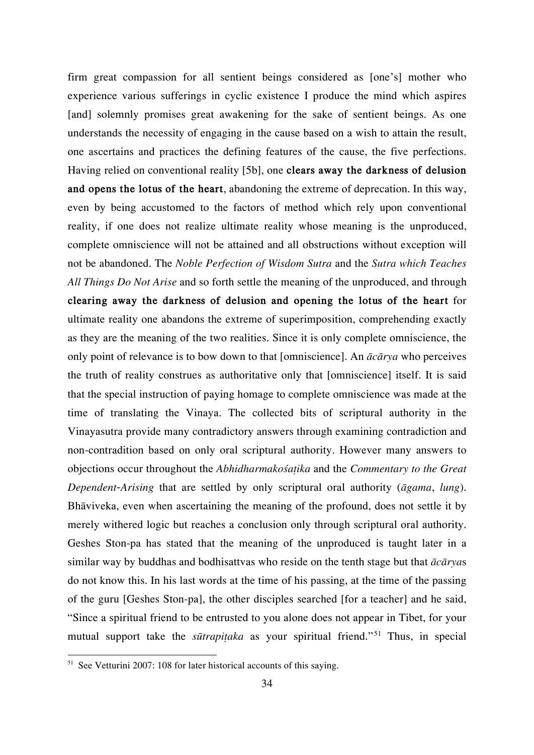firm great compassion for all sentient beings considered as [one's] mother who experience various sufferings in cyclic existence I produce the mind which aspires [and] solemnly promises great awakening for the sake of sentient beings. As one understands the necessity of engaging in the cause based on a wish to attain the result, one ascertains and practices the defining features of the cause, the five perfections. Having relied on conventional reality [5b], one **clears away the darkness of delusion and opens the lotus of the heart**, abandoning the extreme of deprecation. In this way, even by being accustomed to the factors of method which rely upon conventional reality, if one does not realize ultimate reality whose meaning is the unproduced, complete omniscience will not be attained and all obstructions without exception will not be abandoned. The *Noble Perfection of Wisdom Sutra* and the *Sutra which Teaches All Things Do Not Arise* and so forth settle the meaning of the unproduced, and through **clearing away the darkness of delusion and opening the lotus of the heart** for ultimate reality one abandons the extreme of superimposition, comprehending exactly as they are the meaning of the two realities. Since it is only complete omniscience, the only point of relevance is to bow down to that [omniscience]. An *ācārya* who perceives the truth of reality construes as authoritative only that [omniscience] itself. It is said that the special instruction of paying homage to complete omniscience was made at the time of translating the Vinaya. The collected bits of scriptural authority in the Vinayasutra provide many contradictory answers through examining contradiction and non-contradition based on only oral scriptural authority. However many answers to objections occur throughout the *Abhidharmakośaṭika* and the *Commentary to the Great Dependent-Arising* that are settled by only scriptural oral authority (*āgama*, *lung*). Bhāviveka, even when ascertaining the meaning of the profound, does not settle it by merely withered logic but reaches a conclusion only through scriptural oral authority. Geshes Ston-pa has stated that the meaning of the unproduced is taught later in a similar way by buddhas and bodhisattvas who reside on the tenth stage but that *ācārya*s do not know this. In his last words at the time of his passing, at the time of the passing of the guru [Geshes Ston-pa], the other disciples searched [for a teacher] and he said, "Since a spiritual friend to be entrusted to you alone does not appear in Tibet, for your mutual support take the *sūtrapitaka* as your spiritual friend."<sup>51</sup> Thus, in special

 $51$  See Vetturini 2007: 108 for later historical accounts of this saying.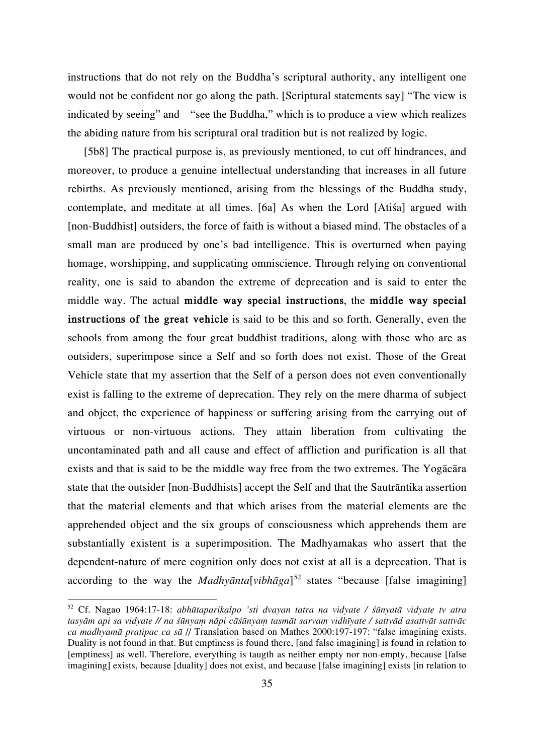instructions that do not rely on the Buddha's scriptural authority, any intelligent one would not be confident nor go along the path. [Scriptural statements say] "The view is indicated by seeing" and "see the Buddha," which is to produce a view which realizes the abiding nature from his scriptural oral tradition but is not realized by logic.

 [5b8] The practical purpose is, as previously mentioned, to cut off hindrances, and moreover, to produce a genuine intellectual understanding that increases in all future rebirths. As previously mentioned, arising from the blessings of the Buddha study, contemplate, and meditate at all times. [6a] As when the Lord [Atiśa] argued with [non-Buddhist] outsiders, the force of faith is without a biased mind. The obstacles of a small man are produced by one's bad intelligence. This is overturned when paying homage, worshipping, and supplicating omniscience. Through relying on conventional reality, one is said to abandon the extreme of deprecation and is said to enter the middle way. The actual **middle way special instructions**, the **middle way special instructions of the great vehicle** is said to be this and so forth. Generally, even the schools from among the four great buddhist traditions, along with those who are as outsiders, superimpose since a Self and so forth does not exist. Those of the Great Vehicle state that my assertion that the Self of a person does not even conventionally exist is falling to the extreme of deprecation. They rely on the mere dharma of subject and object, the experience of happiness or suffering arising from the carrying out of virtuous or non-virtuous actions. They attain liberation from cultivating the uncontaminated path and all cause and effect of affliction and purification is all that exists and that is said to be the middle way free from the two extremes. The Yogācāra state that the outsider [non-Buddhists] accept the Self and that the Sautrāntika assertion that the material elements and that which arises from the material elements are the apprehended object and the six groups of consciousness which apprehends them are substantially existent is a superimposition. The Madhyamakas who assert that the dependent-nature of mere cognition only does not exist at all is a deprecation. That is according to the way the *Madhyānta*[*vibhāga*] <sup>52</sup> states "because [false imagining]

<sup>52</sup> Cf. Nagao 1964:17-18: *abhūtaparikalpo 'sti dvayan tatra na vidyate / śūnyatā vidyate tv atra*  tasyām api sa vidyate // na śūnyam nāpi cāśūnyam tasmāt sarvam vidhīyate / sattvād asattvāt sattvāc *ca madhyamā pratipac ca sā* // Translation based on Mathes 2000:197-197: "false imagining exists. Duality is not found in that. But emptiness is found there, [and false imagining] is found in relation to [emptiness] as well. Therefore, everything is taugth as neither empty nor non-empty, because [false imagining] exists, because [duality] does not exist, and because [false imagining] exists [in relation to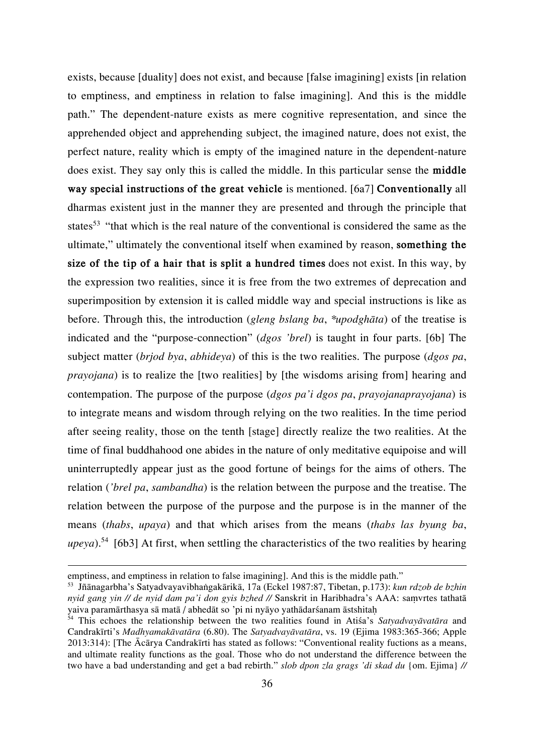exists, because [duality] does not exist, and because [false imagining] exists [in relation to emptiness, and emptiness in relation to false imagining]. And this is the middle path." The dependent-nature exists as mere cognitive representation, and since the apprehended object and apprehending subject, the imagined nature, does not exist, the perfect nature, reality which is empty of the imagined nature in the dependent-nature does exist. They say only this is called the middle. In this particular sense the **middle way special instructions of the great vehicle** is mentioned. [6a7] **Conventionally** all dharmas existent just in the manner they are presented and through the principle that states<sup>53</sup> "that which is the real nature of the conventional is considered the same as the ultimate," ultimately the conventional itself when examined by reason, **something the size of the tip of a hair that is split a hundred times** does not exist. In this way, by the expression two realities, since it is free from the two extremes of deprecation and superimposition by extension it is called middle way and special instructions is like as before. Through this, the introduction (*gleng bslang ba*, *\*upodghāta*) of the treatise is indicated and the "purpose-connection" (*dgos 'brel*) is taught in four parts. [6b] The subject matter (*brjod bya*, *abhideya*) of this is the two realities. The purpose (*dgos pa*, *prayojana*) is to realize the [two realities] by [the wisdoms arising from] hearing and contempation. The purpose of the purpose (*dgos pa'i dgos pa*, *prayojanaprayojana*) is to integrate means and wisdom through relying on the two realities. In the time period after seeing reality, those on the tenth [stage] directly realize the two realities. At the time of final buddhahood one abides in the nature of only meditative equipoise and will uninterruptedly appear just as the good fortune of beings for the aims of others. The relation (*'brel pa*, *sambandha*) is the relation between the purpose and the treatise. The relation between the purpose of the purpose and the purpose is in the manner of the means (*thabs*, *upaya*) and that which arises from the means (*thabs las byung ba*,  $\mu \nu$ eya).<sup>54</sup> [6b3] At first, when settling the characteristics of the two realities by hearing

emptiness, and emptiness in relation to false imagining]. And this is the middle path."

<sup>53</sup> Jñānagarbha's Satyadvayavibhaṅgakārikā, 17a (Eckel 1987:87, Tibetan, p.173): *kun rdzob de bzhin nyid gang yin // de nyid dam pa'i don gyis bzhed //* Sanskrit in Haribhadra's AAA: saṃvrtes tathatā yaiva paramārthasya sā matā / abhedāt so 'pi ni nyāyo yathādarśanam āstshitaḥ

<sup>54</sup> This echoes the relationship between the two realities found in Atiśa's *Satyadvayāvatāra* and Candrakīrti's *Madhyamakāvatāra* (6.80). The *Satyadvayāvatāra*, vs. 19 (Ejima 1983:365-366; Apple 2013:314): [The Ācārya Candrakīrti has stated as follows: "Conventional reality fuctions as a means, and ultimate reality functions as the goal. Those who do not understand the difference between the two have a bad understanding and get a bad rebirth." *slob dpon zla grags 'di skad du* {om. Ejima} *//*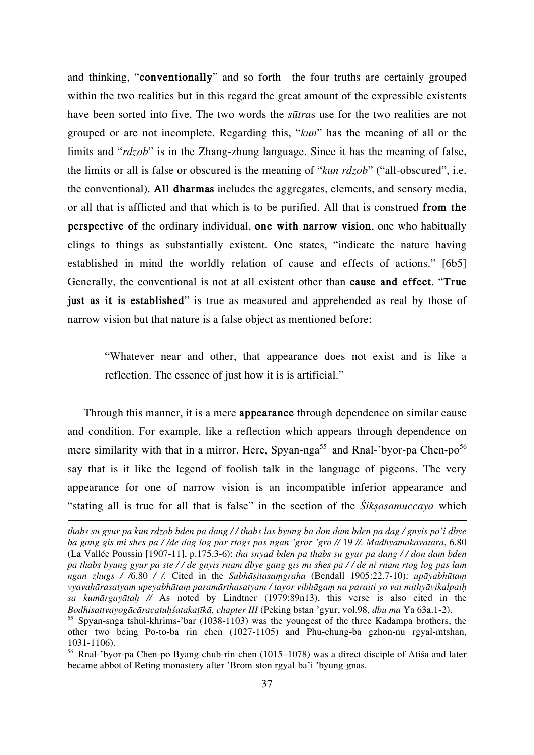and thinking, "**conventionally**" and so forth the four truths are certainly grouped within the two realities but in this regard the great amount of the expressible existents have been sorted into five. The two words the *sūtra*s use for the two realities are not grouped or are not incomplete. Regarding this, "*kun*" has the meaning of all or the limits and "*rdzob*" is in the Zhang-zhung language. Since it has the meaning of false, the limits or all is false or obscured is the meaning of "*kun rdzob*" ("all-obscured", i.e. the conventional). **All dharmas** includes the aggregates, elements, and sensory media, or all that is afflicted and that which is to be purified. All that is construed **from the perspective of** the ordinary individual, **one with narrow vision**, one who habitually clings to things as substantially existent. One states, "indicate the nature having established in mind the worldly relation of cause and effects of actions." [6b5] Generally, the conventional is not at all existent other than **cause and effect**. "**True just as it is established**" is true as measured and apprehended as real by those of narrow vision but that nature is a false object as mentioned before:

"Whatever near and other, that appearance does not exist and is like a reflection. The essence of just how it is is artificial."

 Through this manner, it is a mere **appearance** through dependence on similar cause and condition. For example, like a reflection which appears through dependence on mere similarity with that in a mirror. Here, Spyan-nga<sup>55</sup> and Rnal-'byor-pa Chen-po<sup>56</sup> say that is it like the legend of foolish talk in the language of pigeons. The very appearance for one of narrow vision is an incompatible inferior appearance and "stating all is true for all that is false" in the section of the *Śikṣasamuccaya* which

*thabs su gyur pa kun rdzob bden pa dang / / thabs las byung ba don dam bden pa dag / gnyis po'i dbye ba gang gis mi shes pa / /de dag log par rtogs pas ngan 'gror 'gro //* 19 *//. Madhyamakāvatāra*, 6.80 (La Vallée Poussin [1907-11], p.175.3-6): *tha snyad bden pa thabs su gyur pa dang / / don dam bden pa thabs byung gyur pa ste / / de gnyis rnam dbye gang gis mi shes pa / / de ni rnam rtog log pas lam ngan zhugs / /*6.80 */ /.* Cited in the *Subhāṣitasaṃgraha* (Bendall 1905:22.7-10): *upāyabhūtaṃ vyavahārasatyam upeyabhūtaṃ paramārthasatyam / tayor vibhāgaṃ na paraiti yo vai mithyāvikalpaiḥ sa kumārgayātaḥ //* As noted by Lindtner (1979:89n13), this verse is also cited in the *Bodhisattvayogācāracatuḥśatakaṭīkā, chapter III* (Peking bstan 'gyur, vol.98, *dbu ma* Ya 63a.1-2).

<sup>55</sup> Spyan-snga tshul-khrims-'bar (1038-1103) was the youngest of the three Kadampa brothers, the other two being Po-to-ba rin chen (1027-1105) and Phu-chung-ba gzhon-nu rgyal-mtshan, 1031-1106).

<sup>56</sup> Rnal-'byor-pa Chen-po Byang-chub-rin-chen (1015–1078) was a direct disciple of Atiśa and later became abbot of Reting monastery after 'Brom-ston rgyal-ba'i 'byung-gnas.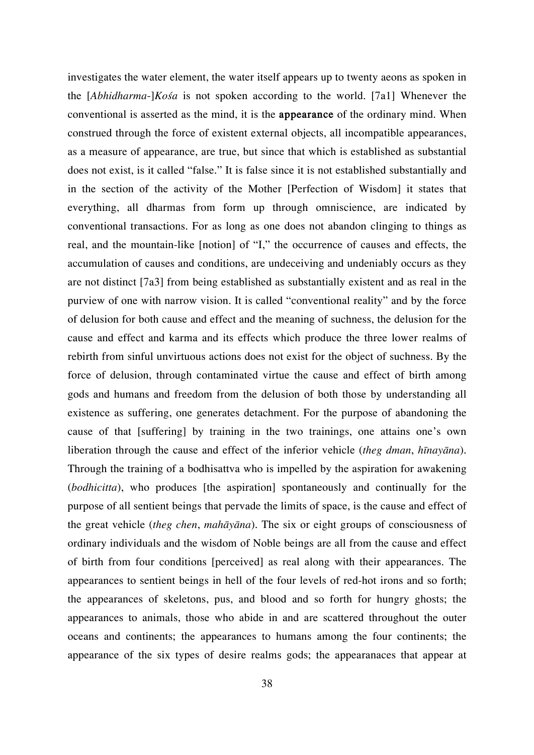investigates the water element, the water itself appears up to twenty aeons as spoken in the [*Abhidharma*-]*Kośa* is not spoken according to the world. [7a1] Whenever the conventional is asserted as the mind, it is the **appearance** of the ordinary mind. When construed through the force of existent external objects, all incompatible appearances, as a measure of appearance, are true, but since that which is established as substantial does not exist, is it called "false." It is false since it is not established substantially and in the section of the activity of the Mother [Perfection of Wisdom] it states that everything, all dharmas from form up through omniscience, are indicated by conventional transactions. For as long as one does not abandon clinging to things as real, and the mountain-like [notion] of "I," the occurrence of causes and effects, the accumulation of causes and conditions, are undeceiving and undeniably occurs as they are not distinct [7a3] from being established as substantially existent and as real in the purview of one with narrow vision. It is called "conventional reality" and by the force of delusion for both cause and effect and the meaning of suchness, the delusion for the cause and effect and karma and its effects which produce the three lower realms of rebirth from sinful unvirtuous actions does not exist for the object of suchness. By the force of delusion, through contaminated virtue the cause and effect of birth among gods and humans and freedom from the delusion of both those by understanding all existence as suffering, one generates detachment. For the purpose of abandoning the cause of that [suffering] by training in the two trainings, one attains one's own liberation through the cause and effect of the inferior vehicle (*theg dman*, *hīnayāna*). Through the training of a bodhisattva who is impelled by the aspiration for awakening (*bodhicitta*), who produces [the aspiration] spontaneously and continually for the purpose of all sentient beings that pervade the limits of space, is the cause and effect of the great vehicle (*theg chen*, *mahāyāna*). The six or eight groups of consciousness of ordinary individuals and the wisdom of Noble beings are all from the cause and effect of birth from four conditions [perceived] as real along with their appearances. The appearances to sentient beings in hell of the four levels of red-hot irons and so forth; the appearances of skeletons, pus, and blood and so forth for hungry ghosts; the appearances to animals, those who abide in and are scattered throughout the outer oceans and continents; the appearances to humans among the four continents; the appearance of the six types of desire realms gods; the appearanaces that appear at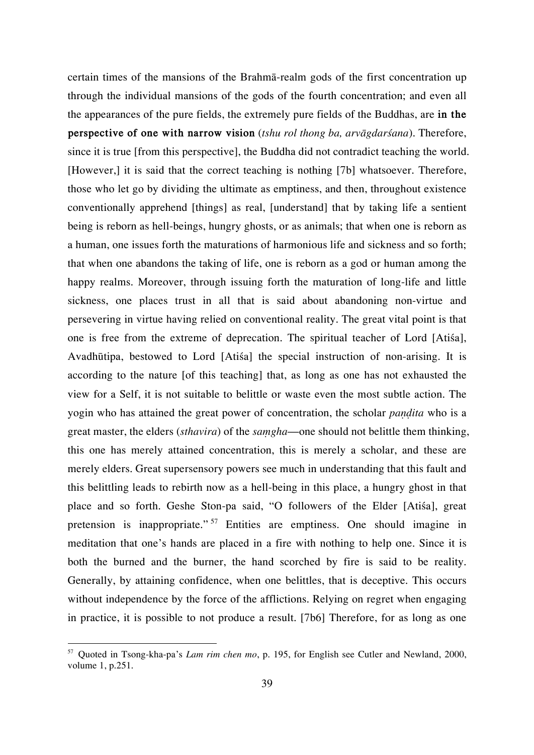certain times of the mansions of the Brahmā-realm gods of the first concentration up through the individual mansions of the gods of the fourth concentration; and even all the appearances of the pure fields, the extremely pure fields of the Buddhas, are **in the perspective of one with narrow vision** (*tshu rol thong ba, arvāgdarśana*). Therefore, since it is true [from this perspective], the Buddha did not contradict teaching the world. [However,] it is said that the correct teaching is nothing [7b] whatsoever. Therefore, those who let go by dividing the ultimate as emptiness, and then, throughout existence conventionally apprehend [things] as real, [understand] that by taking life a sentient being is reborn as hell-beings, hungry ghosts, or as animals; that when one is reborn as a human, one issues forth the maturations of harmonious life and sickness and so forth; that when one abandons the taking of life, one is reborn as a god or human among the happy realms. Moreover, through issuing forth the maturation of long-life and little sickness, one places trust in all that is said about abandoning non-virtue and persevering in virtue having relied on conventional reality. The great vital point is that one is free from the extreme of deprecation. The spiritual teacher of Lord [Atiśa], Avadhūtipa, bestowed to Lord [Atiśa] the special instruction of non-arising. It is according to the nature [of this teaching] that, as long as one has not exhausted the view for a Self, it is not suitable to belittle or waste even the most subtle action. The yogin who has attained the great power of concentration, the scholar *paṇḍita* who is a great master, the elders (*sthavira*) of the *saṃgha*—one should not belittle them thinking, this one has merely attained concentration, this is merely a scholar, and these are merely elders. Great supersensory powers see much in understanding that this fault and this belittling leads to rebirth now as a hell-being in this place, a hungry ghost in that place and so forth. Geshe Ston-pa said, "O followers of the Elder [Atiśa], great pretension is inappropriate." <sup>57</sup> Entities are emptiness. One should imagine in meditation that one's hands are placed in a fire with nothing to help one. Since it is both the burned and the burner, the hand scorched by fire is said to be reality. Generally, by attaining confidence, when one belittles, that is deceptive. This occurs without independence by the force of the afflictions. Relying on regret when engaging in practice, it is possible to not produce a result. [7b6] Therefore, for as long as one

<sup>57</sup> Quoted in Tsong-kha-pa's *Lam rim chen mo*, p. 195, for English see Cutler and Newland, 2000, volume 1, p.251.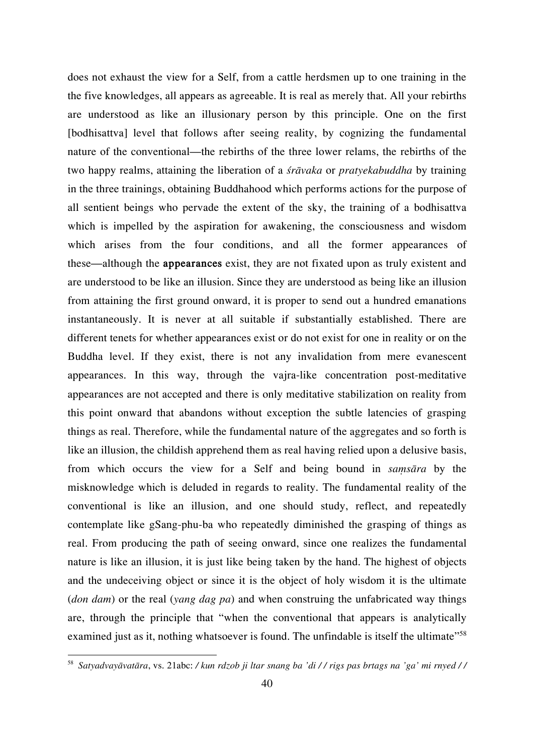does not exhaust the view for a Self, from a cattle herdsmen up to one training in the the five knowledges, all appears as agreeable. It is real as merely that. All your rebirths are understood as like an illusionary person by this principle. One on the first [bodhisattva] level that follows after seeing reality, by cognizing the fundamental nature of the conventional—the rebirths of the three lower relams, the rebirths of the two happy realms, attaining the liberation of a *śrāvaka* or *pratyekabuddha* by training in the three trainings, obtaining Buddhahood which performs actions for the purpose of all sentient beings who pervade the extent of the sky, the training of a bodhisattva which is impelled by the aspiration for awakening, the consciousness and wisdom which arises from the four conditions, and all the former appearances of these—although the **appearances** exist, they are not fixated upon as truly existent and are understood to be like an illusion. Since they are understood as being like an illusion from attaining the first ground onward, it is proper to send out a hundred emanations instantaneously. It is never at all suitable if substantially established. There are different tenets for whether appearances exist or do not exist for one in reality or on the Buddha level. If they exist, there is not any invalidation from mere evanescent appearances. In this way, through the vajra-like concentration post-meditative appearances are not accepted and there is only meditative stabilization on reality from this point onward that abandons without exception the subtle latencies of grasping things as real. Therefore, while the fundamental nature of the aggregates and so forth is like an illusion, the childish apprehend them as real having relied upon a delusive basis, from which occurs the view for a Self and being bound in *saṃsāra* by the misknowledge which is deluded in regards to reality. The fundamental reality of the conventional is like an illusion, and one should study, reflect, and repeatedly contemplate like gSang-phu-ba who repeatedly diminished the grasping of things as real. From producing the path of seeing onward, since one realizes the fundamental nature is like an illusion, it is just like being taken by the hand. The highest of objects and the undeceiving object or since it is the object of holy wisdom it is the ultimate (*don dam*) or the real (*yang dag pa*) and when construing the unfabricated way things are, through the principle that "when the conventional that appears is analytically examined just as it, nothing whatsoever is found. The unfindable is itself the ultimate"<sup>58</sup>

<sup>58</sup> *Satyadvayāvatāra*, vs. 21abc: */ kun rdzob ji ltar snang ba 'di / / rigs pas brtags na 'ga' mi rnyed / /*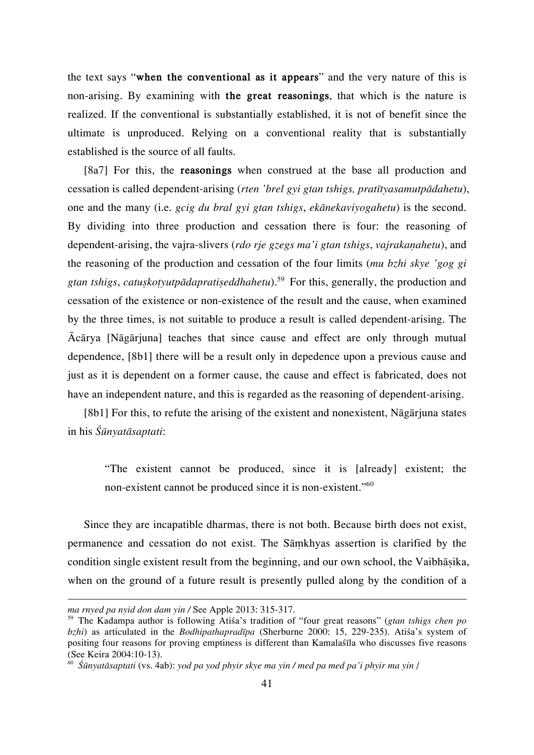the text says "**when the conventional as it appears**" and the very nature of this is non-arising. By examining with **the great reasonings**, that which is the nature is realized. If the conventional is substantially established, it is not of benefit since the ultimate is unproduced. Relying on a conventional reality that is substantially established is the source of all faults.

 [8a7] For this, the **reasonings** when construed at the base all production and cessation is called dependent-arising (*rten 'brel gyi gtan tshigs, pratītyasamutpādahetu*), one and the many (i.e. *gcig du bral gyi gtan tshigs*, *ekānekaviyogahetu*) is the second. By dividing into three production and cessation there is four: the reasoning of dependent-arising, the vajra-slivers (*rdo rje gzegs ma'i gtan tshigs*, *vajrakaṇahetu*), and the reasoning of the production and cessation of the four limits (*mu bzhi skye 'gog gi gtan tshigs*, *catuṣkoṭyutpādapratiṣeddhahetu*).<sup>59</sup> For this, generally, the production and cessation of the existence or non-existence of the result and the cause, when examined by the three times, is not suitable to produce a result is called dependent-arising. The Ācārya [Nāgārjuna] teaches that since cause and effect are only through mutual dependence, [8b1] there will be a result only in depedence upon a previous cause and just as it is dependent on a former cause, the cause and effect is fabricated, does not have an independent nature, and this is regarded as the reasoning of dependent-arising.

 [8b1] For this, to refute the arising of the existent and nonexistent, Nāgārjuna states in his *Śūnyatāsaptati*:

"The existent cannot be produced, since it is [already] existent; the non-existent cannot be produced since it is non-existent."<sup>60</sup>

 Since they are incapatible dharmas, there is not both. Because birth does not exist, permanence and cessation do not exist. The Sāṃkhyas assertion is clarified by the condition single existent result from the beginning, and our own school, the Vaibhāṣika, when on the ground of a future result is presently pulled along by the condition of a

*ma rnyed pa nyid don dam yin /* See Apple 2013: 315-317.

<sup>59</sup> The Kadampa author is following Atiśa's tradition of "four great reasons" (*gtan tshigs chen po bzhi*) as articulated in the *Bodhipathapradīpa* (Sherburne 2000: 15, 229-235). Atiśa's system of positing four reasons for proving emptiness is different than Kamalaśīla who discusses five reasons (See Keira 2004:10-13).

<sup>60</sup> *Śūnyatāsaptati* (vs. 4ab): *yod pa yod phyir skye ma yin / med pa med pa'i phyir ma yin* /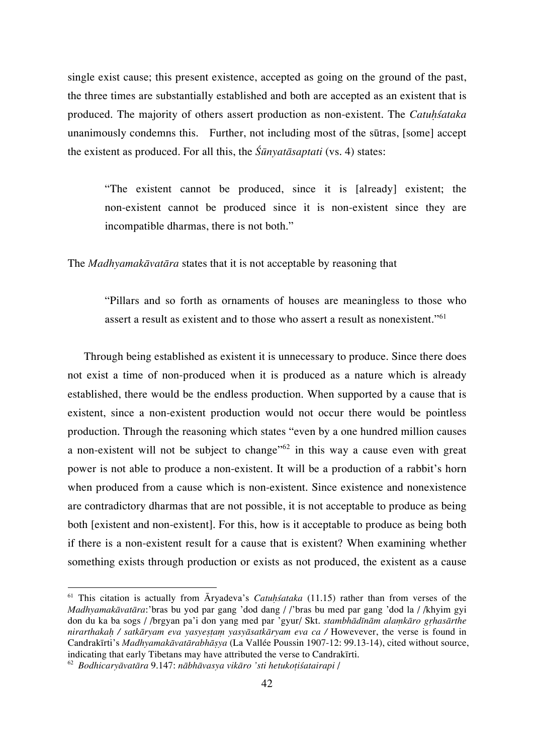single exist cause; this present existence, accepted as going on the ground of the past, the three times are substantially established and both are accepted as an existent that is produced. The majority of others assert production as non-existent. The *Catuḥśataka* unanimously condemns this. Further, not including most of the sūtras, [some] accept the existent as produced. For all this, the *Śūnyatāsaptati* (vs. 4) states:

"The existent cannot be produced, since it is [already] existent; the non-existent cannot be produced since it is non-existent since they are incompatible dharmas, there is not both."

The *Madhyamakāvatāra* states that it is not acceptable by reasoning that

"Pillars and so forth as ornaments of houses are meaningless to those who assert a result as existent and to those who assert a result as nonexistent."<sup>61</sup>

 Through being established as existent it is unnecessary to produce. Since there does not exist a time of non-produced when it is produced as a nature which is already established, there would be the endless production. When supported by a cause that is existent, since a non-existent production would not occur there would be pointless production. Through the reasoning which states "even by a one hundred million causes a non-existent will not be subject to change<sup> $562$ </sup> in this way a cause even with great power is not able to produce a non-existent. It will be a production of a rabbit's horn when produced from a cause which is non-existent. Since existence and nonexistence are contradictory dharmas that are not possible, it is not acceptable to produce as being both [existent and non-existent]. For this, how is it acceptable to produce as being both if there is a non-existent result for a cause that is existent? When examining whether something exists through production or exists as not produced, the existent as a cause

<sup>61</sup> This citation is actually from Āryadeva's *Catuḥśataka* (11.15) rather than from verses of the *Madhyamakāvatāra*:'bras bu yod par gang 'dod dang / /'bras bu med par gang 'dod la / /khyim gyi don du ka ba sogs / /brgyan pa'i don yang med par 'gyur/ Skt. *stambhādīnām alaṃkāro gṛhasārthe nirarthakaḥ / satkāryam eva yasyeṣṭaṃ yasyāsatkāryam eva ca /* Howevever, the verse is found in Candrakīrti's *Madhyamakāvatārabhāṣya* (La Vallée Poussin 1907-12: 99.13-14), cited without source, indicating that early Tibetans may have attributed the verse to Candrakīrti.

<sup>62</sup> *Bodhicaryāvatāra* 9.147: *nābhāvasya vikāro 'sti hetukoṭiśatairapi* /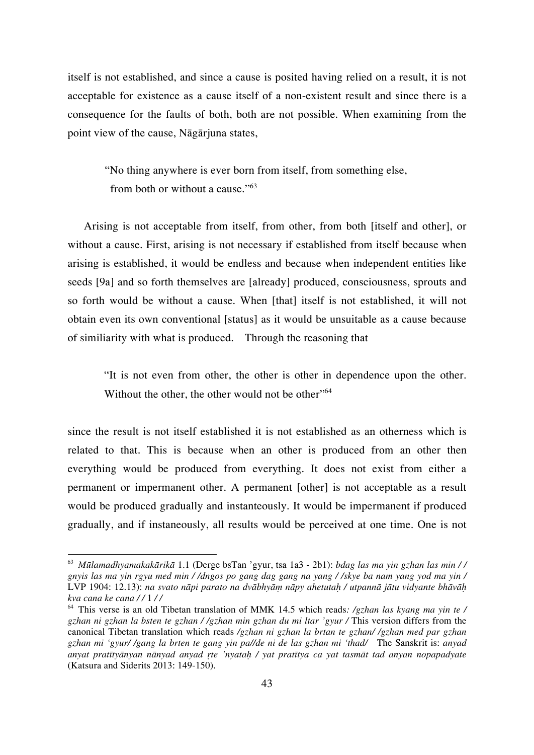itself is not established, and since a cause is posited having relied on a result, it is not acceptable for existence as a cause itself of a non-existent result and since there is a consequence for the faults of both, both are not possible. When examining from the point view of the cause, Nāgārjuna states,

"No thing anywhere is ever born from itself, from something else, from both or without a cause."<sup>63</sup>

 Arising is not acceptable from itself, from other, from both [itself and other], or without a cause. First, arising is not necessary if established from itself because when arising is established, it would be endless and because when independent entities like seeds [9a] and so forth themselves are [already] produced, consciousness, sprouts and so forth would be without a cause. When [that] itself is not established, it will not obtain even its own conventional [status] as it would be unsuitable as a cause because of similiarity with what is produced. Through the reasoning that

"It is not even from other, the other is other in dependence upon the other. Without the other, the other would not be other"<sup>64</sup>

since the result is not itself established it is not established as an otherness which is related to that. This is because when an other is produced from an other then everything would be produced from everything. It does not exist from either a permanent or impermanent other. A permanent [other] is not acceptable as a result would be produced gradually and instanteously. It would be impermanent if produced gradually, and if instaneously, all results would be perceived at one time. One is not

 $\overline{a}$ 

<sup>63</sup> *Mūlamadhyamakakārikā* 1.1 (Derge bsTan 'gyur, tsa 1a3 - 2b1): *bdag las ma yin gzhan las min / / gnyis las ma yin rgyu med min / /dngos po gang dag gang na yang / /skye ba nam yang yod ma yin /* LVP 1904: 12.13): *na svato nāpi parato na dvābhyāṃ nāpy ahetutaḥ / utpannā jātu vidyante bhāvāḥ kva cana ke cana / /* 1 */ /*

<sup>64</sup> This verse is an old Tibetan translation of MMK 14.5 which reads*: /gzhan las kyang ma yin te / gzhan ni gzhan la bsten te gzhan / /gzhan min gzhan du mi ltar 'gyur /* This version differs from the canonical Tibetan translation which reads */gzhan ni gzhan la brtan te gzhan/ /gzhan med par gzhan gzhan mi 'gyur/ /gang la brten te gang yin pa//de ni de las gzhan mi 'thad/* The Sanskrit is: *anyad anyat pratītyānyan nānyad anyad ṛte 'nyataḥ / yat pratītya ca yat tasmāt tad anyan nopapadyate* (Katsura and Siderits 2013: 149-150).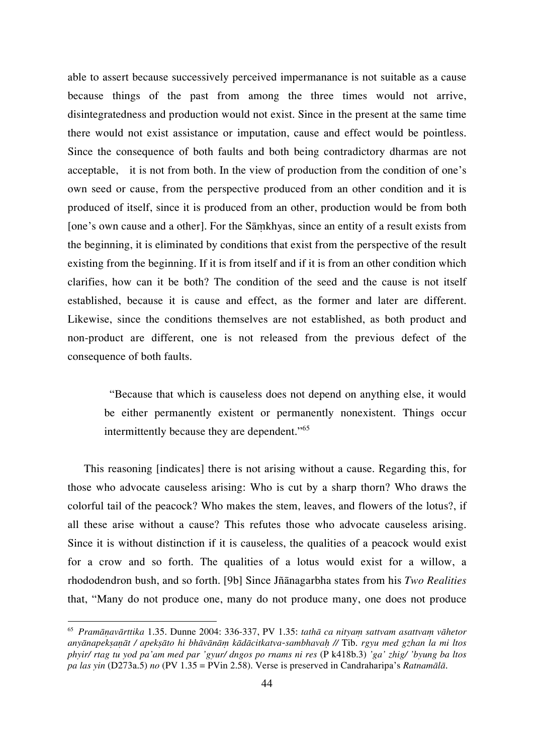able to assert because successively perceived impermanance is not suitable as a cause because things of the past from among the three times would not arrive, disintegratedness and production would not exist. Since in the present at the same time there would not exist assistance or imputation, cause and effect would be pointless. Since the consequence of both faults and both being contradictory dharmas are not acceptable, it is not from both. In the view of production from the condition of one's own seed or cause, from the perspective produced from an other condition and it is produced of itself, since it is produced from an other, production would be from both [one's own cause and a other]. For the Sāṃkhyas, since an entity of a result exists from the beginning, it is eliminated by conditions that exist from the perspective of the result existing from the beginning. If it is from itself and if it is from an other condition which clarifies, how can it be both? The condition of the seed and the cause is not itself established, because it is cause and effect, as the former and later are different. Likewise, since the conditions themselves are not established, as both product and non-product are different, one is not released from the previous defect of the consequence of both faults.

"Because that which is causeless does not depend on anything else, it would be either permanently existent or permanently nonexistent. Things occur intermittently because they are dependent."<sup>65</sup>

 This reasoning [indicates] there is not arising without a cause. Regarding this, for those who advocate causeless arising: Who is cut by a sharp thorn? Who draws the colorful tail of the peacock? Who makes the stem, leaves, and flowers of the lotus?, if all these arise without a cause? This refutes those who advocate causeless arising. Since it is without distinction if it is causeless, the qualities of a peacock would exist for a crow and so forth. The qualities of a lotus would exist for a willow, a rhododendron bush, and so forth. [9b] Since Jñānagarbha states from his *Two Realities* that, "Many do not produce one, many do not produce many, one does not produce

 $\overline{a}$ 

<sup>65</sup> *Pramāṇavārttika* 1.35. Dunne 2004: 336-337, PV 1.35: *tathā ca nityaṃ sattvam asattvaṃ vāhetor*  anyānapekṣaṇāt / apekṣāto hi bhāvānāṃ kādācitkatva-sambhavaḥ // Tib. rgyu med gzhan la mi ltos *phyir/ rtag tu yod pa'am med par 'gyur/ dngos po rnams ni res* (P k418b.3) *'ga' zhig/ 'byung ba ltos pa las yin* (D273a.5) *no* (PV 1.35 = PVin 2.58). Verse is preserved in Candraharipa's *Ratnamālā*.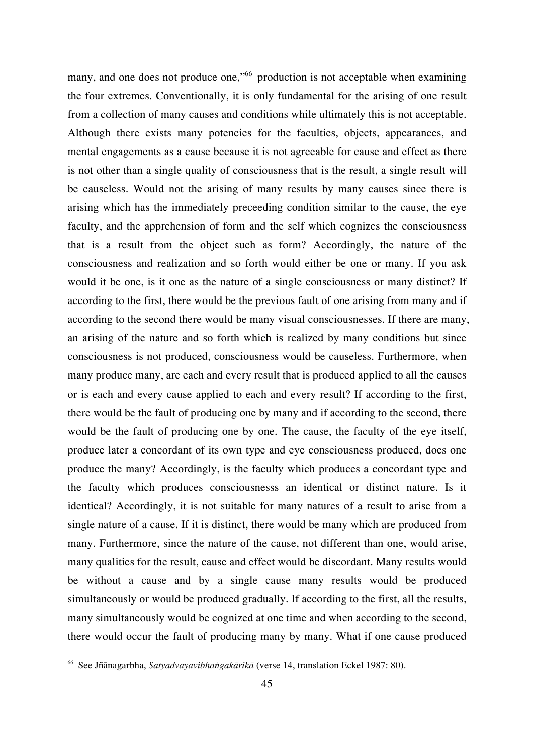many, and one does not produce one,"<sup>66</sup> production is not acceptable when examining the four extremes. Conventionally, it is only fundamental for the arising of one result from a collection of many causes and conditions while ultimately this is not acceptable. Although there exists many potencies for the faculties, objects, appearances, and mental engagements as a cause because it is not agreeable for cause and effect as there is not other than a single quality of consciousness that is the result, a single result will be causeless. Would not the arising of many results by many causes since there is arising which has the immediately preceeding condition similar to the cause, the eye faculty, and the apprehension of form and the self which cognizes the consciousness that is a result from the object such as form? Accordingly, the nature of the consciousness and realization and so forth would either be one or many. If you ask would it be one, is it one as the nature of a single consciousness or many distinct? If according to the first, there would be the previous fault of one arising from many and if according to the second there would be many visual consciousnesses. If there are many, an arising of the nature and so forth which is realized by many conditions but since consciousness is not produced, consciousness would be causeless. Furthermore, when many produce many, are each and every result that is produced applied to all the causes or is each and every cause applied to each and every result? If according to the first, there would be the fault of producing one by many and if according to the second, there would be the fault of producing one by one. The cause, the faculty of the eye itself, produce later a concordant of its own type and eye consciousness produced, does one produce the many? Accordingly, is the faculty which produces a concordant type and the faculty which produces consciousnesss an identical or distinct nature. Is it identical? Accordingly, it is not suitable for many natures of a result to arise from a single nature of a cause. If it is distinct, there would be many which are produced from many. Furthermore, since the nature of the cause, not different than one, would arise, many qualities for the result, cause and effect would be discordant. Many results would be without a cause and by a single cause many results would be produced simultaneously or would be produced gradually. If according to the first, all the results, many simultaneously would be cognized at one time and when according to the second, there would occur the fault of producing many by many. What if one cause produced

<sup>66</sup> See Jñānagarbha, *Satyadvayavibhaṅgakārikā* (verse 14, translation Eckel 1987: 80).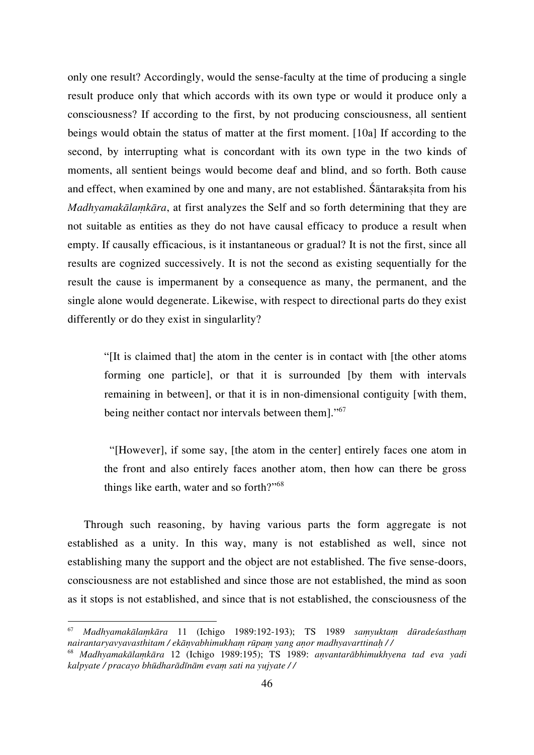only one result? Accordingly, would the sense-faculty at the time of producing a single result produce only that which accords with its own type or would it produce only a consciousness? If according to the first, by not producing consciousness, all sentient beings would obtain the status of matter at the first moment. [10a] If according to the second, by interrupting what is concordant with its own type in the two kinds of moments, all sentient beings would become deaf and blind, and so forth. Both cause and effect, when examined by one and many, are not established. Śāntarakṣita from his *Madhyamakālaṃkāra*, at first analyzes the Self and so forth determining that they are not suitable as entities as they do not have causal efficacy to produce a result when empty. If causally efficacious, is it instantaneous or gradual? It is not the first, since all results are cognized successively. It is not the second as existing sequentially for the result the cause is impermanent by a consequence as many, the permanent, and the single alone would degenerate. Likewise, with respect to directional parts do they exist differently or do they exist in singularlity?

"[It is claimed that] the atom in the center is in contact with [the other atoms forming one particle], or that it is surrounded [by them with intervals remaining in between], or that it is in non-dimensional contiguity [with them, being neither contact nor intervals between them]."<sup>67</sup>

"[However], if some say, [the atom in the center] entirely faces one atom in the front and also entirely faces another atom, then how can there be gross things like earth, water and so forth?"<sup>68</sup>

 Through such reasoning, by having various parts the form aggregate is not established as a unity. In this way, many is not established as well, since not establishing many the support and the object are not established. The five sense-doors, consciousness are not established and since those are not established, the mind as soon as it stops is not established, and since that is not established, the consciousness of the

 $\overline{a}$ 

<sup>67</sup> *Madhyamakālaṃkāra* 11 (Ichigo 1989:192-193); TS 1989 *saṃyuktaṃ dūradeśasthaṃ nairantaryavyavasthitam / ekāṇvabhimukhaṃ rūpaṃ yang aṇor madhyavarttinaḥ / /* 

<sup>68</sup> *Madhyamakālaṃkāra* 12 (Ichigo 1989:195); TS 1989: *aṇvantarābhimukhyena tad eva yadi kalpyate / pracayo bhūdharādīnām evaṃ sati na yujyate / /*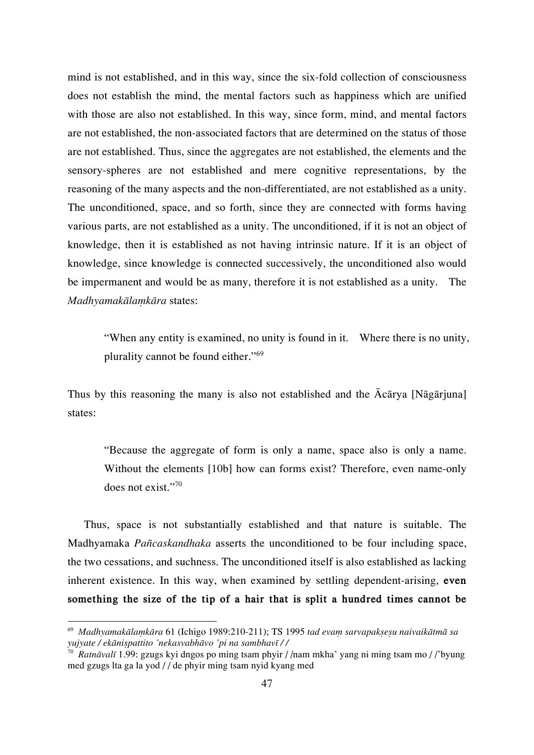mind is not established, and in this way, since the six-fold collection of consciousness does not establish the mind, the mental factors such as happiness which are unified with those are also not established. In this way, since form, mind, and mental factors are not established, the non-associated factors that are determined on the status of those are not established. Thus, since the aggregates are not established, the elements and the sensory-spheres are not established and mere cognitive representations, by the reasoning of the many aspects and the non-differentiated, are not established as a unity. The unconditioned, space, and so forth, since they are connected with forms having various parts, are not established as a unity. The unconditioned, if it is not an object of knowledge, then it is established as not having intrinsic nature. If it is an object of knowledge, since knowledge is connected successively, the unconditioned also would be impermanent and would be as many, therefore it is not established as a unity. The *Madhyamakālaṃkāra* states:

"When any entity is examined, no unity is found in it. Where there is no unity, plurality cannot be found either."<sup>69</sup>

Thus by this reasoning the many is also not established and the Ācārya [Nāgārjuna] states:

"Because the aggregate of form is only a name, space also is only a name. Without the elements [10b] how can forms exist? Therefore, even name-only does not exist."<sup>70</sup>

 Thus, space is not substantially established and that nature is suitable. The Madhyamaka *Pañcaskandhaka* asserts the unconditioned to be four including space, the two cessations, and suchness. The unconditioned itself is also established as lacking inherent existence. In this way, when examined by settling dependent-arising, **even something the size of the tip of a hair that is split a hundred times cannot be**

 $\overline{a}$ 

<sup>69</sup> *Madhyamakālaṃkāra* 61 (Ichigo 1989:210-211); TS 1995 *tad evaṃ sarvapakṣeṣu naivaikātmā sa yujyate / ekāniṣpattito 'nekasvabhāvo 'pi na sambhavī / /* 

<sup>70</sup> *Ratnāvalī* 1.99: gzugs kyi dngos po ming tsam phyir / /nam mkha' yang ni ming tsam mo / /'byung med gzugs lta ga la yod / / de phyir ming tsam nyid kyang med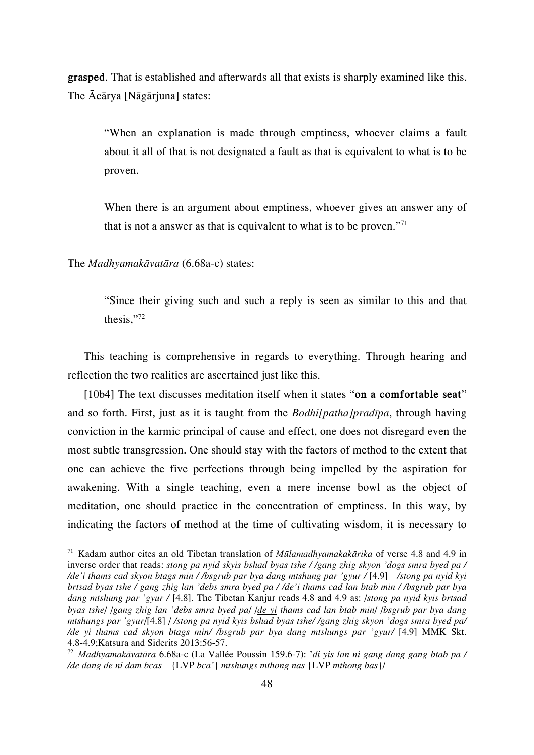**grasped**. That is established and afterwards all that exists is sharply examined like this. The Ācārya [Nāgārjuna] states:

"When an explanation is made through emptiness, whoever claims a fault about it all of that is not designated a fault as that is equivalent to what is to be proven.

When there is an argument about emptiness, whoever gives an answer any of that is not a answer as that is equivalent to what is to be proven."<sup>71</sup>

The *Madhyamakāvatāra* (6.68a-c) states:

l

"Since their giving such and such a reply is seen as similar to this and that thesis,"<sup>72</sup>

 This teaching is comprehensive in regards to everything. Through hearing and reflection the two realities are ascertained just like this.

 [10b4] The text discusses meditation itself when it states "**on a comfortable seat**" and so forth. First, just as it is taught from the *Bodhi[patha]pradīpa*, through having conviction in the karmic principal of cause and effect, one does not disregard even the most subtle transgression. One should stay with the factors of method to the extent that one can achieve the five perfections through being impelled by the aspiration for awakening. With a single teaching, even a mere incense bowl as the object of meditation, one should practice in the concentration of emptiness. In this way, by indicating the factors of method at the time of cultivating wisdom, it is necessary to

<sup>71</sup> Kadam author cites an old Tibetan translation of *Mūlamadhyamakakārika* of verse 4.8 and 4.9 in inverse order that reads: *stong pa nyid skyis bshad byas tshe / /gang zhig skyon 'dogs smra byed pa / /de'i thams cad skyon btags min / /bsgrub par bya dang mtshung par 'gyur /* [4.9] */stong pa nyid kyi brtsad byas tshe / gang zhig lan 'debs smra byed pa / /de'i thams cad lan btab min / /bsgrub par bya dang mtshung par 'gyur /* [4.8]. The Tibetan Kanjur reads 4.8 and 4.9 as: /*stong pa nyid kyis brtsad byas tshe*/ /*gang zhig lan 'debs smra byed pa*/ /*de yi thams cad lan btab min*/ /*bsgrub par bya dang mtshungs par 'gyur*/[4.8] / */stong pa nyid kyis bshad byas tshe/ /gang zhig skyon 'dogs smra byed pa/ /de yi thams cad skyon btags min/ /bsgrub par bya dang mtshungs par 'gyur/* [4.9] MMK Skt. 4.8-4.9;Katsura and Siderits 2013:56-57.

<sup>72</sup> *Madhyamakāvatāra* 6.68a-c (La Vallée Poussin 159.6-7): '*di yis lan ni gang dang gang btab pa / /de dang de ni dam bcas* {LVP *bca'*} *mtshungs mthong nas* {LVP *mthong bas*}/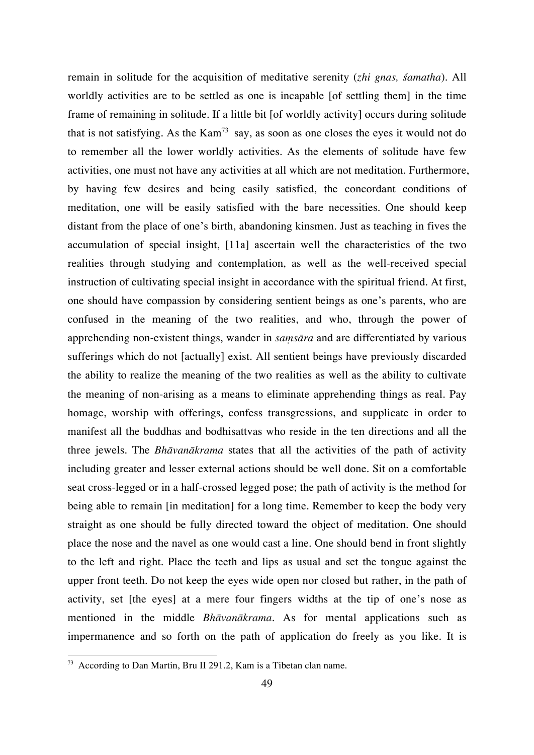remain in solitude for the acquisition of meditative serenity (*zhi gnas, śamatha*). All worldly activities are to be settled as one is incapable [of settling them] in the time frame of remaining in solitude. If a little bit [of worldly activity] occurs during solitude that is not satisfying. As the  $Kam^{73}$  say, as soon as one closes the eyes it would not do to remember all the lower worldly activities. As the elements of solitude have few activities, one must not have any activities at all which are not meditation. Furthermore, by having few desires and being easily satisfied, the concordant conditions of meditation, one will be easily satisfied with the bare necessities. One should keep distant from the place of one's birth, abandoning kinsmen. Just as teaching in fives the accumulation of special insight, [11a] ascertain well the characteristics of the two realities through studying and contemplation, as well as the well-received special instruction of cultivating special insight in accordance with the spiritual friend. At first, one should have compassion by considering sentient beings as one's parents, who are confused in the meaning of the two realities, and who, through the power of apprehending non-existent things, wander in *saṃsāra* and are differentiated by various sufferings which do not [actually] exist. All sentient beings have previously discarded the ability to realize the meaning of the two realities as well as the ability to cultivate the meaning of non-arising as a means to eliminate apprehending things as real. Pay homage, worship with offerings, confess transgressions, and supplicate in order to manifest all the buddhas and bodhisattvas who reside in the ten directions and all the three jewels. The *Bhāvanākrama* states that all the activities of the path of activity including greater and lesser external actions should be well done. Sit on a comfortable seat cross-legged or in a half-crossed legged pose; the path of activity is the method for being able to remain [in meditation] for a long time. Remember to keep the body very straight as one should be fully directed toward the object of meditation. One should place the nose and the navel as one would cast a line. One should bend in front slightly to the left and right. Place the teeth and lips as usual and set the tongue against the upper front teeth. Do not keep the eyes wide open nor closed but rather, in the path of activity, set [the eyes] at a mere four fingers widths at the tip of one's nose as mentioned in the middle *Bhāvanākrama*. As for mental applications such as impermanence and so forth on the path of application do freely as you like. It is

<sup>&</sup>lt;sup>73</sup> According to Dan Martin, Bru II 291.2, Kam is a Tibetan clan name.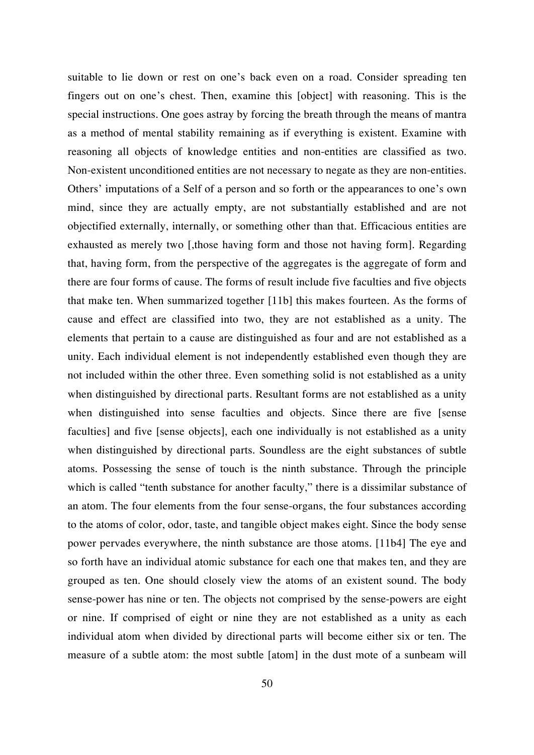suitable to lie down or rest on one's back even on a road. Consider spreading ten fingers out on one's chest. Then, examine this [object] with reasoning. This is the special instructions. One goes astray by forcing the breath through the means of mantra as a method of mental stability remaining as if everything is existent. Examine with reasoning all objects of knowledge entities and non-entities are classified as two. Non-existent unconditioned entities are not necessary to negate as they are non-entities. Others' imputations of a Self of a person and so forth or the appearances to one's own mind, since they are actually empty, are not substantially established and are not objectified externally, internally, or something other than that. Efficacious entities are exhausted as merely two [,those having form and those not having form]. Regarding that, having form, from the perspective of the aggregates is the aggregate of form and there are four forms of cause. The forms of result include five faculties and five objects that make ten. When summarized together [11b] this makes fourteen. As the forms of cause and effect are classified into two, they are not established as a unity. The elements that pertain to a cause are distinguished as four and are not established as a unity. Each individual element is not independently established even though they are not included within the other three. Even something solid is not established as a unity when distinguished by directional parts. Resultant forms are not established as a unity when distinguished into sense faculties and objects. Since there are five [sense faculties] and five [sense objects], each one individually is not established as a unity when distinguished by directional parts. Soundless are the eight substances of subtle atoms. Possessing the sense of touch is the ninth substance. Through the principle which is called "tenth substance for another faculty," there is a dissimilar substance of an atom. The four elements from the four sense-organs, the four substances according to the atoms of color, odor, taste, and tangible object makes eight. Since the body sense power pervades everywhere, the ninth substance are those atoms. [11b4] The eye and so forth have an individual atomic substance for each one that makes ten, and they are grouped as ten. One should closely view the atoms of an existent sound. The body sense-power has nine or ten. The objects not comprised by the sense-powers are eight or nine. If comprised of eight or nine they are not established as a unity as each individual atom when divided by directional parts will become either six or ten. The measure of a subtle atom: the most subtle [atom] in the dust mote of a sunbeam will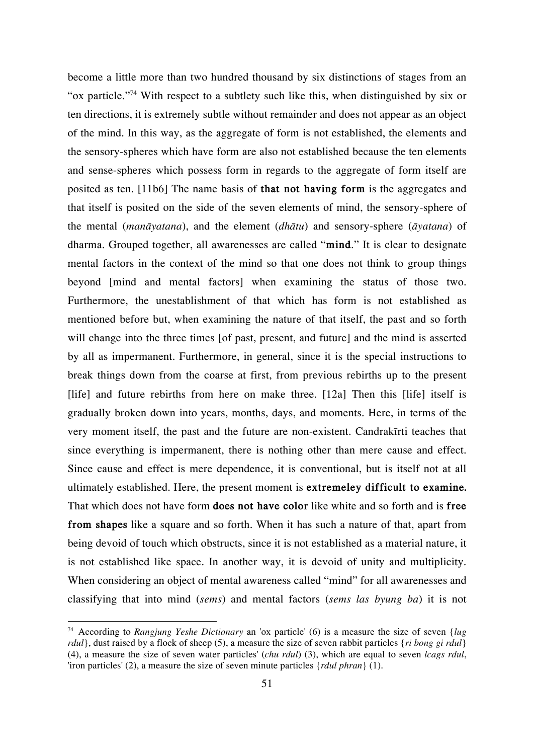become a little more than two hundred thousand by six distinctions of stages from an "ox particle."<sup>74</sup> With respect to a subtlety such like this, when distinguished by six or ten directions, it is extremely subtle without remainder and does not appear as an object of the mind. In this way, as the aggregate of form is not established, the elements and the sensory-spheres which have form are also not established because the ten elements and sense-spheres which possess form in regards to the aggregate of form itself are posited as ten. [11b6] The name basis of **that not having form** is the aggregates and that itself is posited on the side of the seven elements of mind, the sensory-sphere of the mental (*manāyatana*), and the element (*dhātu*) and sensory-sphere (*āyatana*) of dharma. Grouped together, all awarenesses are called "**mind**." It is clear to designate mental factors in the context of the mind so that one does not think to group things beyond [mind and mental factors] when examining the status of those two. Furthermore, the unestablishment of that which has form is not established as mentioned before but, when examining the nature of that itself, the past and so forth will change into the three times [of past, present, and future] and the mind is asserted by all as impermanent. Furthermore, in general, since it is the special instructions to break things down from the coarse at first, from previous rebirths up to the present [life] and future rebirths from here on make three. [12a] Then this [life] itself is gradually broken down into years, months, days, and moments. Here, in terms of the very moment itself, the past and the future are non-existent. Candrakīrti teaches that since everything is impermanent, there is nothing other than mere cause and effect. Since cause and effect is mere dependence, it is conventional, but is itself not at all ultimately established. Here, the present moment is **extremeley difficult to examine.** That which does not have form **does not have color** like white and so forth and is **free from shapes** like a square and so forth. When it has such a nature of that, apart from being devoid of touch which obstructs, since it is not established as a material nature, it is not established like space. In another way, it is devoid of unity and multiplicity. When considering an object of mental awareness called "mind" for all awarenesses and classifying that into mind (*sems*) and mental factors (*sems las byung ba*) it is not

 $\overline{a}$ 

<sup>74</sup> According to *Rangjung Yeshe Dictionary* an 'ox particle' (6) is a measure the size of seven {*lug rdul*}, dust raised by a flock of sheep (5), a measure the size of seven rabbit particles {*ri bong gi rdul*} (4), a measure the size of seven water particles' (*chu rdul*) (3), which are equal to seven *lcags rdul*, 'iron particles' (2), a measure the size of seven minute particles {*rdul phran*} (1).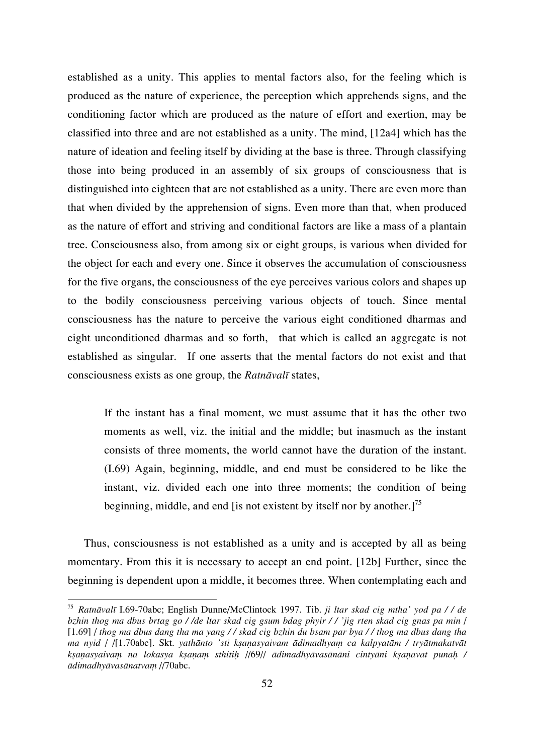established as a unity. This applies to mental factors also, for the feeling which is produced as the nature of experience, the perception which apprehends signs, and the conditioning factor which are produced as the nature of effort and exertion, may be classified into three and are not established as a unity. The mind, [12a4] which has the nature of ideation and feeling itself by dividing at the base is three. Through classifying those into being produced in an assembly of six groups of consciousness that is distinguished into eighteen that are not established as a unity. There are even more than that when divided by the apprehension of signs. Even more than that, when produced as the nature of effort and striving and conditional factors are like a mass of a plantain tree. Consciousness also, from among six or eight groups, is various when divided for the object for each and every one. Since it observes the accumulation of consciousness for the five organs, the consciousness of the eye perceives various colors and shapes up to the bodily consciousness perceiving various objects of touch. Since mental consciousness has the nature to perceive the various eight conditioned dharmas and eight unconditioned dharmas and so forth, that which is called an aggregate is not established as singular. If one asserts that the mental factors do not exist and that consciousness exists as one group, the *Ratnāvalī* states,

If the instant has a final moment, we must assume that it has the other two moments as well, viz. the initial and the middle; but inasmuch as the instant consists of three moments, the world cannot have the duration of the instant. (I.69) Again, beginning, middle, and end must be considered to be like the instant, viz. divided each one into three moments; the condition of being beginning, middle, and end [is not existent by itself nor by another.]<sup>75</sup>

 Thus, consciousness is not established as a unity and is accepted by all as being momentary. From this it is necessary to accept an end point. [12b] Further, since the beginning is dependent upon a middle, it becomes three. When contemplating each and

<sup>75</sup> *Ratnāvalī* I.69-70abc; English Dunne/McClintock 1997. Tib. *ji ltar skad cig mtha' yod pa / / de bzhin thog ma dbus brtag go / /de ltar skad cig gsum bdag phyir / / 'jig rten skad cig gnas pa min* / [1.69] / *thog ma dbus dang tha ma yang / / skad cig bzhin du bsam par bya / / thog ma dbus dang tha ma nyid* / /[1.70abc]. Skt. *yathānto 'sti kṣaṇasyaivam ādimadhyaṃ ca kalpyatām / tryātmakatvāt*  ksanasyaivam na lokasya ksanam sthitih //69// ādimadhyāvasānāni cintyāni ksanavat punah / *ādimadhyāvasānatvaṃ* //70abc.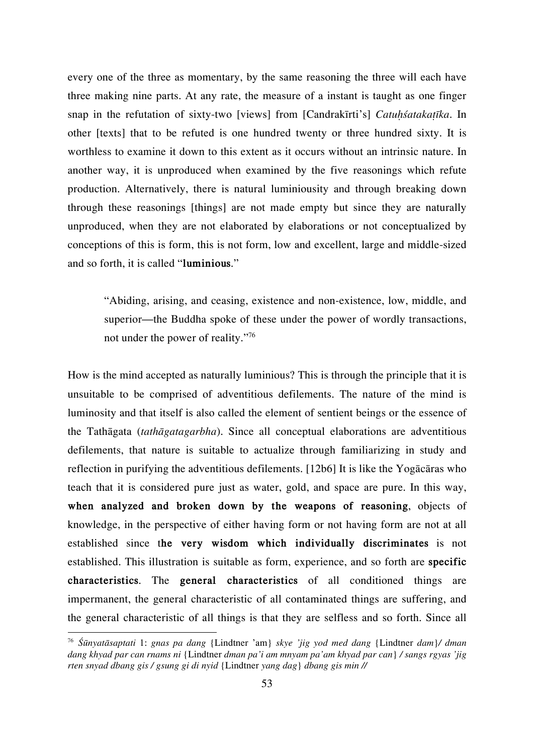every one of the three as momentary, by the same reasoning the three will each have three making nine parts. At any rate, the measure of a instant is taught as one finger snap in the refutation of sixty-two [views] from [Candrakīrti's] *Catuḥśatakaṭīka*. In other [texts] that to be refuted is one hundred twenty or three hundred sixty. It is worthless to examine it down to this extent as it occurs without an intrinsic nature. In another way, it is unproduced when examined by the five reasonings which refute production. Alternatively, there is natural luminiousity and through breaking down through these reasonings [things] are not made empty but since they are naturally unproduced, when they are not elaborated by elaborations or not conceptualized by conceptions of this is form, this is not form, low and excellent, large and middle-sized and so forth, it is called "**luminious**."

"Abiding, arising, and ceasing, existence and non-existence, low, middle, and superior—the Buddha spoke of these under the power of wordly transactions, not under the power of reality."<sup>76</sup>

How is the mind accepted as naturally luminious? This is through the principle that it is unsuitable to be comprised of adventitious defilements. The nature of the mind is luminosity and that itself is also called the element of sentient beings or the essence of the Tathāgata (*tathāgatagarbha*). Since all conceptual elaborations are adventitious defilements, that nature is suitable to actualize through familiarizing in study and reflection in purifying the adventitious defilements. [12b6] It is like the Yogācāras who teach that it is considered pure just as water, gold, and space are pure. In this way, **when analyzed and broken down by the weapons of reasoning**, objects of knowledge, in the perspective of either having form or not having form are not at all established since t**he very wisdom which individually discriminates** is not established. This illustration is suitable as form, experience, and so forth are **specific characteristics**. The **general characteristics** of all conditioned things are impermanent, the general characteristic of all contaminated things are suffering, and the general characteristic of all things is that they are selfless and so forth. Since all

<sup>76</sup> *Śūnyatāsaptati* 1: *gnas pa dang* {Lindtner 'am} *skye 'jig yod med dang* {Lindtner *dam*}*/ dman dang khyad par can rnams ni* {Lindtner *dman pa'i am mnyam pa'am khyad par can*} */ sangs rgyas 'jig rten snyad dbang gis / gsung gi di nyid* {Lindtner *yang dag*} *dbang gis min //*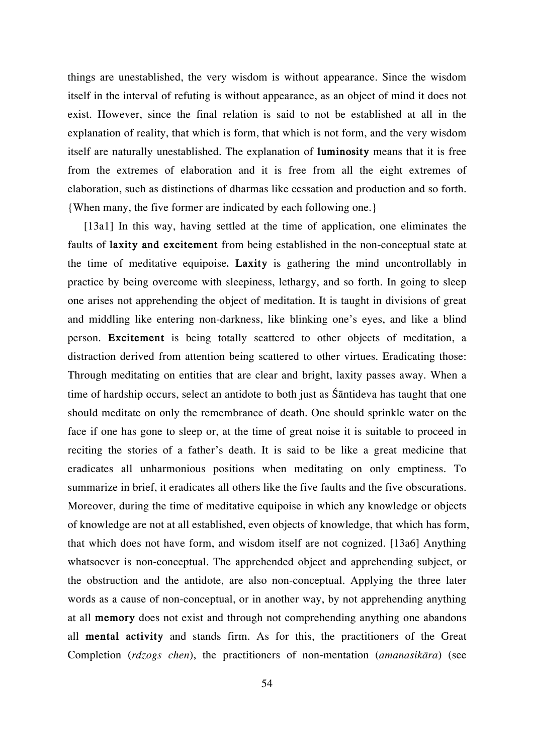things are unestablished, the very wisdom is without appearance. Since the wisdom itself in the interval of refuting is without appearance, as an object of mind it does not exist. However, since the final relation is said to not be established at all in the explanation of reality, that which is form, that which is not form, and the very wisdom itself are naturally unestablished. The explanation of **luminosity** means that it is free from the extremes of elaboration and it is free from all the eight extremes of elaboration, such as distinctions of dharmas like cessation and production and so forth. {When many, the five former are indicated by each following one.}

[13a1] In this way, having settled at the time of application, one eliminates the faults of **laxity and excitement** from being established in the non-conceptual state at the time of meditative equipoise**. Laxity** is gathering the mind uncontrollably in practice by being overcome with sleepiness, lethargy, and so forth. In going to sleep one arises not apprehending the object of meditation. It is taught in divisions of great and middling like entering non-darkness, like blinking one's eyes, and like a blind person. **Excitement** is being totally scattered to other objects of meditation, a distraction derived from attention being scattered to other virtues. Eradicating those: Through meditating on entities that are clear and bright, laxity passes away. When a time of hardship occurs, select an antidote to both just as Śāntideva has taught that one should meditate on only the remembrance of death. One should sprinkle water on the face if one has gone to sleep or, at the time of great noise it is suitable to proceed in reciting the stories of a father's death. It is said to be like a great medicine that eradicates all unharmonious positions when meditating on only emptiness. To summarize in brief, it eradicates all others like the five faults and the five obscurations. Moreover, during the time of meditative equipoise in which any knowledge or objects of knowledge are not at all established, even objects of knowledge, that which has form, that which does not have form, and wisdom itself are not cognized. [13a6] Anything whatsoever is non-conceptual. The apprehended object and apprehending subject, or the obstruction and the antidote, are also non-conceptual. Applying the three later words as a cause of non-conceptual, or in another way, by not apprehending anything at all **memory** does not exist and through not comprehending anything one abandons all **mental activity** and stands firm. As for this, the practitioners of the Great Completion (*rdzogs chen*), the practitioners of non-mentation (*amanasikāra*) (see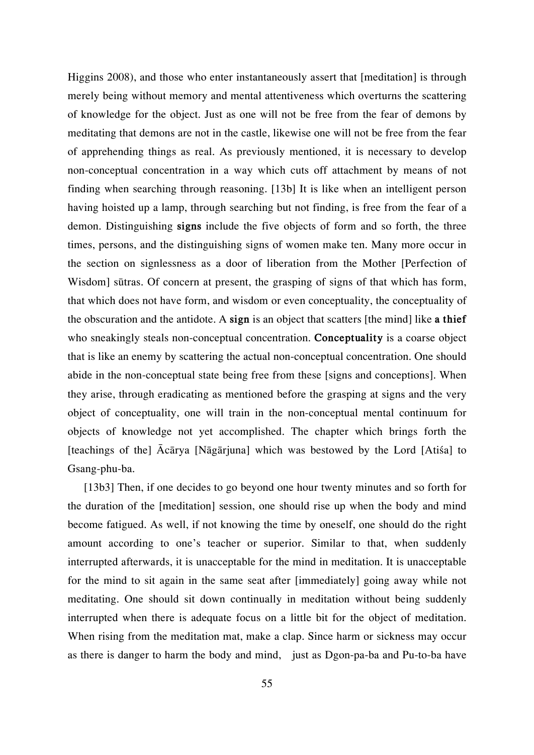Higgins 2008), and those who enter instantaneously assert that [meditation] is through merely being without memory and mental attentiveness which overturns the scattering of knowledge for the object. Just as one will not be free from the fear of demons by meditating that demons are not in the castle, likewise one will not be free from the fear of apprehending things as real. As previously mentioned, it is necessary to develop non-conceptual concentration in a way which cuts off attachment by means of not finding when searching through reasoning. [13b] It is like when an intelligent person having hoisted up a lamp, through searching but not finding, is free from the fear of a demon. Distinguishing **signs** include the five objects of form and so forth, the three times, persons, and the distinguishing signs of women make ten. Many more occur in the section on signlessness as a door of liberation from the Mother [Perfection of Wisdom] sūtras. Of concern at present, the grasping of signs of that which has form, that which does not have form, and wisdom or even conceptuality, the conceptuality of the obscuration and the antidote. A **sign** is an object that scatters [the mind] like **a thief** who sneakingly steals non-conceptual concentration. **Conceptuality** is a coarse object that is like an enemy by scattering the actual non-conceptual concentration. One should abide in the non-conceptual state being free from these [signs and conceptions]. When they arise, through eradicating as mentioned before the grasping at signs and the very object of conceptuality, one will train in the non-conceptual mental continuum for objects of knowledge not yet accomplished. The chapter which brings forth the [teachings of the] Ācārya [Nāgārjuna] which was bestowed by the Lord [Atiśa] to Gsang-phu-ba.

 [13b3] Then, if one decides to go beyond one hour twenty minutes and so forth for the duration of the [meditation] session, one should rise up when the body and mind become fatigued. As well, if not knowing the time by oneself, one should do the right amount according to one's teacher or superior. Similar to that, when suddenly interrupted afterwards, it is unacceptable for the mind in meditation. It is unacceptable for the mind to sit again in the same seat after [immediately] going away while not meditating. One should sit down continually in meditation without being suddenly interrupted when there is adequate focus on a little bit for the object of meditation. When rising from the meditation mat, make a clap. Since harm or sickness may occur as there is danger to harm the body and mind, just as Dgon-pa-ba and Pu-to-ba have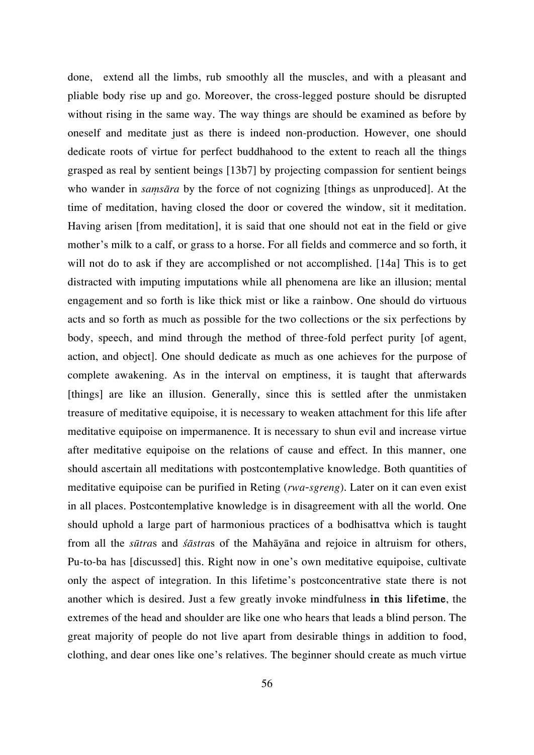done, extend all the limbs, rub smoothly all the muscles, and with a pleasant and pliable body rise up and go. Moreover, the cross-legged posture should be disrupted without rising in the same way. The way things are should be examined as before by oneself and meditate just as there is indeed non-production. However, one should dedicate roots of virtue for perfect buddhahood to the extent to reach all the things grasped as real by sentient beings [13b7] by projecting compassion for sentient beings who wander in *saṃsāra* by the force of not cognizing [things as unproduced]. At the time of meditation, having closed the door or covered the window, sit it meditation. Having arisen [from meditation], it is said that one should not eat in the field or give mother's milk to a calf, or grass to a horse. For all fields and commerce and so forth, it will not do to ask if they are accomplished or not accomplished. [14a] This is to get distracted with imputing imputations while all phenomena are like an illusion; mental engagement and so forth is like thick mist or like a rainbow. One should do virtuous acts and so forth as much as possible for the two collections or the six perfections by body, speech, and mind through the method of three-fold perfect purity [of agent, action, and object]. One should dedicate as much as one achieves for the purpose of complete awakening. As in the interval on emptiness, it is taught that afterwards [things] are like an illusion. Generally, since this is settled after the unmistaken treasure of meditative equipoise, it is necessary to weaken attachment for this life after meditative equipoise on impermanence. It is necessary to shun evil and increase virtue after meditative equipoise on the relations of cause and effect. In this manner, one should ascertain all meditations with postcontemplative knowledge. Both quantities of meditative equipoise can be purified in Reting (*rwa-sgreng*). Later on it can even exist in all places. Postcontemplative knowledge is in disagreement with all the world. One should uphold a large part of harmonious practices of a bodhisattva which is taught from all the *sūtra*s and *śāstra*s of the Mahāyāna and rejoice in altruism for others, Pu-to-ba has [discussed] this. Right now in one's own meditative equipoise, cultivate only the aspect of integration. In this lifetime's postconcentrative state there is not another which is desired. Just a few greatly invoke mindfulness **in this lifetime**, the extremes of the head and shoulder are like one who hears that leads a blind person. The great majority of people do not live apart from desirable things in addition to food, clothing, and dear ones like one's relatives. The beginner should create as much virtue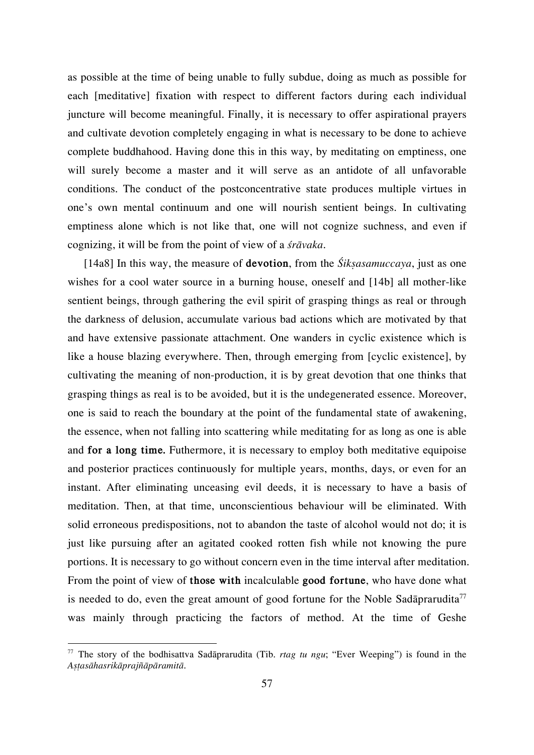as possible at the time of being unable to fully subdue, doing as much as possible for each [meditative] fixation with respect to different factors during each individual juncture will become meaningful. Finally, it is necessary to offer aspirational prayers and cultivate devotion completely engaging in what is necessary to be done to achieve complete buddhahood. Having done this in this way, by meditating on emptiness, one will surely become a master and it will serve as an antidote of all unfavorable conditions. The conduct of the postconcentrative state produces multiple virtues in one's own mental continuum and one will nourish sentient beings. In cultivating emptiness alone which is not like that, one will not cognize suchness, and even if cognizing, it will be from the point of view of a *śrāvaka*.

[14a8] In this way, the measure of **devotion**, from the *Śiksasamuccaya*, just as one wishes for a cool water source in a burning house, oneself and [14b] all mother-like sentient beings, through gathering the evil spirit of grasping things as real or through the darkness of delusion, accumulate various bad actions which are motivated by that and have extensive passionate attachment. One wanders in cyclic existence which is like a house blazing everywhere. Then, through emerging from [cyclic existence], by cultivating the meaning of non-production, it is by great devotion that one thinks that grasping things as real is to be avoided, but it is the undegenerated essence. Moreover, one is said to reach the boundary at the point of the fundamental state of awakening, the essence, when not falling into scattering while meditating for as long as one is able and **for a long time.** Futhermore, it is necessary to employ both meditative equipoise and posterior practices continuously for multiple years, months, days, or even for an instant. After eliminating unceasing evil deeds, it is necessary to have a basis of meditation. Then, at that time, unconscientious behaviour will be eliminated. With solid erroneous predispositions, not to abandon the taste of alcohol would not do; it is just like pursuing after an agitated cooked rotten fish while not knowing the pure portions. It is necessary to go without concern even in the time interval after meditation. From the point of view of **those with** incalculable **good fortune**, who have done what is needed to do, even the great amount of good fortune for the Noble Sadāprarudita<sup>77</sup> was mainly through practicing the factors of method. At the time of Geshe

<sup>77</sup> The story of the bodhisattva Sadāprarudita (Tib. *rtag tu ngu*; "Ever Weeping") is found in the *Aṣṭasāhasrikāprajñāpāramitā*.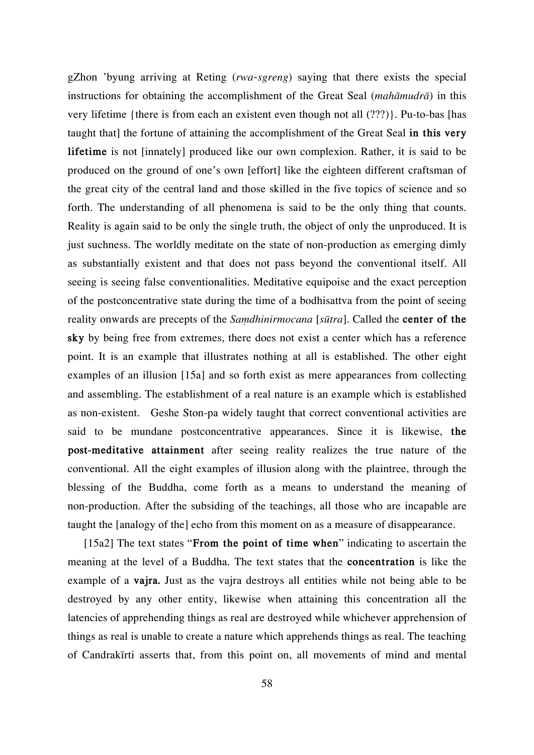gZhon 'byung arriving at Reting (*rwa-sgreng*) saying that there exists the special instructions for obtaining the accomplishment of the Great Seal (*mahāmudrā*) in this very lifetime {there is from each an existent even though not all (???)}. Pu-to-bas [has taught that] the fortune of attaining the accomplishment of the Great Seal **in this very lifetime** is not [innately] produced like our own complexion. Rather, it is said to be produced on the ground of one's own [effort] like the eighteen different craftsman of the great city of the central land and those skilled in the five topics of science and so forth. The understanding of all phenomena is said to be the only thing that counts. Reality is again said to be only the single truth, the object of only the unproduced. It is just suchness. The worldly meditate on the state of non-production as emerging dimly as substantially existent and that does not pass beyond the conventional itself. All seeing is seeing false conventionalities. Meditative equipoise and the exact perception of the postconcentrative state during the time of a bodhisattva from the point of seeing reality onwards are precepts of the *Saṃdhinirmocana* [*sūtra*]. Called the **center of the sky** by being free from extremes, there does not exist a center which has a reference point. It is an example that illustrates nothing at all is established. The other eight examples of an illusion [15a] and so forth exist as mere appearances from collecting and assembling. The establishment of a real nature is an example which is established as non-existent. Geshe Ston-pa widely taught that correct conventional activities are said to be mundane postconcentrative appearances. Since it is likewise, **the post-meditative attainment** after seeing reality realizes the true nature of the conventional. All the eight examples of illusion along with the plaintree, through the blessing of the Buddha, come forth as a means to understand the meaning of non-production. After the subsiding of the teachings, all those who are incapable are taught the [analogy of the] echo from this moment on as a measure of disappearance.

 [15a2] The text states "**From the point of time when**" indicating to ascertain the meaning at the level of a Buddha. The text states that the **concentration** is like the example of a **vajra.** Just as the vajra destroys all entities while not being able to be destroyed by any other entity, likewise when attaining this concentration all the latencies of apprehending things as real are destroyed while whichever apprehension of things as real is unable to create a nature which apprehends things as real. The teaching of Candrakīrti asserts that, from this point on, all movements of mind and mental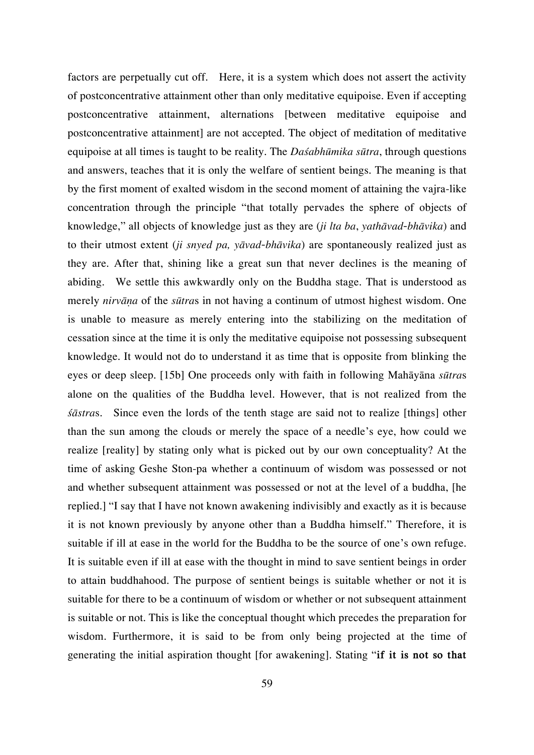factors are perpetually cut off. Here, it is a system which does not assert the activity of postconcentrative attainment other than only meditative equipoise. Even if accepting postconcentrative attainment, alternations [between meditative equipoise and postconcentrative attainment] are not accepted. The object of meditation of meditative equipoise at all times is taught to be reality. The *Daśabhūmika sūtra*, through questions and answers, teaches that it is only the welfare of sentient beings. The meaning is that by the first moment of exalted wisdom in the second moment of attaining the vajra-like concentration through the principle "that totally pervades the sphere of objects of knowledge," all objects of knowledge just as they are (*ji lta ba*, *yathāvad-bhāvika*) and to their utmost extent (*ji snyed pa, yāvad-bhāvika*) are spontaneously realized just as they are. After that, shining like a great sun that never declines is the meaning of abiding. We settle this awkwardly only on the Buddha stage. That is understood as merely *nirvāṇa* of the *sūtra*s in not having a continum of utmost highest wisdom. One is unable to measure as merely entering into the stabilizing on the meditation of cessation since at the time it is only the meditative equipoise not possessing subsequent knowledge. It would not do to understand it as time that is opposite from blinking the eyes or deep sleep. [15b] One proceeds only with faith in following Mahāyāna *sūtra*s alone on the qualities of the Buddha level. However, that is not realized from the *śāstra*s. Since even the lords of the tenth stage are said not to realize [things] other than the sun among the clouds or merely the space of a needle's eye, how could we realize [reality] by stating only what is picked out by our own conceptuality? At the time of asking Geshe Ston-pa whether a continuum of wisdom was possessed or not and whether subsequent attainment was possessed or not at the level of a buddha, [he replied.] "I say that I have not known awakening indivisibly and exactly as it is because it is not known previously by anyone other than a Buddha himself." Therefore, it is suitable if ill at ease in the world for the Buddha to be the source of one's own refuge. It is suitable even if ill at ease with the thought in mind to save sentient beings in order to attain buddhahood. The purpose of sentient beings is suitable whether or not it is suitable for there to be a continuum of wisdom or whether or not subsequent attainment is suitable or not. This is like the conceptual thought which precedes the preparation for wisdom. Furthermore, it is said to be from only being projected at the time of generating the initial aspiration thought [for awakening]. Stating "**if it is not so that**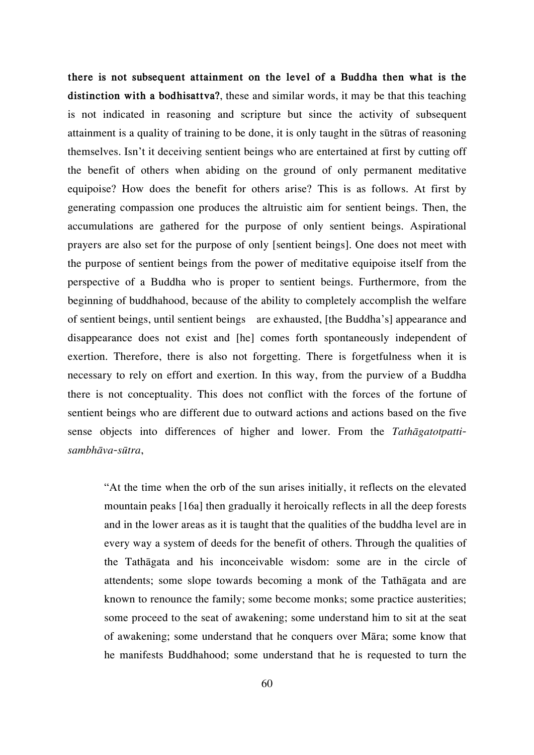**there is not subsequent attainment on the level of a Buddha then what is the distinction with a bodhisattva?**, these and similar words, it may be that this teaching is not indicated in reasoning and scripture but since the activity of subsequent attainment is a quality of training to be done, it is only taught in the sūtras of reasoning themselves. Isn't it deceiving sentient beings who are entertained at first by cutting off the benefit of others when abiding on the ground of only permanent meditative equipoise? How does the benefit for others arise? This is as follows. At first by generating compassion one produces the altruistic aim for sentient beings. Then, the accumulations are gathered for the purpose of only sentient beings. Aspirational prayers are also set for the purpose of only [sentient beings]. One does not meet with the purpose of sentient beings from the power of meditative equipoise itself from the perspective of a Buddha who is proper to sentient beings. Furthermore, from the beginning of buddhahood, because of the ability to completely accomplish the welfare of sentient beings, until sentient beings are exhausted, [the Buddha's] appearance and disappearance does not exist and [he] comes forth spontaneously independent of exertion. Therefore, there is also not forgetting. There is forgetfulness when it is necessary to rely on effort and exertion. In this way, from the purview of a Buddha there is not conceptuality. This does not conflict with the forces of the fortune of sentient beings who are different due to outward actions and actions based on the five sense objects into differences of higher and lower. From the *Tathāgatotpattisambhāva-sūtra*,

"At the time when the orb of the sun arises initially, it reflects on the elevated mountain peaks [16a] then gradually it heroically reflects in all the deep forests and in the lower areas as it is taught that the qualities of the buddha level are in every way a system of deeds for the benefit of others. Through the qualities of the Tathāgata and his inconceivable wisdom: some are in the circle of attendents; some slope towards becoming a monk of the Tathāgata and are known to renounce the family; some become monks; some practice austerities; some proceed to the seat of awakening; some understand him to sit at the seat of awakening; some understand that he conquers over Māra; some know that he manifests Buddhahood; some understand that he is requested to turn the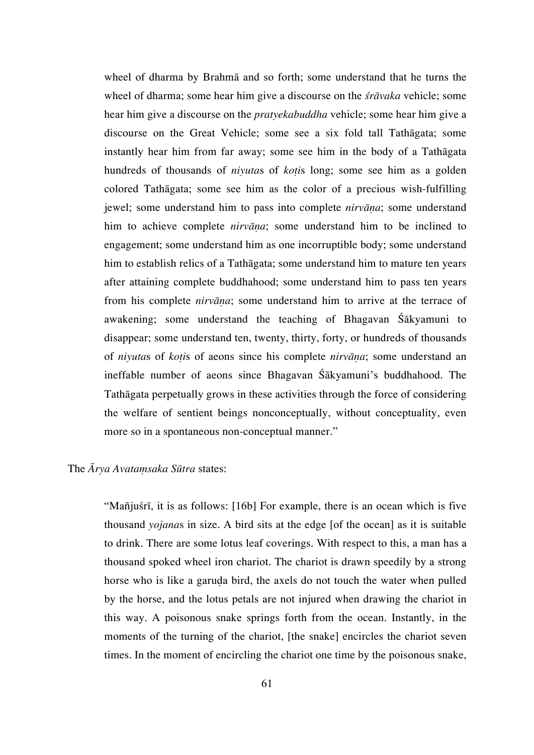wheel of dharma by Brahmā and so forth; some understand that he turns the wheel of dharma; some hear him give a discourse on the *śrāvaka* vehicle; some hear him give a discourse on the *pratyekabuddha* vehicle; some hear him give a discourse on the Great Vehicle; some see a six fold tall Tathāgata; some instantly hear him from far away; some see him in the body of a Tathāgata hundreds of thousands of *niyuta*s of *koṭi*s long; some see him as a golden colored Tathāgata; some see him as the color of a precious wish-fulfilling jewel; some understand him to pass into complete *nirvāṇa*; some understand him to achieve complete *nirvāṇa*; some understand him to be inclined to engagement; some understand him as one incorruptible body; some understand him to establish relics of a Tathāgata; some understand him to mature ten years after attaining complete buddhahood; some understand him to pass ten years from his complete *nirvāṇa*; some understand him to arrive at the terrace of awakening; some understand the teaching of Bhagavan Śākyamuni to disappear; some understand ten, twenty, thirty, forty, or hundreds of thousands of *niyuta*s of *koṭi*s of aeons since his complete *nirvāṇa*; some understand an ineffable number of aeons since Bhagavan Śākyamuni's buddhahood. The Tathāgata perpetually grows in these activities through the force of considering the welfare of sentient beings nonconceptually, without conceptuality, even more so in a spontaneous non-conceptual manner."

### The *Ārya Avataṃsaka Sūtra* states:

"Mañjuśrī, it is as follows: [16b] For example, there is an ocean which is five thousand *yojana*s in size. A bird sits at the edge [of the ocean] as it is suitable to drink. There are some lotus leaf coverings. With respect to this, a man has a thousand spoked wheel iron chariot. The chariot is drawn speedily by a strong horse who is like a garuḍa bird, the axels do not touch the water when pulled by the horse, and the lotus petals are not injured when drawing the chariot in this way. A poisonous snake springs forth from the ocean. Instantly, in the moments of the turning of the chariot, [the snake] encircles the chariot seven times. In the moment of encircling the chariot one time by the poisonous snake,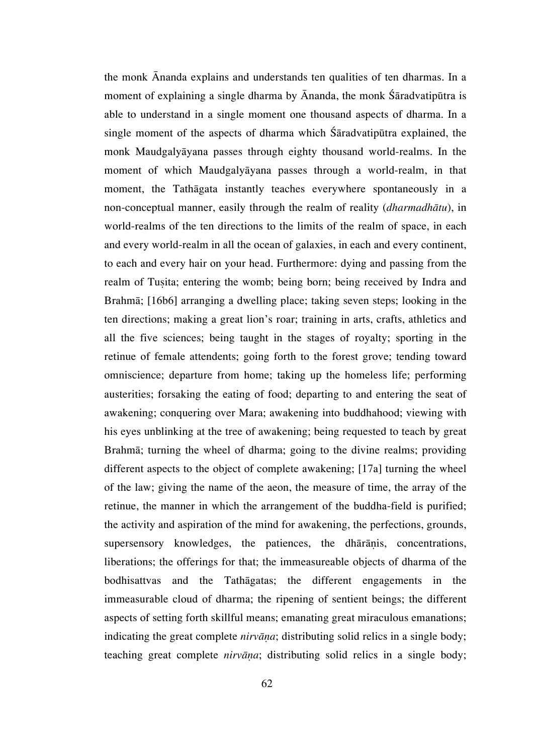the monk Ānanda explains and understands ten qualities of ten dharmas. In a moment of explaining a single dharma by Ānanda, the monk Śāradvatipūtra is able to understand in a single moment one thousand aspects of dharma. In a single moment of the aspects of dharma which Śāradvatipūtra explained, the monk Maudgalyāyana passes through eighty thousand world-realms. In the moment of which Maudgalyāyana passes through a world-realm, in that moment, the Tathāgata instantly teaches everywhere spontaneously in a non-conceptual manner, easily through the realm of reality (*dharmadhātu*), in world-realms of the ten directions to the limits of the realm of space, in each and every world-realm in all the ocean of galaxies, in each and every continent, to each and every hair on your head. Furthermore: dying and passing from the realm of Tuṣita; entering the womb; being born; being received by Indra and Brahmā; [16b6] arranging a dwelling place; taking seven steps; looking in the ten directions; making a great lion's roar; training in arts, crafts, athletics and all the five sciences; being taught in the stages of royalty; sporting in the retinue of female attendents; going forth to the forest grove; tending toward omniscience; departure from home; taking up the homeless life; performing austerities; forsaking the eating of food; departing to and entering the seat of awakening; conquering over Mara; awakening into buddhahood; viewing with his eyes unblinking at the tree of awakening; being requested to teach by great Brahmā; turning the wheel of dharma; going to the divine realms; providing different aspects to the object of complete awakening; [17a] turning the wheel of the law; giving the name of the aeon, the measure of time, the array of the retinue, the manner in which the arrangement of the buddha-field is purified; the activity and aspiration of the mind for awakening, the perfections, grounds, supersensory knowledges, the patiences, the dhārāṇis, concentrations, liberations; the offerings for that; the immeasureable objects of dharma of the bodhisattvas and the Tathāgatas; the different engagements in the immeasurable cloud of dharma; the ripening of sentient beings; the different aspects of setting forth skillful means; emanating great miraculous emanations; indicating the great complete *nirvāṇa*; distributing solid relics in a single body; teaching great complete *nirvāṇa*; distributing solid relics in a single body;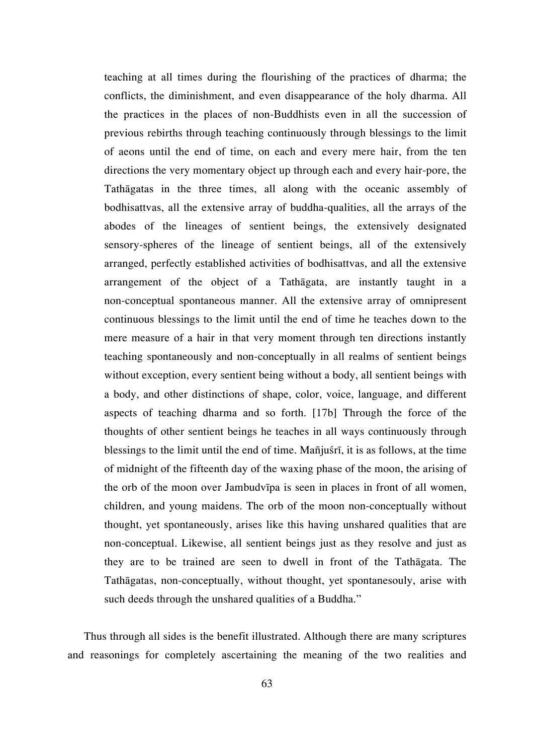teaching at all times during the flourishing of the practices of dharma; the conflicts, the diminishment, and even disappearance of the holy dharma. All the practices in the places of non-Buddhists even in all the succession of previous rebirths through teaching continuously through blessings to the limit of aeons until the end of time, on each and every mere hair, from the ten directions the very momentary object up through each and every hair-pore, the Tathāgatas in the three times, all along with the oceanic assembly of bodhisattvas, all the extensive array of buddha-qualities, all the arrays of the abodes of the lineages of sentient beings, the extensively designated sensory-spheres of the lineage of sentient beings, all of the extensively arranged, perfectly established activities of bodhisattvas, and all the extensive arrangement of the object of a Tathāgata, are instantly taught in a non-conceptual spontaneous manner. All the extensive array of omnipresent continuous blessings to the limit until the end of time he teaches down to the mere measure of a hair in that very moment through ten directions instantly teaching spontaneously and non-conceptually in all realms of sentient beings without exception, every sentient being without a body, all sentient beings with a body, and other distinctions of shape, color, voice, language, and different aspects of teaching dharma and so forth. [17b] Through the force of the thoughts of other sentient beings he teaches in all ways continuously through blessings to the limit until the end of time. Mañjuśrī, it is as follows, at the time of midnight of the fifteenth day of the waxing phase of the moon, the arising of the orb of the moon over Jambudvīpa is seen in places in front of all women, children, and young maidens. The orb of the moon non-conceptually without thought, yet spontaneously, arises like this having unshared qualities that are non-conceptual. Likewise, all sentient beings just as they resolve and just as they are to be trained are seen to dwell in front of the Tathāgata. The Tathāgatas, non-conceptually, without thought, yet spontanesouly, arise with such deeds through the unshared qualities of a Buddha."

 Thus through all sides is the benefit illustrated. Although there are many scriptures and reasonings for completely ascertaining the meaning of the two realities and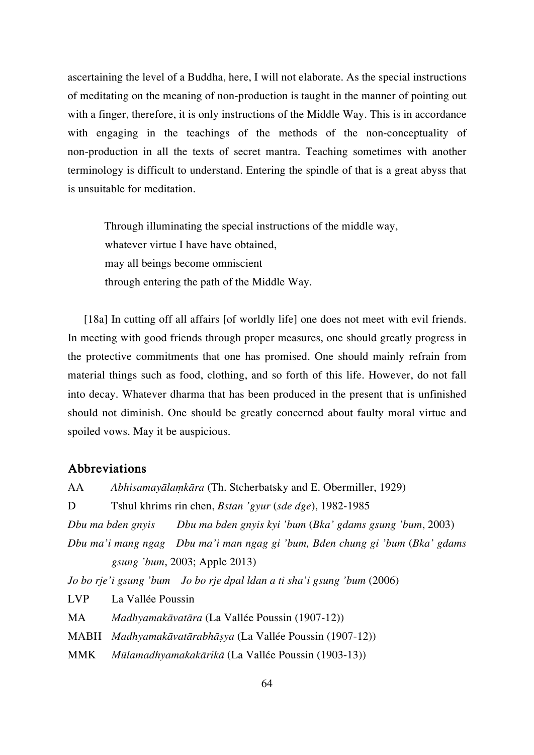ascertaining the level of a Buddha, here, I will not elaborate. As the special instructions of meditating on the meaning of non-production is taught in the manner of pointing out with a finger, therefore, it is only instructions of the Middle Way. This is in accordance with engaging in the teachings of the methods of the non-conceptuality of non-production in all the texts of secret mantra. Teaching sometimes with another terminology is difficult to understand. Entering the spindle of that is a great abyss that is unsuitable for meditation.

Through illuminating the special instructions of the middle way, whatever virtue I have have obtained. may all beings become omniscient through entering the path of the Middle Way.

 [18a] In cutting off all affairs [of worldly life] one does not meet with evil friends. In meeting with good friends through proper measures, one should greatly progress in the protective commitments that one has promised. One should mainly refrain from material things such as food, clothing, and so forth of this life. However, do not fall into decay. Whatever dharma that has been produced in the present that is unfinished should not diminish. One should be greatly concerned about faulty moral virtue and spoiled vows. May it be auspicious.

# **Abbreviations**

AA *Abhisamayālaṃkāra* (Th. Stcherbatsky and E. Obermiller, 1929) D Tshul khrims rin chen, *Bstan 'gyur* (*sde dge*), 1982-1985 *Dbu ma bden gnyis Dbu ma bden gnyis kyi 'bum* (*Bka' gdams gsung 'bum*, 2003) *Dbu ma'i mang ngag Dbu ma'i man ngag gi 'bum, Bden chung gi 'bum* (*Bka' gdams gsung 'bum*, 2003; Apple 2013) *Jo bo rje'i gsung 'bum Jo bo rje dpal ldan a ti sha'i gsung 'bum* (2006) LVP La Vallée Poussin MA *Madhyamakāvatāra* (La Vallée Poussin (1907-12)) MABH *Madhyamakāvatārabhāṣya* (La Vallée Poussin (1907-12)) MMK *Mūlamadhyamakakārikā* (La Vallée Poussin (1903-13))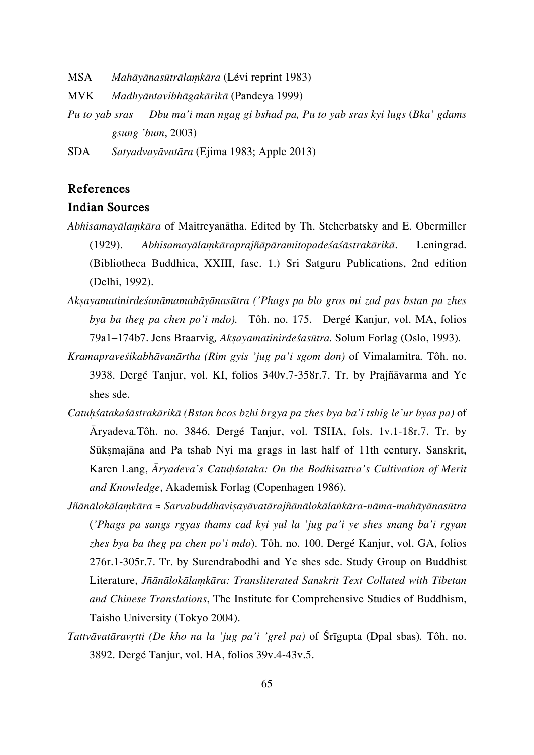MSA *Mahāyānasūtrālaṃkāra* (Lévi reprint 1983)

MVK *Madhyāntavibhāgakārikā* (Pandeya 1999)

*Pu to yab sras Dbu ma'i man ngag gi bshad pa, Pu to yab sras kyi lugs* (*Bka' gdams gsung 'bum*, 2003)

SDA *Satyadvayāvatāra* (Ejima 1983; Apple 2013)

### **References**

## **Indian Sources**

- *Abhisamayālaṃkāra* of Maitreyanātha. Edited by Th. Stcherbatsky and E. Obermiller (1929). *Abhisamayālaṃkāraprajñāpāramitopadeśaśāstrakārikā*. Leningrad. (Bibliotheca Buddhica, XXIII, fasc. 1.) Sri Satguru Publications, 2nd edition (Delhi, 1992).
- *Akṣayamatinirdeśanāmamahāyānasūtra ('Phags pa blo gros mi zad pas bstan pa zhes bya ba theg pa chen po'i mdo).* Tôh. no. 175. Dergé Kanjur, vol. MA, folios 79a1–174b7. Jens Braarvig*, Akṣayamatinirdeśasūtra.* Solum Forlag (Oslo, 1993)*.*
- *Kramapraveśikabhāvanārtha (Rim gyis 'jug pa'i sgom don)* of Vimalamitra*.* Tôh. no. 3938. Dergé Tanjur, vol. KI, folios 340v.7-358r.7. Tr. by Prajñāvarma and Ye shes sde.
- *Catuḥśatakaśāstrakārikā (Bstan bcos bzhi brgya pa zhes bya ba'i tshig le'ur byas pa)* of Āryadeva*.*Tôh. no. 3846. Dergé Tanjur, vol. TSHA, fols. 1v.1-18r.7. Tr. by Sūksmajāna and Pa tshab Nyi ma grags in last half of 11th century. Sanskrit, Karen Lang, *Āryadeva's Catuḥśataka: On the Bodhisattva's Cultivation of Merit and Knowledge*, Akademisk Forlag (Copenhagen 1986).
- Jñānālokālamkāra ≈ Sarvabuddhavisayāvatārajñānālokālaṅkāra-nāma-mahāyānasūtra (*'Phags pa sangs rgyas thams cad kyi yul la 'jug pa'i ye shes snang ba'i rgyan zhes bya ba theg pa chen po'i mdo*). Tôh. no. 100. Dergé Kanjur, vol. GA, folios 276r.1-305r.7. Tr. by Surendrabodhi and Ye shes sde. Study Group on Buddhist Literature, *Jñānālokālaṃkāra: Transliterated Sanskrit Text Collated with Tibetan and Chinese Translations*, The Institute for Comprehensive Studies of Buddhism, Taisho University (Tokyo 2004).
- *Tattvāvatāravṛtti (De kho na la 'jug pa'i 'grel pa)* of Śrīgupta (Dpal sbas)*.* Tôh. no. 3892. Dergé Tanjur, vol. HA, folios 39v.4-43v.5.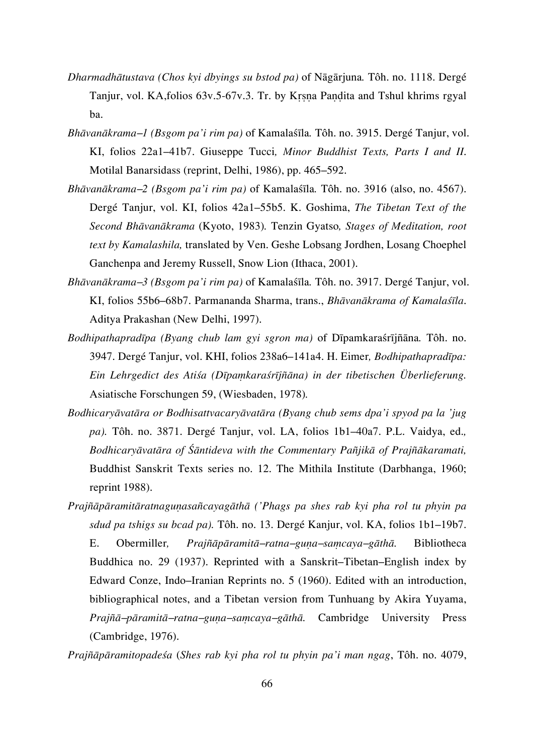- *Dharmadhātustava (Chos kyi dbyings su bstod pa)* of Nāgārjuna*.* Tôh. no. 1118. Dergé Tanjur, vol. KA,folios 63v.5-67v.3. Tr. by Kṛṣṇa Paṇḍita and Tshul khrims rgyal ba.
- *Bhāvanākrama–1 (Bsgom pa'i rim pa)* of Kamalaśīla*.* Tôh. no. 3915. Dergé Tanjur, vol. KI, folios 22a1–41b7. Giuseppe Tucci*, Minor Buddhist Texts, Parts I and II*. Motilal Banarsidass (reprint, Delhi, 1986), pp. 465–592.
- *Bhāvanākrama–2 (Bsgom pa'i rim pa)* of Kamalaśīla*.* Tôh. no. 3916 (also, no. 4567). Dergé Tanjur, vol. KI, folios 42a1–55b5. K. Goshima, *The Tibetan Text of the Second Bhāvanākrama* (Kyoto, 1983)*.* Tenzin Gyatso*, Stages of Meditation, root text by Kamalashila,* translated by Ven. Geshe Lobsang Jordhen, Losang Choephel Ganchenpa and Jeremy Russell, Snow Lion (Ithaca, 2001).
- *Bhāvanākrama–3 (Bsgom pa'i rim pa)* of Kamalaśīla*.* Tôh. no. 3917. Dergé Tanjur, vol. KI, folios 55b6–68b7. Parmananda Sharma, trans., *Bhāvanākrama of Kamalaśīla*. Aditya Prakashan (New Delhi, 1997).
- *Bodhipathapradīpa (Byang chub lam gyi sgron ma)* of Dīpamkaraśrījñāna*.* Tôh. no. 3947. Dergé Tanjur, vol. KHI, folios 238a6–141a4. H. Eimer*, Bodhipathapradīpa: Ein Lehrgedict des Atiśa (Dīpaṃkaraśrījñāna) in der tibetischen Überlieferung.*  Asiatische Forschungen 59, (Wiesbaden, 1978)*.*
- *Bodhicaryāvatāra or Bodhisattvacaryāvatāra (Byang chub sems dpa'i spyod pa la 'jug pa).* Tôh. no. 3871. Dergé Tanjur, vol. LA, folios 1b1–40a7. P.L. Vaidya, ed.*, Bodhicaryāvatāra of Śāntideva with the Commentary Pañjikā of Prajñākaramati,*  Buddhist Sanskrit Texts series no. 12. The Mithila Institute (Darbhanga, 1960; reprint 1988).
- *Prajñāpāramitāratnaguṇasañcayagāthā ('Phags pa shes rab kyi pha rol tu phyin pa sdud pa tshigs su bcad pa).* Tôh. no. 13. Dergé Kanjur, vol. KA, folios 1b1–19b7. E. Obermiller*, Prajñāpāramitā–ratna–guṇa–saṃcaya–gāthā.* Bibliotheca Buddhica no. 29 (1937). Reprinted with a Sanskrit–Tibetan–English index by Edward Conze, Indo–Iranian Reprints no. 5 (1960). Edited with an introduction, bibliographical notes, and a Tibetan version from Tunhuang by Akira Yuyama, *Prajñā–pāramitā–ratna–guṇa–saṃcaya–gāthā.* Cambridge University Press (Cambridge, 1976).

*Prajñāpāramitopadeśa* (*Shes rab kyi pha rol tu phyin pa'i man ngag*, Tôh. no. 4079,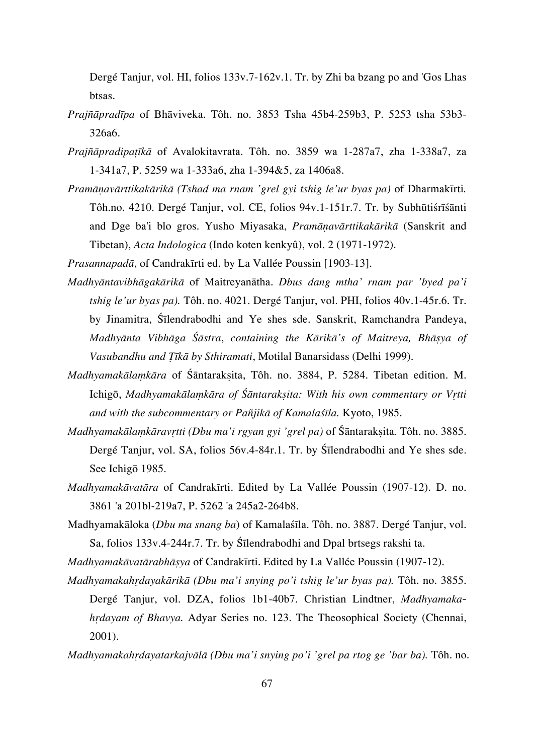Dergé Tanjur, vol. HI, folios 133v.7-162v.1. Tr. by Zhi ba bzang po and 'Gos Lhas btsas.

- *Prajñāpradīpa* of Bhāviveka. Tôh. no. 3853 Tsha 45b4-259b3, P. 5253 tsha 53b3- 326a6.
- *Prajñāpradipaṭīkā* of Avalokitavrata. Tôh. no. 3859 wa 1-287a7, zha 1-338a7, za 1-341a7, P. 5259 wa 1-333a6, zha 1-394&5, za 1406a8.
- *Pramāṇavārttikakārikā (Tshad ma rnam 'grel gyi tshig le'ur byas pa)* of Dharmakīrti*.*  Tôh.no. 4210. Dergé Tanjur, vol. CE, folios 94v.1-151r.7. Tr. by Subhūtiśrīśānti and Dge ba'i blo gros. Yusho Miyasaka, *Pramāṇavārttikakārikā* (Sanskrit and Tibetan), *Acta Indologica* (Indo koten kenkyû), vol. 2 (1971-1972).

*Prasannapadā*, of Candrakīrti ed. by La Vallée Poussin [1903-13].

- *Madhyāntavibhāgakārikā* of Maitreyanātha. *Dbus dang mtha' rnam par 'byed pa'i tshig le'ur byas pa).* Tôh. no. 4021. Dergé Tanjur, vol. PHI, folios 40v.1-45r.6. Tr. by Jinamitra, Śīlendrabodhi and Ye shes sde. Sanskrit, Ramchandra Pandeya, *Madhyānta Vibhāga Śāstra*, *containing the Kārikā's of Maitreya, Bhāṣya of Vasubandhu and Ṭīkā by Sthiramati*, Motilal Banarsidass (Delhi 1999).
- *Madhyamakālaṃkāra* of Śāntarakṣita, Tôh. no. 3884, P. 5284. Tibetan edition. M. Ichigō, *Madhyamakālaṃkāra of Śāntarakṣita: With his own commentary or Vṛtti and with the subcommentary or Pañjikā of Kamalaśīla.* Kyoto, 1985.
- *Madhyamakālaṃkāravṛtti (Dbu ma'i rgyan gyi 'grel pa)* of Śāntarakṣita*.* Tôh. no. 3885. Dergé Tanjur, vol. SA, folios 56v.4-84r.1. Tr. by Śīlendrabodhi and Ye shes sde. See Ichigō 1985.
- *Madhyamakāvatāra* of Candrakīrti. Edited by La Vallée Poussin (1907-12). D. no. 3861 'a 201bl-219a7, P. 5262 'a 245a2-264b8.
- Madhyamakāloka (*Dbu ma snang ba*) of Kamalaśīla. Tôh. no. 3887. Dergé Tanjur, vol. Sa, folios 133v.4-244r.7. Tr. by Śīlendrabodhi and Dpal brtsegs rakshi ta.

*Madhyamakāvatārabhāṣya* of Candrakīrti. Edited by La Vallée Poussin (1907-12).

- *Madhyamakahṛdayakārikā (Dbu ma'i snying po'i tshig le'ur byas pa).* Tôh. no. 3855. Dergé Tanjur, vol. DZA, folios 1b1-40b7. Christian Lindtner, *Madhyamakahṛdayam of Bhavya.* Adyar Series no. 123. The Theosophical Society (Chennai, 2001).
- *Madhyamakahṛdayatarkajvālā (Dbu ma'i snying po'i 'grel pa rtog ge 'bar ba).* Tôh. no.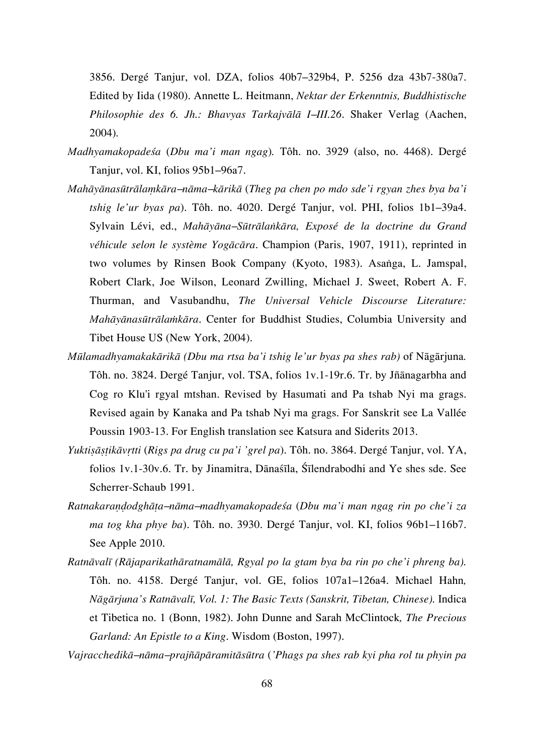3856. Dergé Tanjur, vol. DZA, folios 40b7–329b4, P. 5256 dza 43b7-380a7. Edited by Iida (1980). Annette L. Heitmann, *Nektar der Erkenntnis, Buddhistische Philosophie des 6. Jh.: Bhavyas Tarkajvālā I–III.26*. Shaker Verlag (Aachen, 2004)*.*

- *Madhyamakopadeśa* (*Dbu ma'i man ngag*)*.* Tôh. no. 3929 (also, no. 4468). Dergé Tanjur, vol. KI, folios 95b1–96a7.
- *Mahāyānasūtrālaṃkāra–nāma–kārikā* (*Theg pa chen po mdo sde'i rgyan zhes bya ba'i tshig le'ur byas pa*). Tôh. no. 4020. Dergé Tanjur, vol. PHI, folios 1b1–39a4. Sylvain Lévi, ed., *Mahāyāna–Sūtrālaṅkāra, Exposé de la doctrine du Grand véhicule selon le système Yogācāra*. Champion (Paris, 1907, 1911), reprinted in two volumes by Rinsen Book Company (Kyoto, 1983). Asaṅga, L. Jamspal, Robert Clark, Joe Wilson, Leonard Zwilling, Michael J. Sweet, Robert A. F. Thurman, and Vasubandhu, *The Universal Vehicle Discourse Literature: Mahāyānasūtrālaṁkāra*. Center for Buddhist Studies, Columbia University and Tibet House US (New York, 2004).
- *Mūlamadhyamakakārikā (Dbu ma rtsa ba'i tshig le'ur byas pa shes rab)* of Nāgārjuna*.* Tôh. no. 3824. Dergé Tanjur, vol. TSA, folios 1v.1-19r.6. Tr. by Jñānagarbha and Cog ro Klu'i rgyal mtshan. Revised by Hasumati and Pa tshab Nyi ma grags. Revised again by Kanaka and Pa tshab Nyi ma grags. For Sanskrit see La Vallée Poussin 1903-13. For English translation see Katsura and Siderits 2013.
- *Yuktiṣāṣṭikāvṛtti* (*Rigs pa drug cu pa'i 'grel pa*). Tôh. no. 3864. Dergé Tanjur, vol. YA, folios 1v.1-30v.6. Tr. by Jinamitra, Dānaśīla, Śīlendrabodhi and Ye shes sde. See Scherrer-Schaub 1991.
- *Ratnakaraṇḍodghāṭa–nāma–madhyamakopadeśa* (*Dbu ma'i man ngag rin po che'i za ma tog kha phye ba*). Tôh. no. 3930. Dergé Tanjur, vol. KI, folios 96b1–116b7. See Apple 2010.
- *Ratnāvalī (Rājaparikathāratnamālā, Rgyal po la gtam bya ba rin po che'i phreng ba).*  Tôh. no. 4158. Dergé Tanjur, vol. GE, folios 107a1–126a4. Michael Hahn*, Nāgārjuna's Ratnāvalī, Vol. 1: The Basic Texts (Sanskrit, Tibetan, Chinese).* Indica et Tibetica no. 1 (Bonn, 1982). John Dunne and Sarah McClintock*, The Precious Garland: An Epistle to a King*. Wisdom (Boston, 1997).

*Vajracchedikā–nāma–prajñāpāramitāsūtra* (*'Phags pa shes rab kyi pha rol tu phyin pa*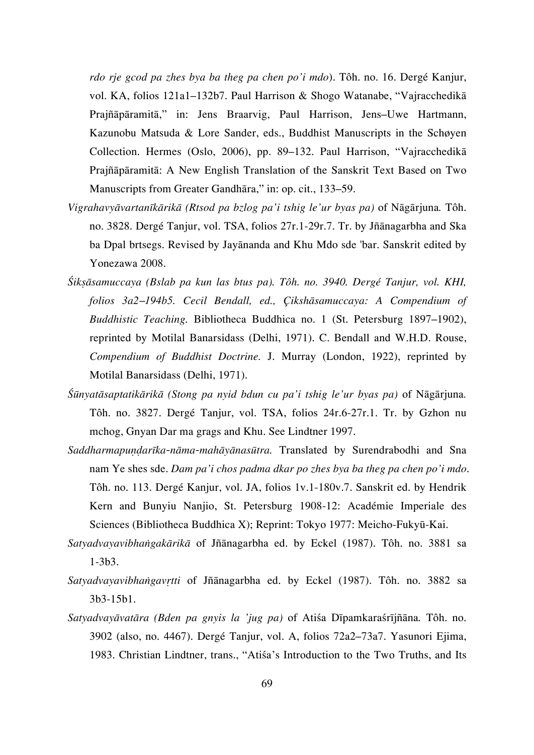*rdo rje gcod pa zhes bya ba theg pa chen po'i mdo*). Tôh. no. 16. Dergé Kanjur, vol. KA, folios 121a1–132b7. Paul Harrison & Shogo Watanabe, "Vajracchedikā Prajñāpāramitā," in: Jens Braarvig, Paul Harrison, Jens–Uwe Hartmann, Kazunobu Matsuda & Lore Sander, eds., Buddhist Manuscripts in the Schøyen Collection. Hermes (Oslo, 2006), pp. 89–132. Paul Harrison, "Vajracchedikā Prajñāpāramitā: A New English Translation of the Sanskrit Text Based on Two Manuscripts from Greater Gandhāra," in: op. cit., 133–59.

- *Vigrahavyāvartanīkārikā (Rtsod pa bzlog pa'i tshig le'ur byas pa)* of Nāgārjuna*.* Tôh. no. 3828. Dergé Tanjur, vol. TSA, folios 27r.1-29r.7. Tr. by Jñānagarbha and Ska ba Dpal brtsegs. Revised by Jayānanda and Khu Mdo sde 'bar. Sanskrit edited by Yonezawa 2008.
- *Śikṣāsamuccaya (Bslab pa kun las btus pa). Tôh. no. 3940. Dergé Tanjur, vol. KHI, folios 3a2–194b5. Cecil Bendall, ed., Çikshāsamuccaya: A Compendium of Buddhistic Teaching.* Bibliotheca Buddhica no. 1 (St. Petersburg 1897–1902), reprinted by Motilal Banarsidass (Delhi, 1971). C. Bendall and W.H.D. Rouse, *Compendium of Buddhist Doctrine.* J. Murray (London, 1922), reprinted by Motilal Banarsidass (Delhi, 1971).
- *Śūnyatāsaptatikārikā (Stong pa nyid bdun cu pa'i tshig le'ur byas pa)* of Nāgārjuna*.*  Tôh. no. 3827. Dergé Tanjur, vol. TSA, folios 24r.6-27r.1. Tr. by Gzhon nu mchog, Gnyan Dar ma grags and Khu. See Lindtner 1997.
- *Saddharmapuṇḍarīka-nāma-mahāyānasūtra.* Translated by Surendrabodhi and Sna nam Ye shes sde. *Dam pa'i chos padma dkar po zhes bya ba theg pa chen po'i mdo*. Tôh. no. 113. Dergé Kanjur, vol. JA, folios 1v.1-180v.7. Sanskrit ed. by Hendrik Kern and Bunyiu Nanjio, St. Petersburg 1908-12: Académie Imperiale des Sciences (Bibliotheca Buddhica X); Reprint: Tokyo 1977: Meicho-Fukyū-Kai.
- *Satyadvayavibhaṅgakārikā* of Jñānagarbha ed. by Eckel (1987). Tôh. no. 3881 sa 1-3b3.
- *Satyadvayavibhaṅgavṛtti* of Jñānagarbha ed. by Eckel (1987). Tôh. no. 3882 sa 3b3-15b1.
- *Satyadvayāvatāra (Bden pa gnyis la 'jug pa)* of Atiśa Dīpamkaraśrījñāna*.* Tôh. no. 3902 (also, no. 4467). Dergé Tanjur, vol. A, folios 72a2–73a7. Yasunori Ejima, 1983. Christian Lindtner, trans., "Atiśa's Introduction to the Two Truths, and Its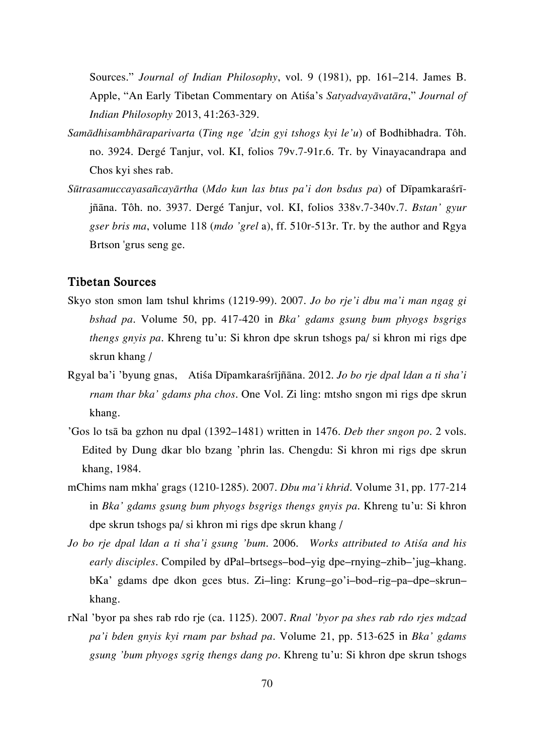Sources." *Journal of Indian Philosophy*, vol. 9 (1981), pp. 161–214. James B. Apple, "An Early Tibetan Commentary on Atiśa's *Satyadvayāvatāra*," *Journal of Indian Philosophy* 2013, 41:263-329.

- *Samādhisambhāraparivarta* (*Ting nge 'dzin gyi tshogs kyi le'u*) of Bodhibhadra. Tôh. no. 3924. Dergé Tanjur, vol. KI, folios 79v.7-91r.6. Tr. by Vinayacandrapa and Chos kyi shes rab.
- *Sūtrasamuccayasañcayārtha* (*Mdo kun las btus pa'i don bsdus pa*) of Dīpamkaraśrījñāna. Tôh. no. 3937. Dergé Tanjur, vol. KI, folios 338v.7-340v.7. *Bstan' gyur gser bris ma*, volume 118 (*mdo 'grel* a), ff. 510r-513r. Tr. by the author and Rgya Brtson 'grus seng ge.

### **Tibetan Sources**

- Skyo ston smon lam tshul khrims (1219-99). 2007. *Jo bo rje'i dbu ma'i man ngag gi bshad pa*. Volume 50, pp. 417-420 in *Bka' gdams gsung bum phyogs bsgrigs thengs gnyis pa*. Khreng tu'u: Si khron dpe skrun tshogs pa/ si khron mi rigs dpe skrun khang /
- Rgyal ba'i 'byung gnas, Atiśa Dīpamkaraśrījñāna. 2012. *Jo bo rje dpal ldan a ti sha'i rnam thar bka' gdams pha chos*. One Vol. Zi ling: mtsho sngon mi rigs dpe skrun khang.
- 'Gos lo tsā ba gzhon nu dpal (1392–1481) written in 1476. *Deb ther sngon po*. 2 vols. Edited by Dung dkar blo bzang 'phrin las. Chengdu: Si khron mi rigs dpe skrun khang, 1984.
- mChims nam mkha' grags (1210-1285). 2007. *Dbu ma'i khrid*. Volume 31, pp. 177-214 in *Bka' gdams gsung bum phyogs bsgrigs thengs gnyis pa*. Khreng tu'u: Si khron dpe skrun tshogs pa/ si khron mi rigs dpe skrun khang /
- *Jo bo rje dpal ldan a ti sha'i gsung 'bum*. 2006. *Works attributed to Atiśa and his early disciples*. Compiled by dPal–brtsegs–bod–yig dpe–rnying–zhib–'jug–khang. bKa' gdams dpe dkon gces btus. Zi–ling: Krung–go'i–bod–rig–pa–dpe–skrun– khang.
- rNal 'byor pa shes rab rdo rje (ca. 1125). 2007. *Rnal 'byor pa shes rab rdo rjes mdzad pa'i bden gnyis kyi rnam par bshad pa*. Volume 21, pp. 513-625 in *Bka' gdams gsung 'bum phyogs sgrig thengs dang po*. Khreng tu'u: Si khron dpe skrun tshogs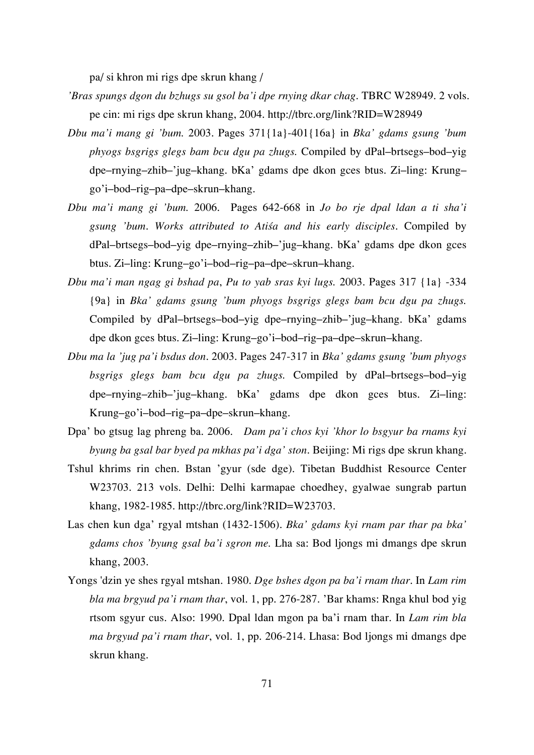pa/ si khron mi rigs dpe skrun khang /

- *'Bras spungs dgon du bzhugs su gsol ba'i dpe rnying dkar chag*. TBRC W28949. 2 vols. pe cin: mi rigs dpe skrun khang, 2004. http://tbrc.org/link?RID=W28949
- *Dbu ma'i mang gi 'bum.* 2003. Pages 371{1a}-401{16a} in *Bka' gdams gsung 'bum phyogs bsgrigs glegs bam bcu dgu pa zhugs.* Compiled by dPal–brtsegs–bod–yig dpe–rnying–zhib–'jug–khang. bKa' gdams dpe dkon gces btus. Zi–ling: Krung– go'i–bod–rig–pa–dpe–skrun–khang.
- *Dbu ma'i mang gi 'bum.* 2006. Pages 642-668 in *Jo bo rje dpal ldan a ti sha'i gsung 'bum*. *Works attributed to Atiśa and his early disciples*. Compiled by dPal–brtsegs–bod–yig dpe–rnying–zhib–'jug–khang. bKa' gdams dpe dkon gces btus. Zi–ling: Krung–go'i–bod–rig–pa–dpe–skrun–khang.
- *Dbu ma'i man ngag gi bshad pa*, *Pu to yab sras kyi lugs.* 2003. Pages 317 {1a} -334 {9a} in *Bka' gdams gsung 'bum phyogs bsgrigs glegs bam bcu dgu pa zhugs.*  Compiled by dPal–brtsegs–bod–yig dpe–rnying–zhib–'jug–khang. bKa' gdams dpe dkon gces btus. Zi–ling: Krung–go'i–bod–rig–pa–dpe–skrun–khang.
- *Dbu ma la 'jug pa'i bsdus don*. 2003. Pages 247-317 in *Bka' gdams gsung 'bum phyogs bsgrigs glegs bam bcu dgu pa zhugs.* Compiled by dPal–brtsegs–bod–yig dpe–rnying–zhib–'jug–khang. bKa' gdams dpe dkon gces btus. Zi–ling: Krung–go'i–bod–rig–pa–dpe–skrun–khang.
- Dpa' bo gtsug lag phreng ba. 2006. *Dam pa'i chos kyi 'khor lo bsgyur ba rnams kyi byung ba gsal bar byed pa mkhas pa'i dga' ston*. Beijing: Mi rigs dpe skrun khang.
- Tshul khrims rin chen. Bstan 'gyur (sde dge). Tibetan Buddhist Resource Center W23703. 213 vols. Delhi: Delhi karmapae choedhey, gyalwae sungrab partun khang, 1982-1985. http://tbrc.org/link?RID=W23703.
- Las chen kun dga' rgyal mtshan (1432-1506). *Bka' gdams kyi rnam par thar pa bka' gdams chos 'byung gsal ba'i sgron me.* Lha sa: Bod ljongs mi dmangs dpe skrun khang, 2003.
- Yongs 'dzin ye shes rgyal mtshan. 1980. *Dge bshes dgon pa ba'i rnam thar*. In *Lam rim bla ma brgyud pa'i rnam thar*, vol. 1, pp. 276-287. 'Bar khams: Rnga khul bod yig rtsom sgyur cus. Also: 1990. Dpal ldan mgon pa ba'i rnam thar. In *Lam rim bla ma brgyud pa'i rnam thar*, vol. 1, pp. 206-214. Lhasa: Bod ljongs mi dmangs dpe skrun khang.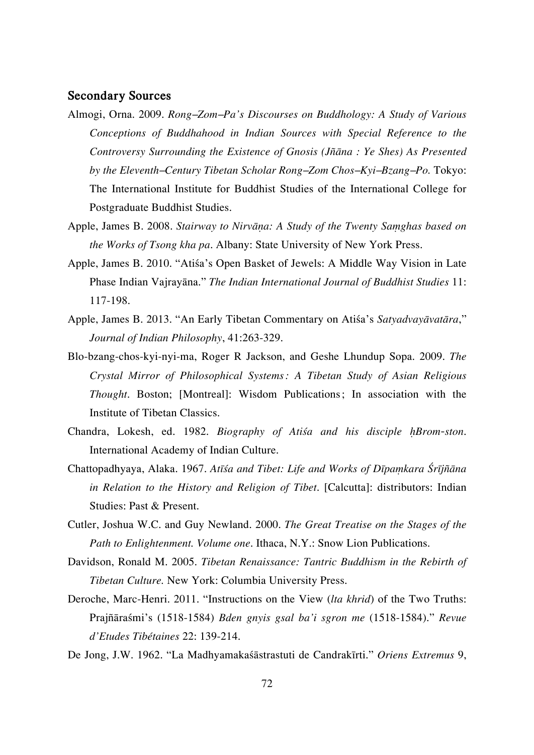### **Secondary Sources**

- Almogi, Orna. 2009. *Rong–Zom–Pa's Discourses on Buddhology: A Study of Various Conceptions of Buddhahood in Indian Sources with Special Reference to the Controversy Surrounding the Existence of Gnosis (Jñāna : Ye Shes) As Presented by the Eleventh–Century Tibetan Scholar Rong–Zom Chos–Kyi–Bzang–Po.* Tokyo: The International Institute for Buddhist Studies of the International College for Postgraduate Buddhist Studies.
- Apple, James B. 2008. *Stairway to Nirvāṇa: A Study of the Twenty Saṃghas based on the Works of Tsong kha pa*. Albany: State University of New York Press.
- Apple, James B. 2010. "Atiśa's Open Basket of Jewels: A Middle Way Vision in Late Phase Indian Vajrayāna." *The Indian International Journal of Buddhist Studies* 11: 117-198.
- Apple, James B. 2013. "An Early Tibetan Commentary on Atiśa's *Satyadvayāvatāra*," *Journal of Indian Philosophy*, 41:263-329.
- Blo-bzang-chos-kyi-nyi-ma, Roger R Jackson, and Geshe Lhundup Sopa. 2009. *The Crystal Mirror of Philosophical Systems : A Tibetan Study of Asian Religious Thought*. Boston; [Montreal]: Wisdom Publications ; In association with the Institute of Tibetan Classics.
- Chandra, Lokesh, ed. 1982. *Biography of Atiśa and his disciple ḥBrom-ston*. International Academy of Indian Culture.
- Chattopadhyaya, Alaka. 1967. *Atīśa and Tibet: Life and Works of Dīpaṃkara Śrījñāna in Relation to the History and Religion of Tibet*. [Calcutta]: distributors: Indian Studies: Past & Present.
- Cutler, Joshua W.C. and Guy Newland. 2000. *The Great Treatise on the Stages of the Path to Enlightenment. Volume one*. Ithaca, N.Y.: Snow Lion Publications.
- Davidson, Ronald M. 2005. *Tibetan Renaissance: Tantric Buddhism in the Rebirth of Tibetan Culture.* New York: Columbia University Press.
- Deroche, Marc-Henri. 2011. "Instructions on the View (*lta khrid*) of the Two Truths: Prajñāraśmi's (1518-1584) *Bden gnyis gsal ba'i sgron me* (1518-1584)." *Revue d'Etudes Tibétaines* 22: 139-214.
- De Jong, J.W. 1962. "La Madhyamakaśāstrastuti de Candrakīrti." *Oriens Extremus* 9,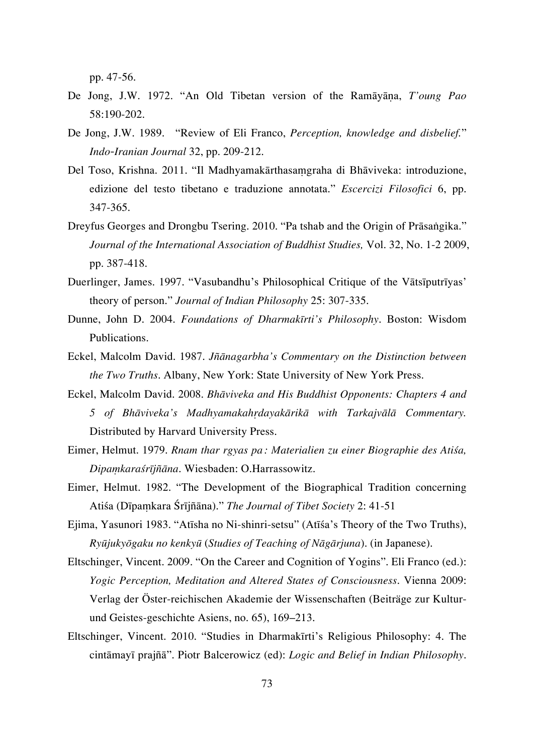pp. 47-56.

- De Jong, J.W. 1972. "An Old Tibetan version of the Ramāyāṇa, *T'oung Pao* 58:190-202.
- De Jong, J.W. 1989. "Review of Eli Franco, *Perception, knowledge and disbelief.*" *Indo-Iranian Journal* 32, pp. 209-212.
- Del Toso, Krishna. 2011. "Il Madhyamakārthasaṃgraha di Bhāviveka: introduzione, edizione del testo tibetano e traduzione annotata." *Escercizi Filosofici* 6, pp. 347-365.
- Dreyfus Georges and Drongbu Tsering. 2010. "Pa tshab and the Origin of Prāsaṅgika." *Journal of the International Association of Buddhist Studies,* Vol. 32, No. 1-2 2009, pp. 387-418.
- Duerlinger, James. 1997. "Vasubandhu's Philosophical Critique of the Vātsīputrīyas' theory of person." *Journal of Indian Philosophy* 25: 307-335.
- Dunne, John D. 2004. *Foundations of Dharmakīrti's Philosophy*. Boston: Wisdom Publications.
- Eckel, Malcolm David. 1987. *Jñānagarbha's Commentary on the Distinction between the Two Truths*. Albany, New York: State University of New York Press.
- Eckel, Malcolm David. 2008. *Bhāviveka and His Buddhist Opponents: Chapters 4 and 5 of Bhāviveka's Madhyamakahṛdayakārikā with Tarkajvālā Commentary.* Distributed by Harvard University Press.
- Eimer, Helmut. 1979. *Rnam thar rgyas pa : Materialien zu einer Biographie des Atiśa, Dipaṃkaraśrījñāna*. Wiesbaden: O.Harrassowitz.
- Eimer, Helmut. 1982. "The Development of the Biographical Tradition concerning Atiśa (Dīpaṃkara Śrījñāna)." *The Journal of Tibet Society* 2: 41-51
- Ejima, Yasunori 1983. "Atīsha no Ni-shinri-setsu" (Atīśa's Theory of the Two Truths), *Ryūjukyōgaku no kenkyū* (*Studies of Teaching of Nāgārjuna*). (in Japanese).
- Eltschinger, Vincent. 2009. "On the Career and Cognition of Yogins". Eli Franco (ed.): *Yogic Perception, Meditation and Altered States of Consciousness*. Vienna 2009: Verlag der Öster-reichischen Akademie der Wissenschaften (Beiträge zur Kulturund Geistes-geschichte Asiens, no. 65), 169–213.
- Eltschinger, Vincent. 2010. "Studies in Dharmakīrti's Religious Philosophy: 4. The cintāmayī prajñā". Piotr Balcerowicz (ed): *Logic and Belief in Indian Philosophy*.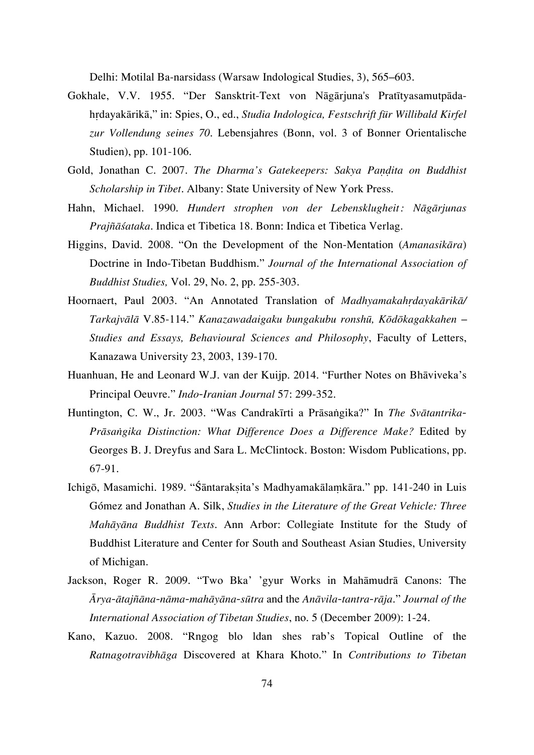Delhi: Motilal Ba-narsidass (Warsaw Indological Studies, 3), 565–603.

- Gokhale, V.V. 1955. "Der Sansktrit-Text von Nāgārjuna's Pratītyasamutpādahṛdayakārikā," in: Spies, O., ed., *Studia Indologica, Festschrift für Willibald Kirfel zur Vollendung seines 70*. Lebensjahres (Bonn, vol. 3 of Bonner Orientalische Studien), pp. 101-106.
- Gold, Jonathan C. 2007. *The Dharma's Gatekeepers: Sakya Pandita on Buddhist Scholarship in Tibet*. Albany: State University of New York Press.
- Hahn, Michael. 1990. *Hundert strophen von der Lebensklugheit: Nāgārjunas Prajñāśataka*. Indica et Tibetica 18. Bonn: Indica et Tibetica Verlag.
- Higgins, David. 2008. "On the Development of the Non-Mentation (*Amanasikāra*) Doctrine in Indo-Tibetan Buddhism." *Journal of the International Association of Buddhist Studies,* Vol. 29, No. 2, pp. 255-303.
- Hoornaert, Paul 2003. "An Annotated Translation of *Madhyamakahṛdayakārikā/ Tarkajvālā* V.85-114." *Kanazawadaigaku bungakubu ronshū, Kōdōkagakkahen – Studies and Essays, Behavioural Sciences and Philosophy*, Faculty of Letters, Kanazawa University 23, 2003, 139-170.
- Huanhuan, He and Leonard W.J. van der Kuijp. 2014. "Further Notes on Bhāviveka's Principal Oeuvre." *Indo-Iranian Journal* 57: 299-352.
- Huntington, C. W., Jr. 2003. "Was Candrakīrti a Prāsaṅgika?" In *The Svātantrika-Prāsaṅgika Distinction: What Difference Does a Difference Make?* Edited by Georges B. J. Dreyfus and Sara L. McClintock. Boston: Wisdom Publications, pp. 67-91.
- Ichigō, Masamichi. 1989. "Śāntarakṣita's Madhyamakālaṃkāra." pp. 141-240 in Luis Gómez and Jonathan A. Silk, *Studies in the Literature of the Great Vehicle: Three Mahāyāna Buddhist Texts*. Ann Arbor: Collegiate Institute for the Study of Buddhist Literature and Center for South and Southeast Asian Studies, University of Michigan.
- Jackson, Roger R. 2009. "Two Bka' 'gyur Works in Mahāmudrā Canons: The *Ārya-ātajñāna-nāma-mahāyāna-sūtra* and the *Anāvila-tantra-rāja*." *Journal of the International Association of Tibetan Studies*, no. 5 (December 2009): 1-24.
- Kano, Kazuo. 2008. "Rngog blo ldan shes rab's Topical Outline of the *Ratnagotravibhāga* Discovered at Khara Khoto." In *Contributions to Tibetan*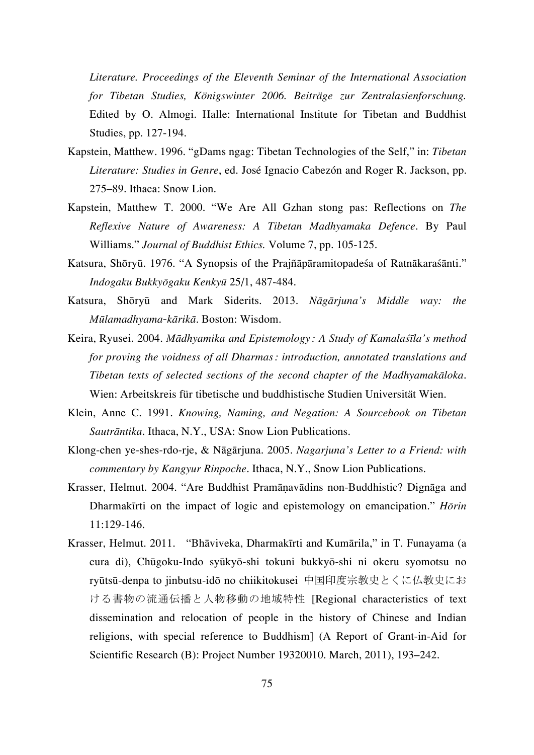*Literature. Proceedings of the Eleventh Seminar of the International Association for Tibetan Studies, Königswinter 2006. Beiträge zur Zentralasienforschung.*  Edited by O. Almogi. Halle: International Institute for Tibetan and Buddhist Studies, pp. 127-194.

- Kapstein, Matthew. 1996. "gDams ngag: Tibetan Technologies of the Self," in: *Tibetan Literature: Studies in Genre*, ed. José Ignacio Cabezón and Roger R. Jackson, pp. 275–89. Ithaca: Snow Lion.
- Kapstein, Matthew T. 2000. "We Are All Gzhan stong pas: Reflections on *The Reflexive Nature of Awareness: A Tibetan Madhyamaka Defence*. By Paul Williams." *Journal of Buddhist Ethics.* Volume 7, pp. 105-125.
- Katsura, Shōryū. 1976. "A Synopsis of the Prajñāpāramitopadeśa of Ratnākaraśānti." *Indogaku Bukkyōgaku Kenkyū* 25/1, 487-484.
- Katsura, Shōryū and Mark Siderits. 2013. *Nāgārjuna's Middle way: the Mūlamadhyama-kārikā*. Boston: Wisdom.
- Keira, Ryusei. 2004. *Mādhyamika and Epistemology : A Study of Kamalaśīla's method for proving the voidness of all Dharmas : introduction, annotated translations and Tibetan texts of selected sections of the second chapter of the Madhyamakāloka*. Wien: Arbeitskreis für tibetische und buddhistische Studien Universität Wien.
- Klein, Anne C. 1991. *Knowing, Naming, and Negation: A Sourcebook on Tibetan Sautrāntika*. Ithaca, N.Y., USA: Snow Lion Publications.
- Klong-chen ye-shes-rdo-rje, & Nāgārjuna. 2005. *Nagarjuna's Letter to a Friend: with commentary by Kangyur Rinpoche*. Ithaca, N.Y., Snow Lion Publications.
- Krasser, Helmut. 2004. "Are Buddhist Pramāṇavādins non-Buddhistic? Dignāga and Dharmakīrti on the impact of logic and epistemology on emancipation." *Hōrin* 11:129-146.
- Krasser, Helmut. 2011. "Bhāviveka, Dharmakīrti and Kumārila," in T. Funayama (a cura di), Chūgoku-Indo syūkyō-shi tokuni bukkyō-shi ni okeru syomotsu no ryūtsū-denpa to jinbutsu-idō no chiikitokusei 中国印度宗教史とくに仏教史にお ける書物の流通伝播と人物移動の地域特性 [Regional characteristics of text dissemination and relocation of people in the history of Chinese and Indian religions, with special reference to Buddhism] (A Report of Grant-in-Aid for Scientific Research (B): Project Number 19320010. March, 2011), 193–242.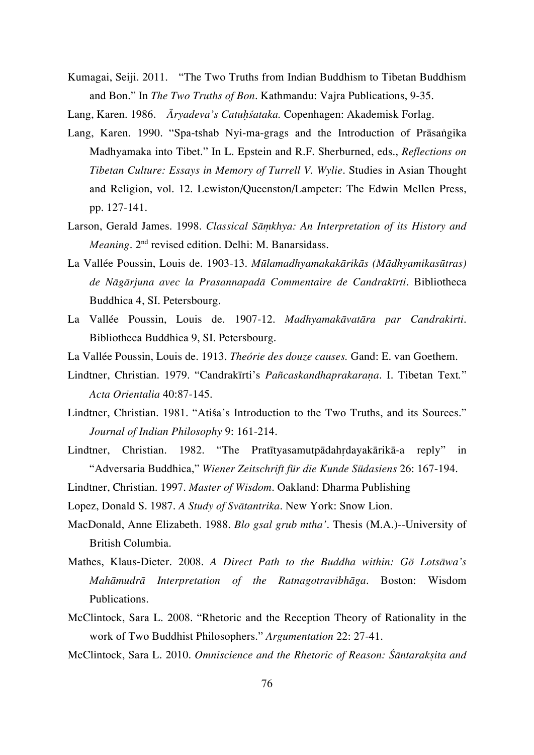- Kumagai, Seiji. 2011. "The Two Truths from Indian Buddhism to Tibetan Buddhism and Bon." In *The Two Truths of Bon*. Kathmandu: Vajra Publications, 9-35.
- Lang, Karen. 1986. *Āryadeva's Catuḥśataka.* Copenhagen: Akademisk Forlag.
- Lang, Karen. 1990. "Spa-tshab Nyi-ma-grags and the Introduction of Prāsaṅgika Madhyamaka into Tibet." In L. Epstein and R.F. Sherburned, eds., *Reflections on Tibetan Culture: Essays in Memory of Turrell V. Wylie*. Studies in Asian Thought and Religion, vol. 12. Lewiston/Queenston/Lampeter: The Edwin Mellen Press, pp. 127-141.
- Larson, Gerald James. 1998. *Classical Sāṃkhya: An Interpretation of its History and Meaning*. 2<sup>nd</sup> revised edition. Delhi: M. Banarsidass.
- La Vallée Poussin, Louis de. 1903-13. *Mūlamadhyamakakārikās (Mādhyamikasūtras) de Nāgārjuna avec la Prasannapadā Commentaire de Candrakīrti*. Bibliotheca Buddhica 4, SI. Petersbourg.
- La Vallée Poussin, Louis de. 1907-12. *Madhyamakāvatāra par Candrakirti*. Bibliotheca Buddhica 9, SI. Petersbourg.
- La Vallée Poussin, Louis de. 1913. *Theórie des douze causes.* Gand: E. van Goethem.
- Lindtner, Christian. 1979. "Candrakīrti's *Pañcaskandhaprakaraṇa*. I. Tibetan Text*.*" *Acta Orientalia* 40:87-145.
- Lindtner, Christian. 1981. "Atiśa's Introduction to the Two Truths, and its Sources." *Journal of Indian Philosophy* 9: 161-214.
- Lindtner, Christian. 1982. "The Pratītyasamutpādahṛdayakārikā-a reply" in "Adversaria Buddhica," *Wiener Zeitschrift für die Kunde Südasiens* 26: 167-194.
- Lindtner, Christian. 1997. *Master of Wisdom*. Oakland: Dharma Publishing
- Lopez, Donald S. 1987. *A Study of Svātantrika*. New York: Snow Lion.
- MacDonald, Anne Elizabeth. 1988. *Blo gsal grub mtha'*. Thesis (M.A.)--University of British Columbia.
- Mathes, Klaus-Dieter. 2008. *A Direct Path to the Buddha within: Gö Lotsāwa's Mahāmudrā Interpretation of the Ratnagotravibhāga*. Boston: Wisdom Publications.
- McClintock, Sara L. 2008. "Rhetoric and the Reception Theory of Rationality in the work of Two Buddhist Philosophers." *Argumentation* 22: 27-41.
- McClintock, Sara L. 2010. *Omniscience and the Rhetoric of Reason: Śāntarakṣita and*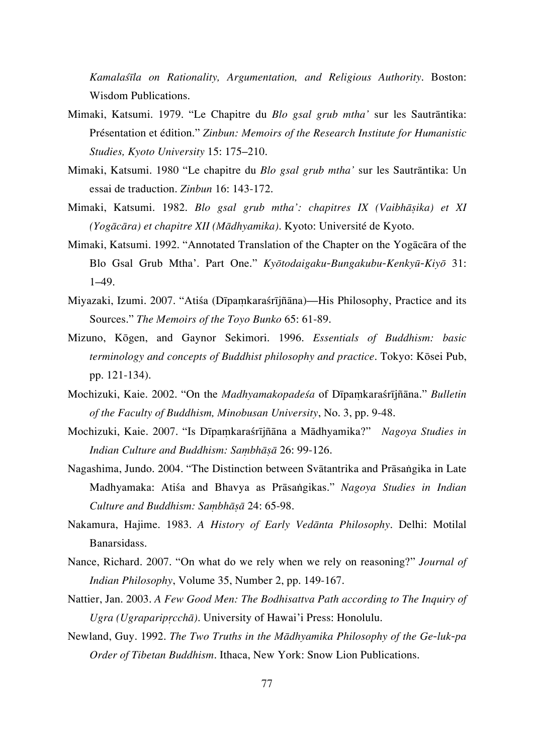*Kamalaśīla on Rationality, Argumentation, and Religious Authority*. Boston: Wisdom Publications.

- Mimaki, Katsumi. 1979. "Le Chapitre du *Blo gsal grub mtha'* sur les Sautrāntika: Présentation et édition." *Zinbun: Memoirs of the Research Institute for Humanistic Studies, Kyoto University* 15: 175–210.
- Mimaki, Katsumi. 1980 "Le chapitre du *Blo gsal grub mtha'* sur les Sautrāntika: Un essai de traduction. *Zinbun* 16: 143-172.
- Mimaki, Katsumi. 1982. *Blo gsal grub mtha': chapitres IX (Vaibhāṣika) et XI (Yogācāra) et chapitre XII (Mādhyamika)*. Kyoto: Université de Kyoto.
- Mimaki, Katsumi. 1992. "Annotated Translation of the Chapter on the Yogācāra of the Blo Gsal Grub Mtha'. Part One." *Kyōtodaigaku-Bungakubu-Kenkyū-Kiyō* 31: 1–49.
- Miyazaki, Izumi. 2007. "Atiśa (Dīpaṃkaraśrījñāna)—His Philosophy, Practice and its Sources." *The Memoirs of the Toyo Bunko* 65: 61-89.
- Mizuno, Kōgen, and Gaynor Sekimori. 1996. *Essentials of Buddhism: basic terminology and concepts of Buddhist philosophy and practice*. Tokyo: Kōsei Pub, pp. 121-134).
- Mochizuki, Kaie. 2002. "On the *Madhyamakopadeśa* of Dīpaṃkaraśrījñāna." *Bulletin of the Faculty of Buddhism, Minobusan University*, No. 3, pp. 9-48.
- Mochizuki, Kaie. 2007. "Is Dīpaṃkaraśrījñāna a Mādhyamika?" *Nagoya Studies in Indian Culture and Buddhism: Saṃbhāṣā* 26: 99-126.
- Nagashima, Jundo. 2004. "The Distinction between Svātantrika and Prāsaṅgika in Late Madhyamaka: Atiśa and Bhavya as Prāsaṅgikas." *Nagoya Studies in Indian Culture and Buddhism: Saṃbhāṣā* 24: 65-98.
- Nakamura, Hajime. 1983. *A History of Early Vedānta Philosophy*. Delhi: Motilal Banarsidass.
- Nance, Richard. 2007. "On what do we rely when we rely on reasoning?" *Journal of Indian Philosophy*, Volume 35, Number 2, pp. 149-167.
- Nattier, Jan. 2003. *A Few Good Men: The Bodhisattva Path according to The Inquiry of Ugra (Ugraparipṛcchā)*. University of Hawai'i Press: Honolulu.
- Newland, Guy. 1992. *The Two Truths in the Mādhyamika Philosophy of the Ge-luk-pa Order of Tibetan Buddhism*. Ithaca, New York: Snow Lion Publications.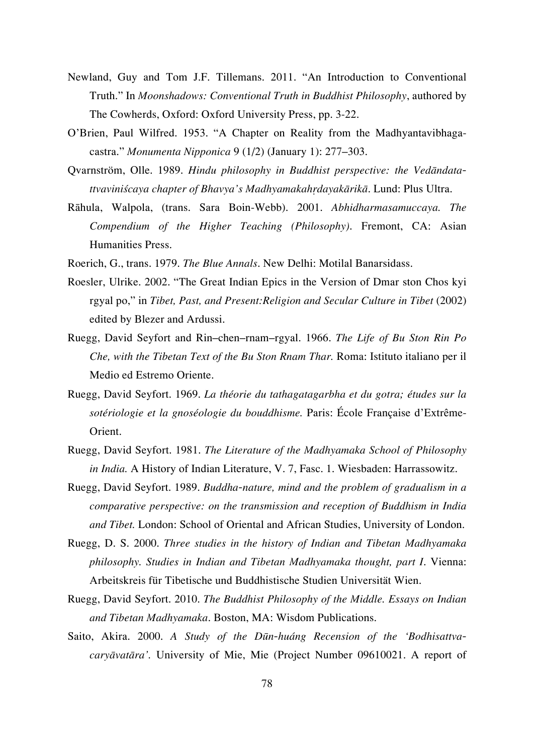- Newland, Guy and Tom J.F. Tillemans. 2011. "An Introduction to Conventional Truth." In *Moonshadows: Conventional Truth in Buddhist Philosophy*, authored by The Cowherds, Oxford: Oxford University Press, pp. 3-22.
- O'Brien, Paul Wilfred. 1953. "A Chapter on Reality from the Madhyantavibhagacastra." *Monumenta Nipponica* 9 (1/2) (January 1): 277–303.
- Qvarnström, Olle. 1989. *Hindu philosophy in Buddhist perspective: the Vedāndatattvaviniścaya chapter of Bhavya's Madhyamakahṛdayakārikā*. Lund: Plus Ultra.
- Rāhula, Walpola, (trans. Sara Boin-Webb). 2001. *Abhidharmasamuccaya. The Compendium of the Higher Teaching (Philosophy)*. Fremont, CA: Asian Humanities Press.
- Roerich, G., trans. 1979. *The Blue Annals*. New Delhi: Motilal Banarsidass.
- Roesler, Ulrike. 2002. "The Great Indian Epics in the Version of Dmar ston Chos kyi rgyal po," in *Tibet, Past, and Present:Religion and Secular Culture in Tibet* (2002) edited by Blezer and Ardussi.
- Ruegg, David Seyfort and Rin–chen–rnam–rgyal. 1966. *The Life of Bu Ston Rin Po Che, with the Tibetan Text of the Bu Ston Rnam Thar.* Roma: Istituto italiano per il Medio ed Estremo Oriente.
- Ruegg, David Seyfort. 1969. *La théorie du tathagatagarbha et du gotra; études sur la sotériologie et la gnoséologie du bouddhisme.* Paris: École Française d'Extrême-Orient.
- Ruegg, David Seyfort. 1981. *The Literature of the Madhyamaka School of Philosophy in India.* A History of Indian Literature, V. 7, Fasc. 1. Wiesbaden: Harrassowitz.
- Ruegg, David Seyfort. 1989. *Buddha-nature, mind and the problem of gradualism in a comparative perspective: on the transmission and reception of Buddhism in India and Tibet.* London: School of Oriental and African Studies, University of London.
- Ruegg, D. S. 2000. *Three studies in the history of Indian and Tibetan Madhyamaka philosophy. Studies in Indian and Tibetan Madhyamaka thought, part I*. Vienna: Arbeitskreis für Tibetische und Buddhistische Studien Universität Wien.
- Ruegg, David Seyfort. 2010. *The Buddhist Philosophy of the Middle. Essays on Indian and Tibetan Madhyamaka*. Boston, MA: Wisdom Publications.
- Saito, Akira. 2000. *A Study of the Dūn-huáng Recension of the 'Bodhisattvacaryāvatāra'.* University of Mie, Mie (Project Number 09610021. A report of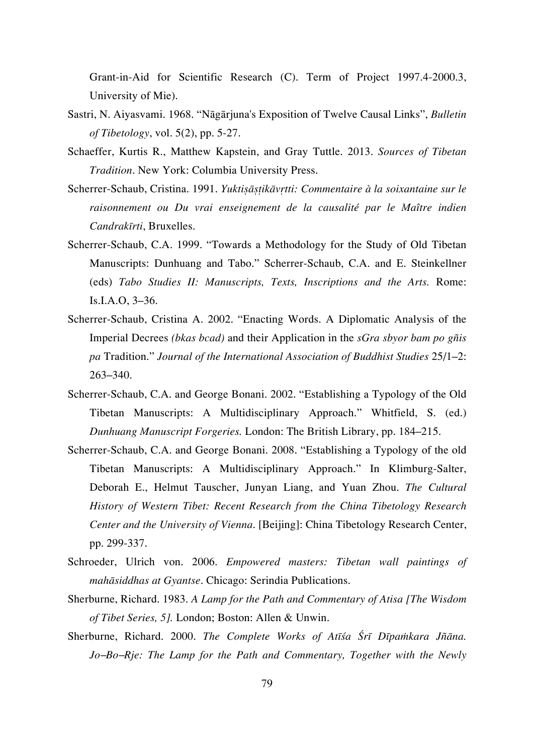Grant-in-Aid for Scientific Research (C). Term of Project 1997.4-2000.3, University of Mie).

- Sastri, N. Aiyasvami. 1968. "Nāgārjuna's Exposition of Twelve Causal Links", *Bulletin of Tibetology*, vol. 5(2), pp. 5-27.
- Schaeffer, Kurtis R., Matthew Kapstein, and Gray Tuttle. 2013. *Sources of Tibetan Tradition*. New York: Columbia University Press.
- Scherrer-Schaub, Cristina. 1991. *Yuktiṣāṣṭikāvṛtti: Commentaire à la soixantaine sur le raisonnement ou Du vrai enseignement de la causalité par le Maître indien Candrakīrti*, Bruxelles.
- Scherrer-Schaub, C.A. 1999. "Towards a Methodology for the Study of Old Tibetan Manuscripts: Dunhuang and Tabo." Scherrer-Schaub, C.A. and E. Steinkellner (eds) *Tabo Studies II: Manuscripts, Texts, Inscriptions and the Arts.* Rome: Is.I.A.O, 3–36.
- Scherrer-Schaub, Cristina A. 2002. "Enacting Words. A Diplomatic Analysis of the Imperial Decrees *(bkas bcad)* and their Application in the *sGra sbyor bam po gñis pa* Tradition." *Journal of the International Association of Buddhist Studies* 25/1–2: 263–340.
- Scherrer-Schaub, C.A. and George Bonani. 2002. "Establishing a Typology of the Old Tibetan Manuscripts: A Multidisciplinary Approach." Whitfield, S. (ed.) *Dunhuang Manuscript Forgeries.* London: The British Library, pp. 184–215.
- Scherrer-Schaub, C.A. and George Bonani. 2008. "Establishing a Typology of the old Tibetan Manuscripts: A Multidisciplinary Approach." In Klimburg-Salter, Deborah E., Helmut Tauscher, Junyan Liang, and Yuan Zhou. *The Cultural History of Western Tibet: Recent Research from the China Tibetology Research Center and the University of Vienna*. [Beijing]: China Tibetology Research Center, pp. 299-337.
- Schroeder, Ulrich von. 2006. *Empowered masters: Tibetan wall paintings of mahāsiddhas at Gyantse*. Chicago: Serindia Publications.
- Sherburne, Richard. 1983. *A Lamp for the Path and Commentary of Atisa [The Wisdom of Tibet Series, 5].* London; Boston: Allen & Unwin.
- Sherburne, Richard. 2000. *The Complete Works of Atīśa Śrī Dīpaṁkara Jñāna. Jo–Bo–Rje: The Lamp for the Path and Commentary, Together with the Newly*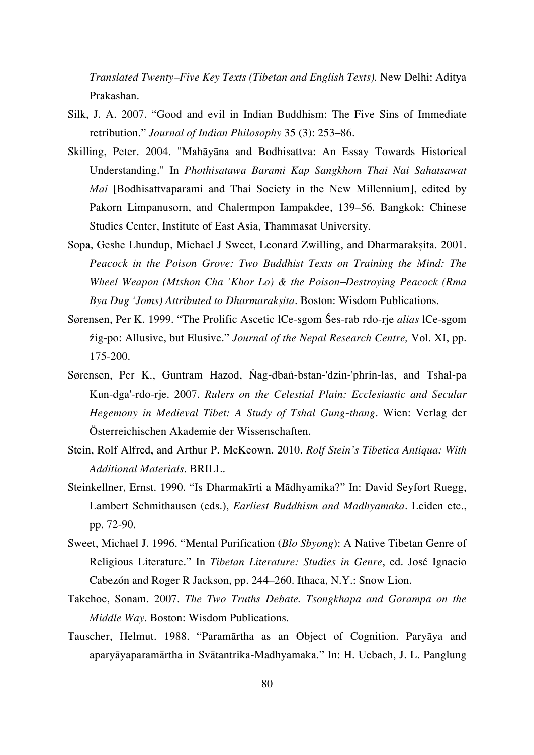*Translated Twenty–Five Key Texts (Tibetan and English Texts).* New Delhi: Aditya Prakashan.

- Silk, J. A. 2007. "Good and evil in Indian Buddhism: The Five Sins of Immediate retribution." *Journal of Indian Philosophy* 35 (3): 253–86.
- Skilling, Peter. 2004. "Mahāyāna and Bodhisattva: An Essay Towards Historical Understanding." In *Phothisatawa Barami Kap Sangkhom Thai Nai Sahatsawat Mai* [Bodhisattvaparami and Thai Society in the New Millennium], edited by Pakorn Limpanusorn, and Chalermpon Iampakdee, 139–56. Bangkok: Chinese Studies Center, Institute of East Asia, Thammasat University.
- Sopa, Geshe Lhundup, Michael J Sweet, Leonard Zwilling, and Dharmarakṣita. 2001. *Peacock in the Poison Grove: Two Buddhist Texts on Training the Mind: The Wheel Weapon (Mtshon Cha ʾKhor Lo) & the Poison–Destroying Peacock (Rma Bya Dug ʾJoms) Attributed to Dharmarakṣita*. Boston: Wisdom Publications.
- Sørensen, Per K. 1999. "The Prolific Ascetic lCe-sgom Śes-rab rdo-rje *alias* lCe-sgom źig-po: Allusive, but Elusive." *Journal of the Nepal Research Centre,* Vol. XI, pp. 175-200.
- Sørensen, Per K., Guntram Hazod, Nag-dban-bstan-'dzin-'phrin-las, and Tshal-pa Kun-dga'-rdo-rje. 2007. *Rulers on the Celestial Plain: Ecclesiastic and Secular Hegemony in Medieval Tibet: A Study of Tshal Gung-thang*. Wien: Verlag der Österreichischen Akademie der Wissenschaften.
- Stein, Rolf Alfred, and Arthur P. McKeown. 2010. *Rolf Stein's Tibetica Antiqua: With Additional Materials*. BRILL.
- Steinkellner, Ernst. 1990. "Is Dharmakīrti a Mādhyamika?" In: David Seyfort Ruegg, Lambert Schmithausen (eds.), *Earliest Buddhism and Madhyamaka*. Leiden etc., pp. 72-90.
- Sweet, Michael J. 1996. "Mental Purification (*Blo Sbyong*): A Native Tibetan Genre of Religious Literature." In *Tibetan Literature: Studies in Genre*, ed. José Ignacio Cabezón and Roger R Jackson, pp. 244–260. Ithaca, N.Y.: Snow Lion.
- Takchoe, Sonam. 2007. *The Two Truths Debate. Tsongkhapa and Gorampa on the Middle Way*. Boston: Wisdom Publications.
- Tauscher, Helmut. 1988. "Paramārtha as an Object of Cognition. Paryāya and aparyāyaparamārtha in Svātantrika-Madhyamaka." In: H. Uebach, J. L. Panglung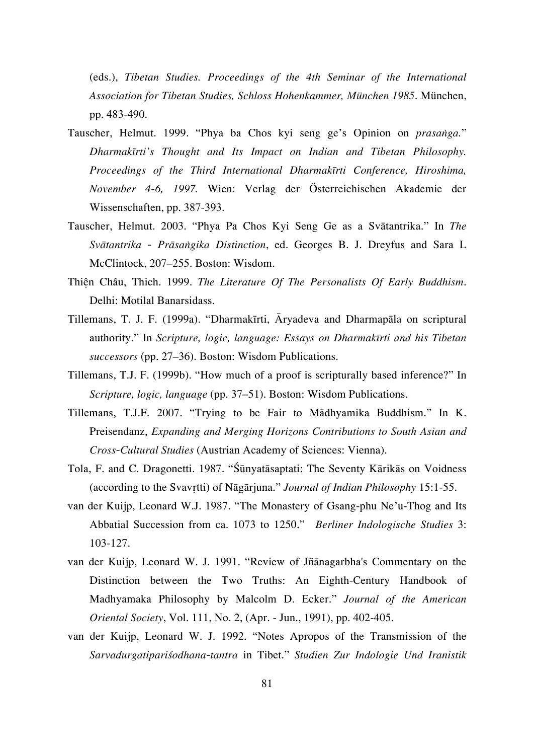(eds.), *Tibetan Studies. Proceedings of the 4th Seminar of the International Association for Tibetan Studies, Schloss Hohenkammer, München 1985*. München, pp. 483-490.

- Tauscher, Helmut. 1999. "Phya ba Chos kyi seng ge's Opinion on *prasaṅga.*" *Dharmakīrti's Thought and Its Impact on Indian and Tibetan Philosophy. Proceedings of the Third International Dharmakīrti Conference, Hiroshima, November 4-6, 1997.* Wien: Verlag der Österreichischen Akademie der Wissenschaften, pp. 387-393.
- Tauscher, Helmut. 2003. "Phya Pa Chos Kyi Seng Ge as a Svātantrika." In *The Svātantrika - Prāsaṅgika Distinction*, ed. Georges B. J. Dreyfus and Sara L McClintock, 207–255. Boston: Wisdom.
- Thiện Châu, Thich. 1999. *The Literature Of The Personalists Of Early Buddhism*. Delhi: Motilal Banarsidass.
- Tillemans, T. J. F. (1999a). "Dharmakīrti, Āryadeva and Dharmapāla on scriptural authority." In *Scripture, logic, language: Essays on Dharmakīrti and his Tibetan successors* (pp. 27–36). Boston: Wisdom Publications.
- Tillemans, T.J. F. (1999b). "How much of a proof is scripturally based inference?" In *Scripture, logic, language* (pp. 37–51). Boston: Wisdom Publications.
- Tillemans, T.J.F. 2007. "Trying to be Fair to Mādhyamika Buddhism." In K. Preisendanz, *Expanding and Merging Horizons Contributions to South Asian and Cross-Cultural Studies* (Austrian Academy of Sciences: Vienna).
- Tola, F. and C. Dragonetti. 1987. "Śūnyatāsaptati: The Seventy Kārikās on Voidness (according to the Svavṛtti) of Nāgārjuna." *Journal of Indian Philosophy* 15:1-55.
- van der Kuijp, Leonard W.J. 1987. "The Monastery of Gsang-phu Ne'u-Thog and Its Abbatial Succession from ca. 1073 to 1250." *Berliner Indologische Studies* 3: 103-127.
- van der Kuijp, Leonard W. J. 1991. "Review of Jñānagarbha's Commentary on the Distinction between the Two Truths: An Eighth-Century Handbook of Madhyamaka Philosophy by Malcolm D. Ecker." *Journal of the American Oriental Society*, Vol. 111, No. 2, (Apr. - Jun., 1991), pp. 402-405.
- van der Kuijp, Leonard W. J. 1992. "Notes Apropos of the Transmission of the *Sarvadurgatipariśodhana-tantra* in Tibet." *Studien Zur Indologie Und Iranistik*